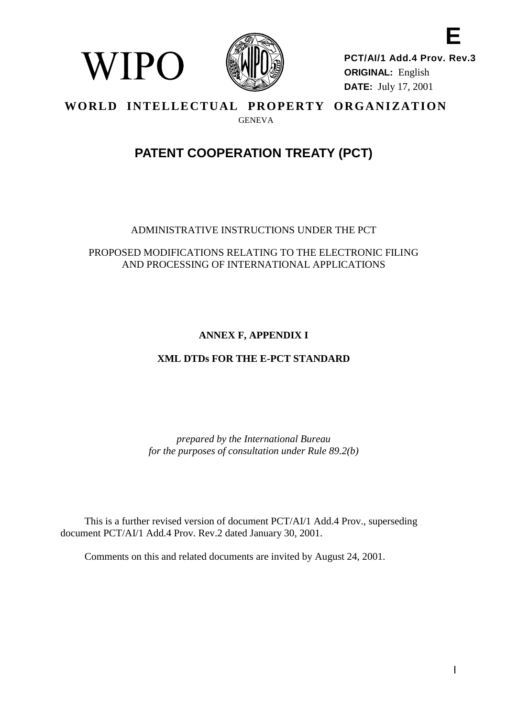

WIPO

**E PCT/AI/1 Add.4 Prov. Rev.3 ORIGINAL:** English **DATE:** July 17, 2001

### **WORLD INTELLECTUAL PROPERTY ORGANIZATION** GENEVA

# **PATENT COOPERATION TREATY (PCT)**

# ADMINISTRATIVE INSTRUCTIONS UNDER THE PCT

### PROPOSED MODIFICATIONS RELATING TO THE ELECTRONIC FILING AND PROCESSING OF INTERNATIONAL APPLICATIONS

# **ANNEX F, APPENDIX I**

# **XML DTDs FOR THE E-PCT STANDARD**

*prepared by the International Bureau for the purposes of consultation under Rule 89.2(b)*

This is a further revised version of document PCT/AI/1 Add.4 Prov., superseding document PCT/AI/1 Add.4 Prov. Rev.2 dated January 30, 2001.

Comments on this and related documents are invited by August 24, 2001.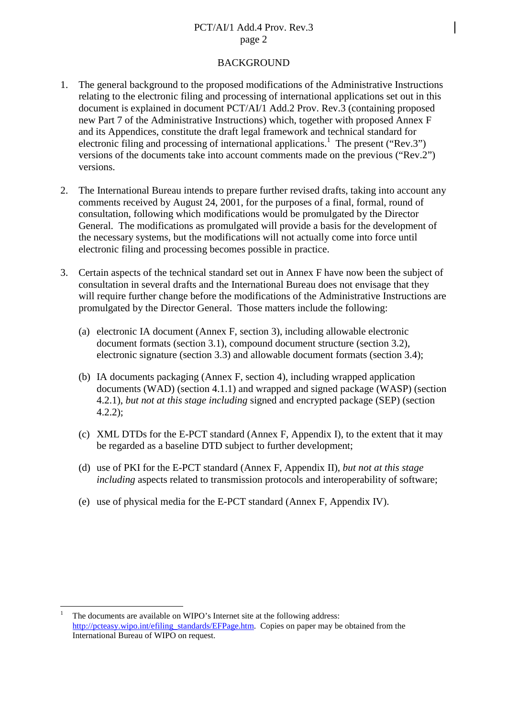### PCT/AI/1 Add.4 Prov. Rev.3 page 2

#### **BACKGROUND**

- 1. The general background to the proposed modifications of the Administrative Instructions relating to the electronic filing and processing of international applications set out in this document is explained in document PCT/AI/1 Add.2 Prov. Rev.3 (containing proposed new Part 7 of the Administrative Instructions) which, together with proposed Annex F and its Appendices, constitute the draft legal framework and technical standard for electronic filing and processing of international applications.<sup>1</sup> The present ("Rev.3") versions of the documents take into account comments made on the previous ("Rev.2") versions.
- 2. The International Bureau intends to prepare further revised drafts, taking into account any comments received by August 24, 2001, for the purposes of a final, formal, round of consultation, following which modifications would be promulgated by the Director General. The modifications as promulgated will provide a basis for the development of the necessary systems, but the modifications will not actually come into force until electronic filing and processing becomes possible in practice.
- 3. Certain aspects of the technical standard set out in Annex F have now been the subject of consultation in several drafts and the International Bureau does not envisage that they will require further change before the modifications of the Administrative Instructions are promulgated by the Director General. Those matters include the following:
	- (a) electronic IA document (Annex F, section 3), including allowable electronic document formats (section 3.1), compound document structure (section 3.2), electronic signature (section 3.3) and allowable document formats (section 3.4);
	- (b) IA documents packaging (Annex F, section 4), including wrapped application documents (WAD) (section 4.1.1) and wrapped and signed package (WASP) (section 4.2.1), *but not at this stage including* signed and encrypted package (SEP) (section 4.2.2);
	- (c) XML DTDs for the E-PCT standard (Annex F, Appendix I), to the extent that it may be regarded as a baseline DTD subject to further development;
	- (d) use of PKI for the E-PCT standard (Annex F, Appendix II), *but not at this stage including* aspects related to transmission protocols and interoperability of software;
	- (e) use of physical media for the E-PCT standard (Annex F, Appendix IV).

 $\overline{a}$ 

The documents are available on WIPO's Internet site at the following address: [http://pcteasy.wipo.int/efiling\\_standards/EFPage.htm.](http://pcteasy.wipo.int/efiling_standards/EFPage.htm) Copies on paper may be obtained from the International Bureau of WIPO on request.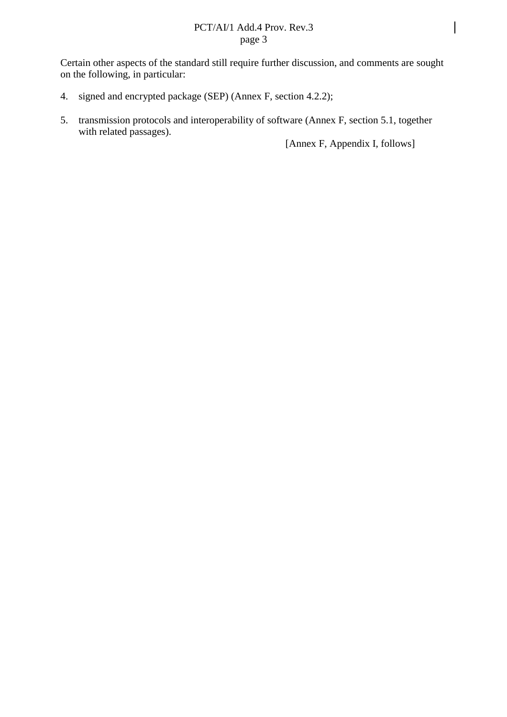### PCT/AI/1 Add.4 Prov. Rev.3 page 3

Certain other aspects of the standard still require further discussion, and comments are sought on the following, in particular:

- 4. signed and encrypted package (SEP) (Annex F, section 4.2.2);
- 5. transmission protocols and interoperability of software (Annex F, section 5.1, together with related passages).

[Annex F, Appendix I, follows]

 $\overline{\phantom{a}}$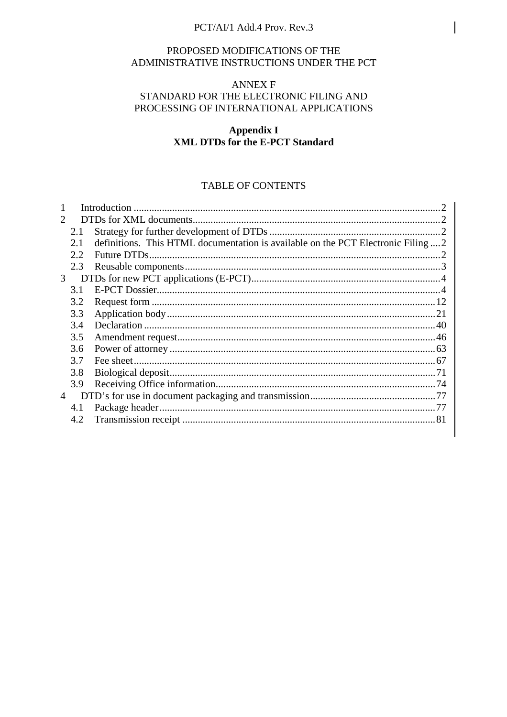### PCT/AI/1 Add.4 Prov. Rev.3

### PROPOSED MODIFICATIONS OF THE ADMINISTRATIVE INSTRUCTIONS UNDER THE PCT

#### **ANNEX F**

### STANDARD FOR THE ELECTRONIC FILING AND PROCESSING OF INTERNATIONAL APPLICATIONS

### **Appendix I XML DTDs for the E-PCT Standard**

### **TABLE OF CONTENTS**

| 2              |      |                                                                                   |  |
|----------------|------|-----------------------------------------------------------------------------------|--|
|                | 2.1  |                                                                                   |  |
|                | 2.1  | definitions. This HTML documentation is available on the PCT Electronic Filing  2 |  |
|                | 2.2. |                                                                                   |  |
|                | 2.3  |                                                                                   |  |
| 3              |      |                                                                                   |  |
|                | 3.1  |                                                                                   |  |
|                | 3.2  |                                                                                   |  |
|                | 3.3  |                                                                                   |  |
|                | 3.4  |                                                                                   |  |
|                | 3.5  |                                                                                   |  |
|                | 3.6  |                                                                                   |  |
|                | 3.7  |                                                                                   |  |
|                | 3.8  |                                                                                   |  |
|                | 3.9  |                                                                                   |  |
| $\overline{4}$ |      |                                                                                   |  |
|                | 4.1  |                                                                                   |  |
|                | 4.2  |                                                                                   |  |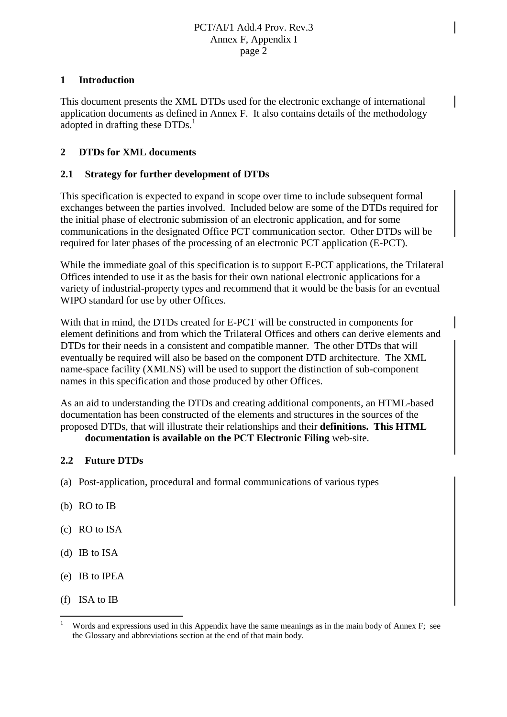### **1 Introduction**

This document presents the XML DTDs used for the electronic exchange of international application documents as defined in Annex F. It also contains details of the methodology adopted in drafting these DTDs.<sup>1</sup>

## **2 DTDs for XML documents**

### **2.1 Strategy for further development of DTDs**

This specification is expected to expand in scope over time to include subsequent formal exchanges between the parties involved. Included below are some of the DTDs required for the initial phase of electronic submission of an electronic application, and for some communications in the designated Office PCT communication sector. Other DTDs will be required for later phases of the processing of an electronic PCT application (E-PCT).

While the immediate goal of this specification is to support E-PCT applications, the Trilateral Offices intended to use it as the basis for their own national electronic applications for a variety of industrial-property types and recommend that it would be the basis for an eventual WIPO standard for use by other Offices.

With that in mind, the DTDs created for E-PCT will be constructed in components for element definitions and from which the Trilateral Offices and others can derive elements and DTDs for their needs in a consistent and compatible manner. The other DTDs that will eventually be required will also be based on the component DTD architecture. The XML name-space facility (XMLNS) will be used to support the distinction of sub-component names in this specification and those produced by other Offices.

As an aid to understanding the DTDs and creating additional components, an HTML-based documentation has been constructed of the elements and structures in the sources of the proposed DTDs, that will illustrate their relationships and their **definitions. This HTML**

### **documentation is available on the PCT Electronic Filing** web-site.

### **2.2 Future DTDs**

- (a) Post-application, procedural and formal communications of various types
- (b) RO to IB
- (c) RO to ISA
- (d) IB to ISA
- (e) IB to IPEA
- (f) ISA to IB

 $\overline{a}$ 

Words and expressions used in this Appendix have the same meanings as in the main body of Annex F; see the Glossary and abbreviations section at the end of that main body.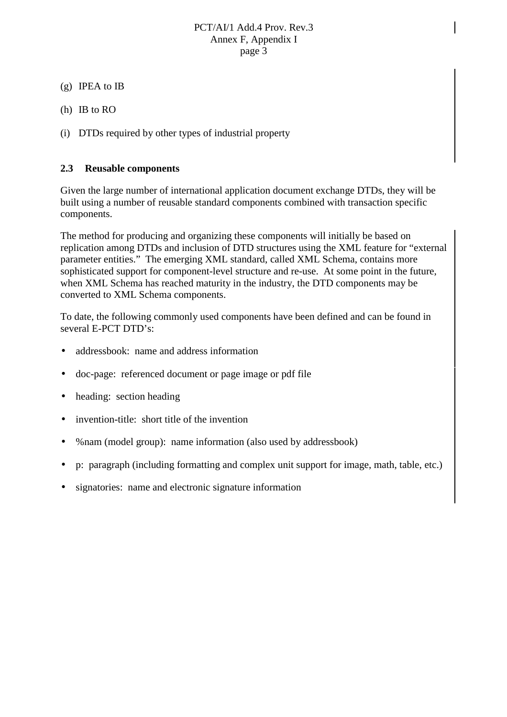- (g) IPEA to IB
- (h) IB to RO
- (i) DTDs required by other types of industrial property

### **2.3 Reusable components**

Given the large number of international application document exchange DTDs, they will be built using a number of reusable standard components combined with transaction specific components.

The method for producing and organizing these components will initially be based on replication among DTDs and inclusion of DTD structures using the XML feature for "external parameter entities." The emerging XML standard, called XML Schema, contains more sophisticated support for component-level structure and re-use. At some point in the future, when XML Schema has reached maturity in the industry, the DTD components may be converted to XML Schema components.

To date, the following commonly used components have been defined and can be found in several E-PCT DTD's:

- addressbook: name and address information
- doc-page: referenced document or page image or pdf file
- heading: section heading
- invention-title: short title of the invention
- %nam (model group): name information (also used by addressbook)
- p: paragraph (including formatting and complex unit support for image, math, table, etc.)
- signatories: name and electronic signature information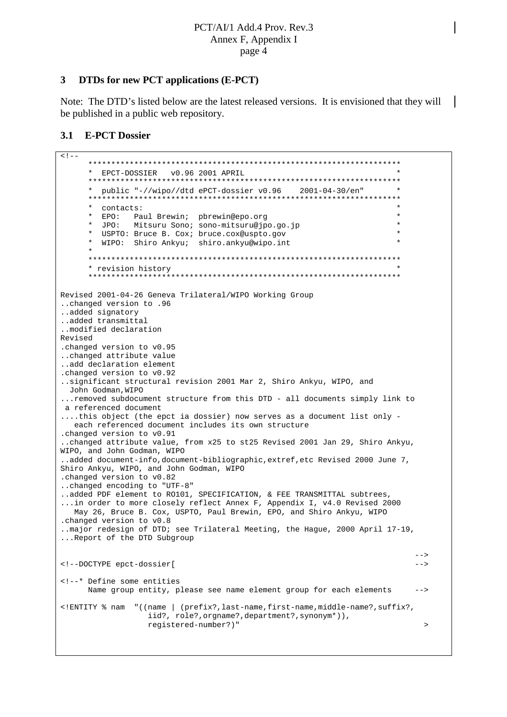### **3 DTDs for new PCT applications (E-PCT)**

Note: The DTD's listed below are the latest released versions. It is envisioned that they will be published in a public web repository.

### **3.1 E-PCT Dossier**

```
\left\langle \cdot \right\rangle********************************************************************
      * EPCT-DOSSIER v0.96 2001 APRIL *
     ********************************************************************
     * public "-//wipo//dtd ePCT-dossier v0.96 2001-04-30/en" *
     ********************************************************************
     * contacts: *
     * EPO: Paul Brewin; pbrewin@epo.org *
        JPO: Mitsuru Sono; sono-mitsuru@jpo.go.jp
      * USPTO: Bruce B. Cox; bruce.cox@uspto.gov *
      * WIPO: Shiro Ankyu; shiro.ankyu@wipo.int *
      *
      ********************************************************************
     * revision history *
     ********************************************************************
Revised 2001-04-26 Geneva Trilateral/WIPO Working Group
..changed version to .96
..added signatory
..added transmittal
..modified declaration
Revised
.changed version to v0.95
..changed attribute value
..add declaration element
.changed version to v0.92
..significant structural revision 2001 Mar 2, Shiro Ankyu, WIPO, and
 John Godman,WIPO
...removed subdocument structure from this DTD - all documents simply link to
a referenced document
....this object (the epct ia dossier) now serves as a document list only -
  each referenced document includes its own structure
.changed version to v0.91
..changed attribute value, from x25 to st25 Revised 2001 Jan 29, Shiro Ankyu,
WIPO, and John Godman, WIPO
..added document-info,document-bibliographic,extref,etc Revised 2000 June 7,
Shiro Ankyu, WIPO, and John Godman, WIPO
.changed version to v0.82
..changed encoding to "UTF-8"
..added PDF element to RO101, SPECIFICATION, & FEE TRANSMITTAL subtrees,
...in order to more closely reflect Annex F, Appendix I, v4.0 Revised 2000
  May 26, Bruce B. Cox, USPTO, Paul Brewin, EPO, and Shiro Ankyu, WIPO
.changed version to v0.8
..major redesign of DTD; see Trilateral Meeting, the Hague, 2000 April 17-19,
...Report of the DTD Subgroup
                                                                         --&><!--DOCTYPE epct-dossier[ -->
<!--* Define some entities
     Name group entity, please see name element group for each elements -->
<!ENTITY % nam "((name | (prefix?,last-name,first-name,middle-name?,suffix?,
                  iid?, role?, orgname?, department?, synonym*)),
                  registered-number?)" >
```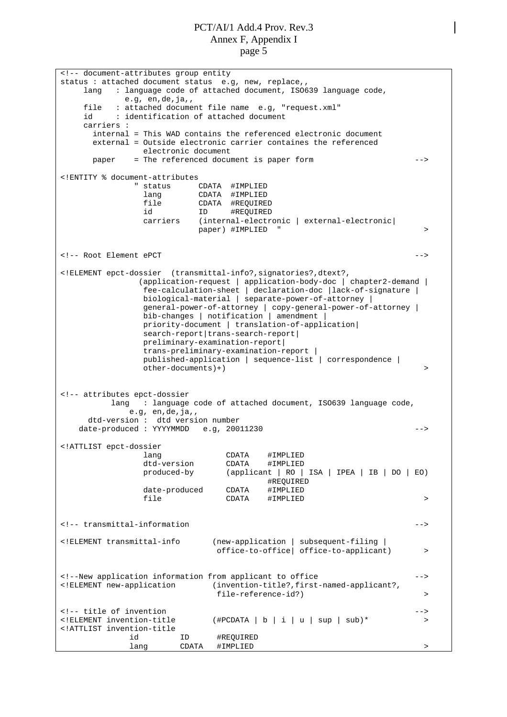<!-- document-attributes group entity status : attached document status e.g, new, replace,, lang : language code of attached document, ISO639 language code, e.g, en,de,ja,, file : attached document file name e.g, "request.xml" id : identification of attached document carriers : internal = This WAD contains the referenced electronic document external = Outside electronic carrier containes the referenced electronic document paper = The referenced document is paper form --> <!ENTITY % document-attributes status CDATA #IMPLIED lang CDATA #IMPLIED file CDATA #REQUIRED id ID #REQUIRED carriers (internal-electronic | external-electronic| paper) #IMPLIED <!-- Root Element ePCT --> <!ELEMENT epct-dossier (transmittal-info?,signatories?,dtext?, (application-request | application-body-doc | chapter2-demand | fee-calculation-sheet | declaration-doc |lack-of-signature | biological-material | separate-power-of-attorney | general-power-of-attorney | copy-general-power-of-attorney | bib-changes | notification | amendment | priority-document | translation-of-application| search-report | trans-search-report | preliminary-examination-report| trans-preliminary-examination-report | published-application | sequence-list | correspondence |  $other-documents$  ) + ) <!-- attributes epct-dossier lang : language code of attached document, ISO639 language code, e.g, en,de,ja,, dtd-version : dtd version number date-produced : YYYYMMDD e.g, 20011230 --> <!ATTLIST epct-dossier lang CDATA #IMPLIED dtd-version CDATA #IMPLIED produced-by (applicant | RO | ISA | IPEA | IB | DO | EO) #REQUIRED date-produced CDATA #IMPLIED file CDATA #IMPLIED > <!-- transmittal-information --> <!ELEMENT transmittal-info (new-application | subsequent-filing | office-to-office| office-to-applicant) > <!--New application information from applicant to office --> <!ELEMENT new-application (invention-title?,first-named-applicant?, file-reference-id?) > <!-- title of invention<br>
<!=- title of invention --><br>
<!ELEMENT invention-title (#PCDATA | b | i | u | sup | sub)\*  $(\text{#PCDATA} | b | i | u | sup | sub)$ \* > <!ATTLIST invention-title id ID #REQUIRED lang CDATA #IMPLIED >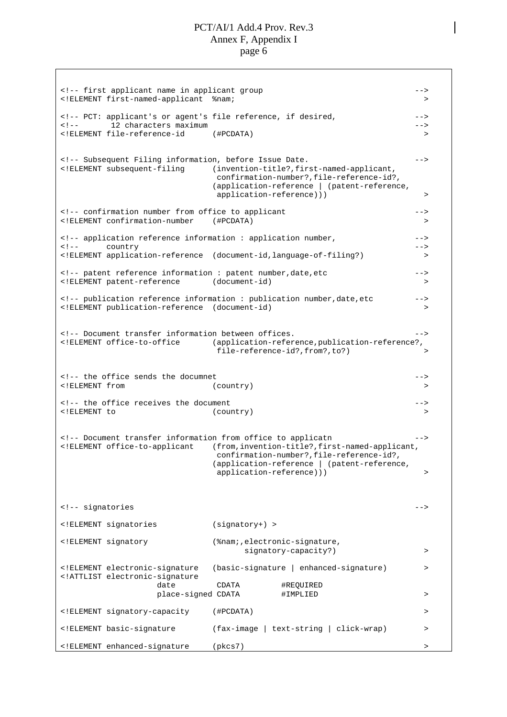<!-- first applicant name in applicant group --> <!ELEMENT first-named-applicant %nam; > <!-- PCT: applicant's or agent's file reference, if desired, --> <!-- 12 characters maximum --> <!ELEMENT file-reference-id (#PCDATA) > <!-- Subsequent Filing information, before Issue Date. --> <!ELEMENT subsequent-filing (invention-title?,first-named-applicant, confirmation-number?,file-reference-id?, (application-reference | (patent-reference, application-reference))) > <!-- confirmation number from office to applicant --> <!ELEMENT confirmation-number (#PCDATA) > <!-- application reference information : application number, --> <!-- country --> <!ELEMENT application-reference (document-id,language-of-filing?) > <!-- patent reference information : patent number,date,etc --> <!ELEMENT patent-reference (document-id) > <!-- publication reference information : publication number,date,etc --> <!ELEMENT publication-reference (document-id) > <!-- Document transfer information between offices. --> <!ELEMENT office-to-office (application-reference,publication-reference?, file-reference-id?,from?,to?) > <!-- the office sends the documnet --> <!ELEMENT from (country) > <!-- the office receives the document --> <!ELEMENT to (country) > <!-- Document transfer information from office to applicatn --> <!ELEMENT office-to-applicant (from,invention-title?,first-named-applicant, confirmation-number?,file-reference-id?, (application-reference | (patent-reference, application-reference))) > <!-- signatories --> <!ELEMENT signatories (signatory+) > <!ELEMENT signatory (%nam;,electronic-signature, signatory-capacity?) > <!ELEMENT electronic-signature (basic-signature | enhanced-signature) > <!ATTLIST electronic-signature date CDATA #REQUIRED place-signed CDATA #IMPLIED > <!ELEMENT signatory-capacity (#PCDATA) > <!ELEMENT basic-signature (fax-image | text-string | click-wrap) > <!ELEMENT enhanced-signature (pkcs7) >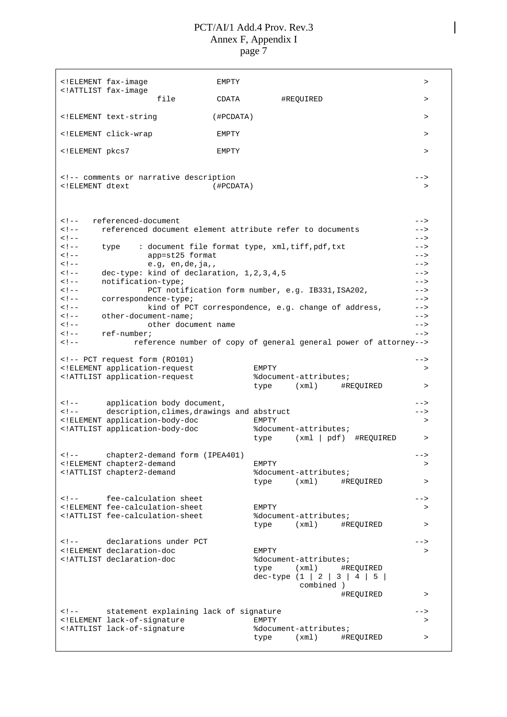<!ELEMENT fax-image EMPTY > <!ATTLIST fax-image file CDATA #REQUIRED > <!ELEMENT text-string (#PCDATA) > <!ELEMENT click-wrap EMPTY > <!ELEMENT pkcs7 EMPTY > <!-- comments or narrative description --> <!ELEMENT dtext (#PCDATA) > <!-- referenced-document --> <!-- referenced document element attribute refer to documents --> <!-- --> <!-- type : document file format type, xml,tiff,pdf,txt --> app=st25 format <!-- e.g, en,de,ja,, --> <!-- dec-type: kind of declaration, 1,2,3,4,5 --> <!-- notification-type; --> <!-- PCT notification form number, e.g. IB331,ISA202, --> <!-- correspondence-type; --> <!-- kind of PCT correspondence, e.g. change of address, --> <!-- other-document-name; --> <!-- other document name --> <!-- ref-number; --> <!-- reference number of copy of general general power of attorney--> <!-- PCT request form (RO101) --><br>--> --> --- ELEMENT application-request >> <!ELEMENT application-request EMPTY > <!ATTLIST application-request %document-attributes; type (xml) #REQUIRED > <!-- application body document, --> <!-- description,climes,drawings and abstruct --> <!ELEMENT application-body-doc EMPTY > <!ATTLIST application-body-doc %document-attributes; type (xml | pdf) #REQUIRED > <!-- chapter2-demand form (IPEA401) --> <!ELEMENT chapter2-demand EMPTY > <!ATTLIST chapter2-demand %document-attributes; type (xml) #REQUIRED > --> entitled from the feed of the state of the state of the state of the state of the state of the state of the state of the state of the state of the state of the state of the state of the state of the state of the state <!ELEMENT fee-calculation-sheet EMPTY > <! ATTLIST fee-calculation-sheet type (xml) #REQUIRED > <!-- declarations under PCT --> <!ELEMENT declaration-doc EMPTY > <!ATTLIST declaration-doc %document-attributes; type (xml) #REQUIRED dec-type  $(1 | 2 | 3 | 4 | 5)$ combined ) #REQUIRED > <!-- statement explaining lack of signature --> <!ELEMENT lack-of-signature EMPTY <!ATTLIST lack-of-signature %document-attributes; type (xml) #REQUIRED >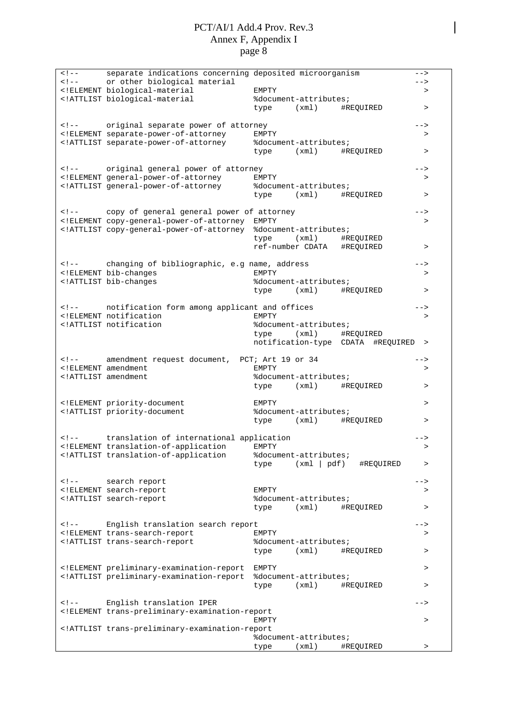| $\lt$ ! $--$ | separate indications concerning deposited microorganism                                                                                                                                                                                                                                                                                                                                                                                                                                                                                         |                            |                                   | -->       |
|--------------|-------------------------------------------------------------------------------------------------------------------------------------------------------------------------------------------------------------------------------------------------------------------------------------------------------------------------------------------------------------------------------------------------------------------------------------------------------------------------------------------------------------------------------------------------|----------------------------|-----------------------------------|-----------|
| $<$ ! --     | or other biological material                                                                                                                                                                                                                                                                                                                                                                                                                                                                                                                    |                            |                                   | $--&>$    |
|              | ELEMENT biological-material</td <td>EMPTY</td> <td></td> <td><math>\,&gt;</math></td>                                                                                                                                                                                                                                                                                                                                                                                                                                                           | EMPTY                      |                                   | $\,>$     |
|              | ATTLIST biological-material</td <td>%document-attributes;</td> <td></td> <td></td>                                                                                                                                                                                                                                                                                                                                                                                                                                                              | %document-attributes;      |                                   |           |
|              |                                                                                                                                                                                                                                                                                                                                                                                                                                                                                                                                                 | type (xml) #REQUIRED       |                                   | $\, > \,$ |
|              |                                                                                                                                                                                                                                                                                                                                                                                                                                                                                                                                                 |                            |                                   |           |
|              | original separate power of attorney</td><td></td><td></td><td><math>--&></math></td></tr><tr><td></td><td><!ELEMENT separate-power-of-attorney</td><td>EMPTY</td><td></td><td>></td></tr><tr><td></td><td><!ATTLIST separate-power-of-attorney</td><td>%document-attributes;</td><td></td><td></td></tr><tr><td></td><td></td><td>type (xml) #REQUIRED</td><td></td><td><math>\, > \,</math></td></tr><tr><td></td><td></td><td></td><td></td><td></td></tr><tr><td></td><td><!-- original general power of attorney</td><td></td><td></td><td> |                            |                                   |           |
|              | ELEMENT general-power-of-attorney</td <td>EMPTY</td> <td></td> <td>&gt;</td>                                                                                                                                                                                                                                                                                                                                                                                                                                                                    | EMPTY                      |                                   | >         |
|              | ATTLIST general-power-of-attorney</td <td>%document-attributes;</td> <td></td> <td><math display="inline">\, &gt;</math></td>                                                                                                                                                                                                                                                                                                                                                                                                                   | %document-attributes;      |                                   | $\, >$    |
|              |                                                                                                                                                                                                                                                                                                                                                                                                                                                                                                                                                 | type                       | (xml) #REQUIRED                   |           |
|              | copy of general general power of attorney</td><td></td><td></td><td>                                                                                                                                                                                                                                                                                                                                                                                                                                                                            |                            |                                   |           |
|              | ELEMENT copy-general-power-of-attorney EMPTY</td <td></td> <td></td> <td><math>\, &gt; \,</math></td>                                                                                                                                                                                                                                                                                                                                                                                                                                           |                            |                                   | $\, > \,$ |
|              | ATTLIST copy-general-power-of-attorney %document-attributes;</td <td></td> <td></td> <td></td>                                                                                                                                                                                                                                                                                                                                                                                                                                                  |                            |                                   |           |
|              |                                                                                                                                                                                                                                                                                                                                                                                                                                                                                                                                                 | type (xml) #REQUIRED       |                                   |           |
|              |                                                                                                                                                                                                                                                                                                                                                                                                                                                                                                                                                 | ref-number CDATA #REQUIRED |                                   | $\, >$    |
|              |                                                                                                                                                                                                                                                                                                                                                                                                                                                                                                                                                 |                            |                                   |           |
|              | changing of bibliographic, e.g name, address</td><td></td><td></td><td>                                                                                                                                                                                                                                                                                                                                                                                                                                                                         |                            |                                   |           |
|              | ELEMENT bib-changes</td <td>EMPTY</td> <td></td> <td><math display="inline">\, &gt;</math></td>                                                                                                                                                                                                                                                                                                                                                                                                                                                 | EMPTY                      |                                   | $\, >$    |
|              | ATTLIST bib-changes</td <td>%document-attributes;</td> <td></td> <td></td>                                                                                                                                                                                                                                                                                                                                                                                                                                                                      | %document-attributes;      |                                   |           |
|              |                                                                                                                                                                                                                                                                                                                                                                                                                                                                                                                                                 | type (xml) #REQUIRED       |                                   | $\, >$    |
|              |                                                                                                                                                                                                                                                                                                                                                                                                                                                                                                                                                 |                            |                                   |           |
|              | notification form among applicant and offices</td><td></td><td></td><td>                                                                                                                                                                                                                                                                                                                                                                                                                                                                        |                            |                                   |           |
|              | ELEMENT notification</td <td>EMPTY</td> <td></td> <td><math>\, &gt; \,</math></td>                                                                                                                                                                                                                                                                                                                                                                                                                                                              | EMPTY                      |                                   | $\, > \,$ |
|              | ATTLIST notification</td <td>%document-attributes;</td> <td></td> <td></td>                                                                                                                                                                                                                                                                                                                                                                                                                                                                     | %document-attributes;      |                                   |           |
|              |                                                                                                                                                                                                                                                                                                                                                                                                                                                                                                                                                 | type (xml) #REQUIRED       |                                   |           |
|              |                                                                                                                                                                                                                                                                                                                                                                                                                                                                                                                                                 |                            | notification-type CDATA #REQUIRED | $\, > \,$ |
|              |                                                                                                                                                                                                                                                                                                                                                                                                                                                                                                                                                 |                            |                                   |           |
|              | amendment request document, PCT; Art 19 or 34</td><td></td><td></td><td>                                                                                                                                                                                                                                                                                                                                                                                                                                                                        |                            |                                   |           |
|              | ELEMENT amendment</td <td>EMPTY</td> <td></td> <td><math>\, &gt; \,</math></td>                                                                                                                                                                                                                                                                                                                                                                                                                                                                 | EMPTY                      |                                   | $\, > \,$ |
|              | ATTLIST amendment</td <td>%document-attributes;</td> <td></td> <td></td>                                                                                                                                                                                                                                                                                                                                                                                                                                                                        | %document-attributes;      |                                   |           |
|              |                                                                                                                                                                                                                                                                                                                                                                                                                                                                                                                                                 | type (xml) #REQUIRED       |                                   | $\, >$    |
|              |                                                                                                                                                                                                                                                                                                                                                                                                                                                                                                                                                 |                            |                                   |           |
|              | ELEMENT priority-document</td <td>EMPTY</td> <td></td> <td><math>\, &gt; \,</math></td>                                                                                                                                                                                                                                                                                                                                                                                                                                                         | EMPTY                      |                                   | $\, > \,$ |
|              | ATTLIST priority-document</td <td>%document-attributes;</td> <td></td> <td></td>                                                                                                                                                                                                                                                                                                                                                                                                                                                                | %document-attributes;      |                                   |           |
|              |                                                                                                                                                                                                                                                                                                                                                                                                                                                                                                                                                 | type                       | (xml) #REQUIRED                   | >         |
|              |                                                                                                                                                                                                                                                                                                                                                                                                                                                                                                                                                 |                            |                                   |           |
|              | translation of international application<br><!ELEMENT translation-of-application</td><td><b>EMPTY</b></td><td></td><td><br>$\geq$                                                                                                                                                                                                                                                                                                                                                                                                               |                            |                                   |           |
|              | ATTLIST translation-of-application</td <td>%document-attributes;</td> <td></td> <td></td>                                                                                                                                                                                                                                                                                                                                                                                                                                                       | %document-attributes;      |                                   |           |
|              |                                                                                                                                                                                                                                                                                                                                                                                                                                                                                                                                                 | type                       | $(xml \mid pdf)$<br>#REQUIRED     | >         |
|              |                                                                                                                                                                                                                                                                                                                                                                                                                                                                                                                                                 |                            |                                   |           |
| $<$ ! --     | search report                                                                                                                                                                                                                                                                                                                                                                                                                                                                                                                                   |                            |                                   | -->       |
|              | ELEMENT search-report</td <td><b>EMPTY</b></td> <td></td> <td>&gt;</td>                                                                                                                                                                                                                                                                                                                                                                                                                                                                         | <b>EMPTY</b>               |                                   | >         |
|              | ATTLIST search-report</td <td>%document-attributes;</td> <td></td> <td></td>                                                                                                                                                                                                                                                                                                                                                                                                                                                                    | %document-attributes;      |                                   |           |
|              |                                                                                                                                                                                                                                                                                                                                                                                                                                                                                                                                                 | (xml)<br>type              | #REQUIRED                         | $\, > \,$ |
|              |                                                                                                                                                                                                                                                                                                                                                                                                                                                                                                                                                 |                            |                                   |           |
| $\lt$ ! $-$  | English translation search report                                                                                                                                                                                                                                                                                                                                                                                                                                                                                                               |                            |                                   | -->       |
|              | ELEMENT trans-search-report</td <td><b>EMPTY</b></td> <td></td> <td>&gt;</td>                                                                                                                                                                                                                                                                                                                                                                                                                                                                   | <b>EMPTY</b>               |                                   | >         |
|              | ATTLIST trans-search-report</td <td>%document-attributes;</td> <td></td> <td></td>                                                                                                                                                                                                                                                                                                                                                                                                                                                              | %document-attributes;      |                                   |           |
|              |                                                                                                                                                                                                                                                                                                                                                                                                                                                                                                                                                 | (xm1)<br>type              | #REQUIRED                         | $\, > \,$ |
|              |                                                                                                                                                                                                                                                                                                                                                                                                                                                                                                                                                 |                            |                                   |           |
|              | ELEMENT preliminary-examination-report</td <td>EMPTY</td> <td></td> <td>&gt;</td>                                                                                                                                                                                                                                                                                                                                                                                                                                                               | EMPTY                      |                                   | >         |
|              | ATTLIST preliminary-examination-report</td <td>%document-attributes;</td> <td></td> <td></td>                                                                                                                                                                                                                                                                                                                                                                                                                                                   | %document-attributes;      |                                   |           |
|              |                                                                                                                                                                                                                                                                                                                                                                                                                                                                                                                                                 | (xm1)<br>type              | #REQUIRED                         | $\, > \,$ |
|              |                                                                                                                                                                                                                                                                                                                                                                                                                                                                                                                                                 |                            |                                   |           |
| $\lt$ ! $--$ | English translation IPER                                                                                                                                                                                                                                                                                                                                                                                                                                                                                                                        |                            |                                   | -->       |
|              | ELEMENT trans-preliminary-examination-report</td <td></td> <td></td> <td></td>                                                                                                                                                                                                                                                                                                                                                                                                                                                                  |                            |                                   |           |
|              |                                                                                                                                                                                                                                                                                                                                                                                                                                                                                                                                                 | EMPTY                      |                                   | >         |
|              | ATTLIST trans-preliminary-examination-report</td <td></td> <td></td> <td></td>                                                                                                                                                                                                                                                                                                                                                                                                                                                                  |                            |                                   |           |
|              |                                                                                                                                                                                                                                                                                                                                                                                                                                                                                                                                                 | %document-attributes;      |                                   |           |
|              |                                                                                                                                                                                                                                                                                                                                                                                                                                                                                                                                                 | (xm1)<br>type              | #REQUIRED                         | $\, > \,$ |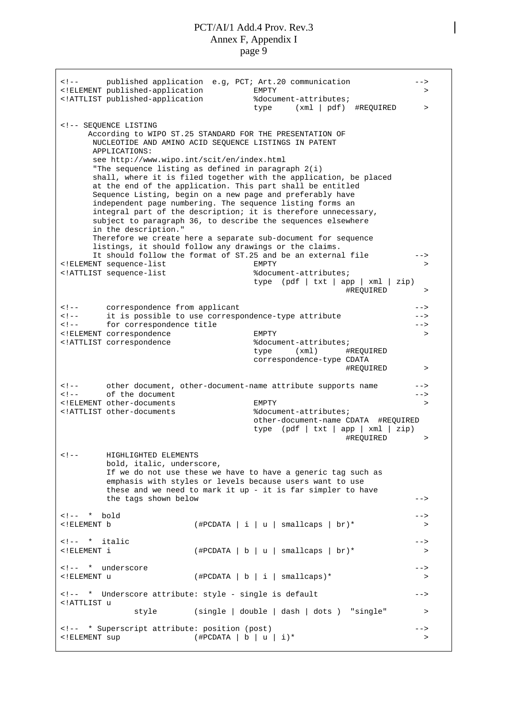<!-- published application e.g, PCT; Art.20 communication --> <!ELEMENT published-application EMPTY > <!ATTLIST published-application %document-attributes; type (xml | pdf) #REQUIRED > <!-- SEQUENCE LISTING According to WIPO ST.25 STANDARD FOR THE PRESENTATION OF NUCLEOTIDE AND AMINO ACID SEQUENCE LISTINGS IN PATENT APPLICATIONS: see<http://www.wipo.int/scit/en/index.html> "The sequence listing as defined in paragraph 2(i) shall, where it is filed together with the application, be placed at the end of the application. This part shall be entitled Sequence Listing, begin on a new page and preferably have independent page numbering. The sequence listing forms an integral part of the description; it is therefore unnecessary, subject to paragraph 36, to describe the sequences elsewhere in the description." Therefore we create here a separate sub-document for sequence listings, it should follow any drawings or the claims. It should follow the format of ST.25 and be an external file --> <!ELEMENT sequence-list EMPTY > <!ATTLIST sequence-list %document-attributes; type (pdf | txt | app | xml | zip) #REQUIRED > <!-- correspondence from applicant --> <!-- it is possible to use correspondence-type attribute --> <!-- for correspondence title  $\qquad \qquad \text{---}$ <!ELEMENT correspondence EMPTY <!ATTLIST correspondence %document-attributes; type (xml) #REQUIRED correspondence-type CDATA #REQUIRED > <!-- other document, other-document-name attribute supports name --> <!-- of the document --> <!ELEMENT other-documents EMPTY > <!ATTLIST other-documents %document-attributes; other-document-name CDATA #REQUIRED type (pdf | txt | app | xml | zip) #REQUIRED > <!-- HIGHLIGHTED ELEMENTS bold, italic, underscore, If we do not use these we have to have a generic tag such as emphasis with styles or levels because users want to use these and we need to mark it up - it is far simpler to have the tags shown below --> <!-- \* bold --> <!ELEMENT b (#PCDATA|i|u| smallcaps | br)\* > <!-- \* italic -->  $($  #PCDATA | b | u | smallcaps | br) \*  $\rightarrow$ <!-- \* underscore -->  $(\texttt{\#PCDATA} | b | i | s$ mallcaps)\* > <!-- \* Underscore attribute: style - single is default --> <!ATTLIST u style (single | double | dash | dots ) "single" > <!-- \* Superscript attribute: position (post) --> <!ELEMENT sup (#PCDATA | b | u | i)\* >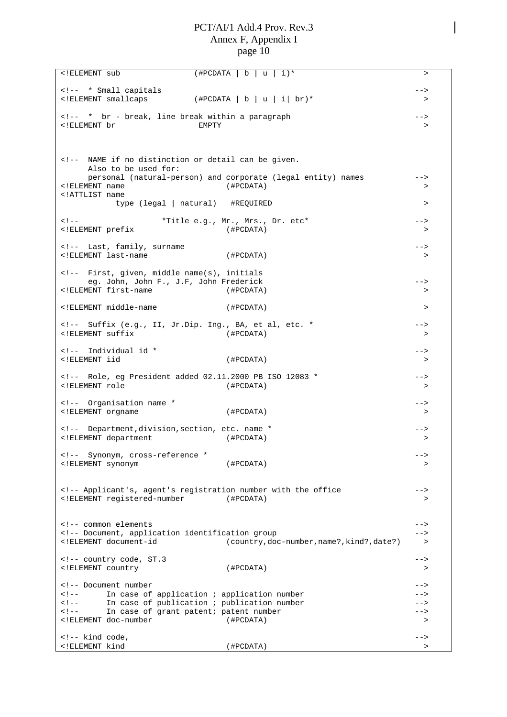| ELEMENT sub</th <th> b <br/><math>i</math>) *<br/>(#PCDATA<br/>u</th> <th><math>\geq</math></th>                                                                                                                                                                                                                                                                                                                                                                                                                             | b <br>$i$ ) *<br>(#PCDATA<br>u                                                               | $\geq$     |
|------------------------------------------------------------------------------------------------------------------------------------------------------------------------------------------------------------------------------------------------------------------------------------------------------------------------------------------------------------------------------------------------------------------------------------------------------------------------------------------------------------------------------|----------------------------------------------------------------------------------------------|------------|
|                                                                                                                                                                                                                                                                                                                                                                                                                                                                                                                              |                                                                                              |            |
| * Small capitals<br><!ELEMENT smallcaps</td><td>(#PCDATA   b   u   i  br)*</td><td><br>>                                                                                                                                                                                                                                                                                                                                                                                                                                     |                                                                                              |            |
|                                                                                                                                                                                                                                                                                                                                                                                                                                                                                                                              |                                                                                              |            |
| * br - break, line break within a paragraph</td><td></td><td>                                                                                                                                                                                                                                                                                                                                                                                                                                                                |                                                                                              |            |
| ELEMENT br</td <td>EMPTY</td> <td><math>\geq</math></td>                                                                                                                                                                                                                                                                                                                                                                                                                                                                     | EMPTY                                                                                        | $\geq$     |
|                                                                                                                                                                                                                                                                                                                                                                                                                                                                                                                              |                                                                                              |            |
|                                                                                                                                                                                                                                                                                                                                                                                                                                                                                                                              |                                                                                              |            |
| NAME if no distinction or detail can be given.</td><td></td><td></td></tr><tr><td>Also to be used for:</td><td></td><td></td></tr><tr><td></td><td>personal (natural-person) and corporate (legal entity) names</td><td>                                                                                                                                                                                                                                                                                                     |                                                                                              |            |
| ELEMENT name</td <td>(HPCDATA)</td> <td>&gt;</td>                                                                                                                                                                                                                                                                                                                                                                                                                                                                            | (HPCDATA)                                                                                    | >          |
| ATTLIST name</td <td></td> <td><math>\geq</math></td>                                                                                                                                                                                                                                                                                                                                                                                                                                                                        |                                                                                              | $\geq$     |
|                                                                                                                                                                                                                                                                                                                                                                                                                                                                                                                              | type (legal   natural) #REQUIRED                                                             |            |
| $<$ ! --                                                                                                                                                                                                                                                                                                                                                                                                                                                                                                                     | *Title e.g., Mr., Mrs., Dr. etc*                                                             | $--&>$     |
| ELEMENT prefix</td <td>(#PCDATA)</td> <td><math>\,&gt;</math></td>                                                                                                                                                                                                                                                                                                                                                                                                                                                           | (#PCDATA)                                                                                    | $\,>$      |
|                                                                                                                                                                                                                                                                                                                                                                                                                                                                                                                              |                                                                                              |            |
| Last, family, surname</td><td></td><td><math>--</math></td></tr><tr><td><!ELEMENT last-name</td><td>(#PCDATA)</td><td><math>\geq</math></td></tr><tr><td><!-- First, given, middle name(s), initials</td><td></td><td></td></tr><tr><td>eg. John, John F., J.F, John Frederick</td><td></td><td>                                                                                                                                                                                                                             |                                                                                              |            |
| ELEMENT first-name</td <td>(#PCDATA)</td> <td><math>\geq</math></td>                                                                                                                                                                                                                                                                                                                                                                                                                                                         | (#PCDATA)                                                                                    | $\geq$     |
|                                                                                                                                                                                                                                                                                                                                                                                                                                                                                                                              |                                                                                              |            |
| ELEMENT middle-name</td <td>(#PCDATA)</td> <td><math>\,&gt;</math></td>                                                                                                                                                                                                                                                                                                                                                                                                                                                      | (#PCDATA)                                                                                    | $\,>$      |
| Suffix (e.g., II, Jr.Dip. Ing., BA, et al, etc. *</td><td></td><td>                                                                                                                                                                                                                                                                                                                                                                                                                                                          |                                                                                              |            |
| ELEMENT suffix</td <td>(HPCDATA)</td> <td><math>\geq</math></td>                                                                                                                                                                                                                                                                                                                                                                                                                                                             | (HPCDATA)                                                                                    | $\geq$     |
|                                                                                                                                                                                                                                                                                                                                                                                                                                                                                                                              |                                                                                              |            |
| Individual id *</td><td></td><td>                                                                                                                                                                                                                                                                                                                                                                                                                                                                                            |                                                                                              |            |
| ELEMENT iid</td <td>(HPCDATA)</td> <td><math>\geq</math></td>                                                                                                                                                                                                                                                                                                                                                                                                                                                                | (HPCDATA)                                                                                    | $\geq$     |
| Role, eq President added 02.11.2000 PB ISO 12083 *</td><td></td><td>                                                                                                                                                                                                                                                                                                                                                                                                                                                         |                                                                                              |            |
| ELEMENT role</td <td>(HPCDATA)</td> <td><math>\geq</math></td>                                                                                                                                                                                                                                                                                                                                                                                                                                                               | (HPCDATA)                                                                                    | $\geq$     |
|                                                                                                                                                                                                                                                                                                                                                                                                                                                                                                                              |                                                                                              |            |
| Organisation name *</td><td></td><td>                                                                                                                                                                                                                                                                                                                                                                                                                                                                                        |                                                                                              |            |
| ELEMENT orgname</td <td>(HPCDATA)</td> <td><math>\, &gt; \,</math></td>                                                                                                                                                                                                                                                                                                                                                                                                                                                      | (HPCDATA)                                                                                    | $\, > \,$  |
| Department, division, section, etc. name *</td><td></td><td>                                                                                                                                                                                                                                                                                                                                                                                                                                                                 |                                                                                              |            |
| ELEMENT department</td <td>(#PCDATA)</td> <td>&gt;</td>                                                                                                                                                                                                                                                                                                                                                                                                                                                                      | (#PCDATA)                                                                                    | >          |
|                                                                                                                                                                                                                                                                                                                                                                                                                                                                                                                              |                                                                                              |            |
| Synonym, cross-reference *</td><td></td><td><math>--&</math></td></tr><tr><td><! ELEMENT synonym</td><td>(HPCDATA)</td><td>></td></tr><tr><td></td><td></td><td></td></tr><tr><td></td><td><!-- Applicant's, agent's registration number with the office</td><td><math>--&></math></td></tr><tr><td><!ELEMENT registered-number</td><td>(#PCDATA)</td><td><math display="inline">\, ></math></td></tr><tr><td></td><td></td><td></td></tr><tr><td></td><td></td><td></td></tr><tr><td><!-- common elements</td><td></td><td> |                                                                                              |            |
| Document, application identification group<br><!ELEMENT document-id</td><td>(country, doc-number, name?, kind?, date?)</td><td><br>$\geq$                                                                                                                                                                                                                                                                                                                                                                                    |                                                                                              |            |
|                                                                                                                                                                                                                                                                                                                                                                                                                                                                                                                              |                                                                                              |            |
| country code, ST.3</td><td></td><td><math>--&></math></td></tr><tr><td><! ELEMENT country</td><td>(#PCDATA)</td><td><math>\geq</math></td></tr><tr><td></td><td></td><td></td></tr><tr><td><!-- Document number<br><math><</math>! --</td><td></td><td>                                                                                                                                                                                                                                                                      |                                                                                              |            |
| $\lt$ ! $--$                                                                                                                                                                                                                                                                                                                                                                                                                                                                                                                 | In case of application $i$ application number<br>In case of publication ; publication number | --><br>--> |
| $<$ ! --                                                                                                                                                                                                                                                                                                                                                                                                                                                                                                                     | In case of grant patent; patent number                                                       | -->        |
| ELEMENT doc-number</td <td>(HPCDATA)</td> <td><math>\, &gt; \,</math></td>                                                                                                                                                                                                                                                                                                                                                                                                                                                   | (HPCDATA)                                                                                    | $\, > \,$  |
|                                                                                                                                                                                                                                                                                                                                                                                                                                                                                                                              |                                                                                              |            |
| kind code,</td><td></td><td>                                                                                                                                                                                                                                                                                                                                                                                                                                                                                                 |                                                                                              |            |
| ELEMENT kind</td <td>(#PCDATA)</td> <td><math>\geq</math></td>                                                                                                                                                                                                                                                                                                                                                                                                                                                               | (#PCDATA)                                                                                    | $\geq$     |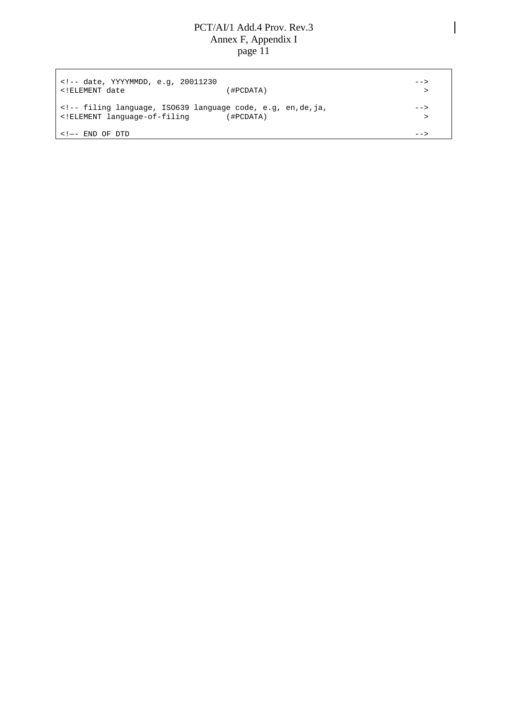<!-- date, YYYYMMDD, e.g, 20011230 --> <!ELEMENT date (#PCDATA) > <!-- filing language, ISO639 language code, e.g, en,de,ja, --> <!ELEMENT language-of-filing (#PCDATA) >  $\lt$ ! $\leftarrow$  END OF DTD  $\leftarrow$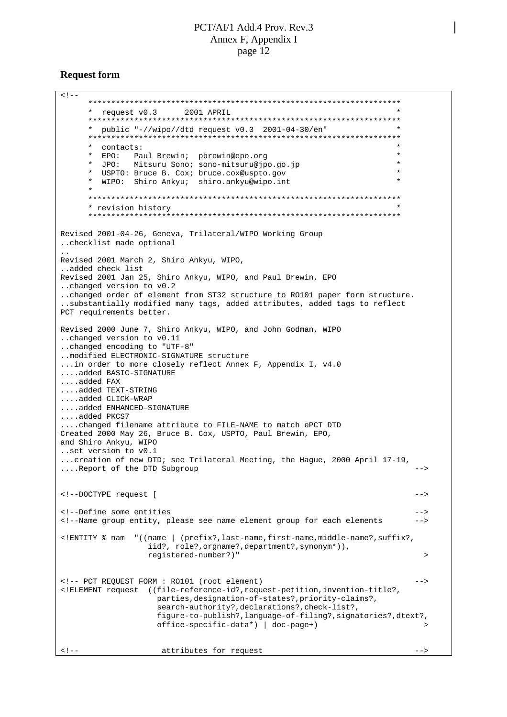#### **Request form**

 $<$ !  $-$ \*\*\*\*\*\*\*\*\*\*\*\*\*\*\*\*\*\*\*\*\*\*\*\*\*\*\*\*\*\*\*\*\*\*\*\*\*\*\*\*\*\*\*\*\*\*\*\*\*\*\*\*\*\*\*\*\*\*\*\*\*\*\*\*\*\*\*\* \* request v0.3 2001 APRIL \* \*\*\*\*\*\*\*\*\*\*\*\*\*\*\*\*\*\*\*\*\*\*\*\*\*\*\*\*\*\*\*\*\*\*\*\*\*\*\*\*\*\*\*\*\*\*\*\*\*\*\*\*\*\*\*\*\*\*\*\*\*\*\*\*\*\*\*\* \* public "-//wipo//dtd request v0.3 2001-04-30/en" \* \*\*\*\*\*\*\*\*\*\*\*\*\*\*\*\*\*\*\*\*\*\*\*\*\*\*\*\*\*\*\*\*\*\*\*\*\*\*\*\*\*\*\*\*\*\*\*\*\*\*\*\*\*\*\*\*\*\*\*\*\*\*\*\*\*\*\*\* \* contacts: \* \* EPO: Paul Brewin; pbrewin@epo.org \* \* JPO: Mitsuru Sono; sono-mitsuru@jpo.go.jp \* \* USPTO: Bruce B. Cox; bruce.cox@uspto.gov \* WIPO: Shiro Ankyu; shiro.ankyu@wipo.int \* \*\*\*\*\*\*\*\*\*\*\*\*\*\*\*\*\*\*\*\*\*\*\*\*\*\*\*\*\*\*\*\*\*\*\*\*\*\*\*\*\*\*\*\*\*\*\*\*\*\*\*\*\*\*\*\*\*\*\*\*\*\*\*\*\*\*\*\* \* revision history \* \*\*\*\*\*\*\*\*\*\*\*\*\*\*\*\*\*\*\*\*\*\*\*\*\*\*\*\*\*\*\*\*\*\*\*\*\*\*\*\*\*\*\*\*\*\*\*\*\*\*\*\*\*\*\*\*\*\*\*\*\*\*\*\*\*\*\*\* Revised 2001-04-26, Geneva, Trilateral/WIPO Working Group ..checklist made optional .. Revised 2001 March 2, Shiro Ankyu, WIPO, ..added check list Revised 2001 Jan 25, Shiro Ankyu, WIPO, and Paul Brewin, EPO ..changed version to v0.2 ..changed order of element from ST32 structure to RO101 paper form structure. ..substantially modified many tags, added attributes, added tags to reflect PCT requirements better. Revised 2000 June 7, Shiro Ankyu, WIPO, and John Godman, WIPO ..changed version to v0.11 ..changed encoding to "UTF-8" ..modified ELECTRONIC-SIGNATURE structure ...in order to more closely reflect Annex F, Appendix I, v4.0 ....added BASIC-SIGNATURE ....added FAX ....added TEXT-STRING ....added CLICK-WRAP ....added ENHANCED-SIGNATURE ....added PKCS7 ....changed filename attribute to FILE-NAME to match ePCT DTD Created 2000 May 26, Bruce B. Cox, USPTO, Paul Brewin, EPO, and Shiro Ankyu, WIPO ..set version to v0.1 ...creation of new DTD; see Trilateral Meeting, the Hague, 2000 April 17-19, ....Report of the DTD Subgroup --> <!--DOCTYPE request [ --> <!--Define some entities --> <!--Name group entity, please see name element group for each elements --> <!ENTITY % nam "((name | (prefix?,last-name,first-name,middle-name?,suffix?, iid?, role?,orgname?,department?,synonym\*)), registered-number?)" > <!-- PCT REQUEST FORM : RO101 (root element) --> <!ELEMENT request ((file-reference-id?,request-petition,invention-title?, parties,designation-of-states?,priority-claims?, search-authority?,declarations?,check-list?, figure-to-publish?,language-of-filing?,signatories?,dtext?,  $offsetize-specific-data*$  | doc-page+) <!-- attributes for request -->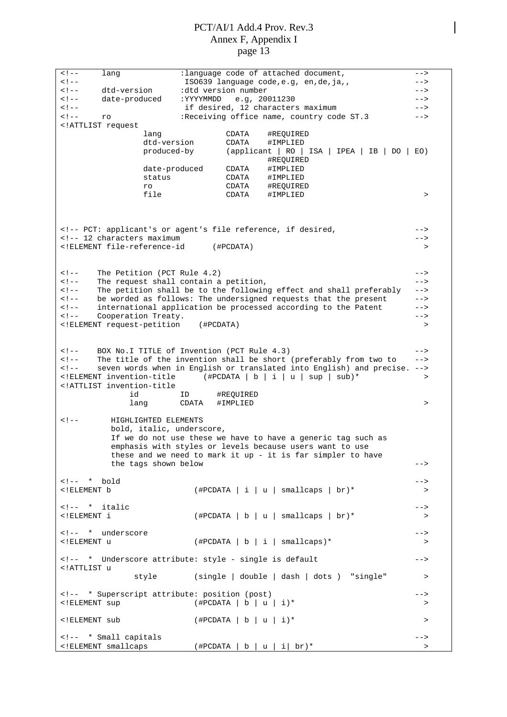<!-- lang :language code of attached document, --> ISO639 language code,e.g, en,de,ja,, <!-- dtd-version :dtd version number --> <!-- date-produced :YYYYMMDD e.g, 20011230 --> if desired, 12 characters maximum <!-- ro :Receiving office name, country code ST.3 --> <!ATTLIST request lang CDATA #REQUIRED dtd-version CDATA #IMPLIED<br>produced-by (applicant | RO | produced-by (applicant | RO | ISA | IPEA | IB | DO | EO) #REQUIRED<br>#IMPLIED date-produced CDATA<br>status CDATA status CDATA #IMPLIED ro CDATA #REQUIRED file CDATA #IMPLIED > <!-- PCT: applicant's or agent's file reference, if desired, --> <!-- 12 characters maximum --> <!ELEMENT file-reference-id (#PCDATA) > <!-- The Petition (PCT Rule 4.2) --> <!-- The request shall contain a petition, -->  $\epsilon$ !-- The petition shall be to the following effect and shall preferably <!-- be worded as follows: The undersigned requests that the present --> <!-- international application be processed according to the Patent --> <!-- Cooperation Treaty. --> <!ELEMENT request-petition (#PCDATA) > <!-- BOX No.I TITLE of Invention (PCT Rule 4.3) --> <!-- The title of the invention shall be short (preferably from two to --> seven words when in English or translated into English) and precise. --> <!ELEMENT invention-title (#PCDATA | b | i | u | sup | sub)\* > <!ATTLIST invention-title id ID #REQUIRED lang CDATA #IMPLIED > <!-- HIGHLIGHTED ELEMENTS bold, italic, underscore, If we do not use these we have to have a generic tag such as emphasis with styles or levels because users want to use these and we need to mark it up - it is far simpler to have the tags shown below example the tags shown below <!-- \* bold -->  $\langle$  + FILEMENT b  $($   $\#$ PCDATA  $\mid$  i  $\mid$  u  $\mid$  smallcaps  $\mid$  br)\* <!-- \* italic -->  $(\texttt{\#PCDATA} | b | u | smallcaps | br)*$  > <!-- \* underscore --> <!ELEMENT u (#PCDATA|b|i| smallcaps)\* > <!-- \* Underscore attribute: style - single is default --> <!ATTLIST u style (single | double | dash | dots ) "single" > <!-- \* Superscript attribute: position (post) -->  $(\text{HPCDATA} | b | u | i)^*$  >  $\langle$  + FLEMENT sub  $($  + PCDATA | b | u | i  $)$  \*  $\langle$ <!-- \* Small capitals -->  $(\text{HPCDATA} | b | u | i | br)^*$  >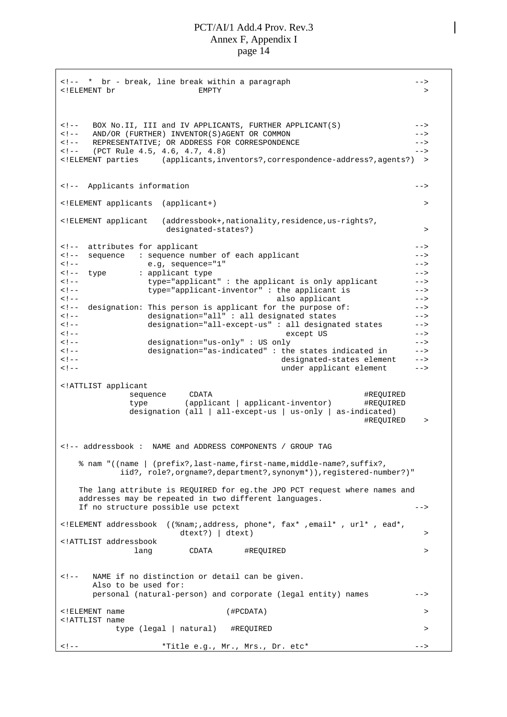<!-- \* br - break, line break within a paragraph --> <!ELEMENT br EMPTY > <!-- BOX No.II, III and IV APPLICANTS, FURTHER APPLICANT(S) --> <!-- AND/OR (FURTHER) INVENTOR(S)AGENT OR COMMON --> <!-- REPRESENTATIVE; OR ADDRESS FOR CORRESPONDENCE --> (PCT Rule 4.5, 4.6, 4.7, 4.8) --> <!ELEMENT parties (applicants,inventors?,correspondence-address?,agents?) > <!-- Applicants information --> <!ELEMENT applicants (applicant+) > <!ELEMENT applicant (addressbook+,nationality,residence,us-rights?, designated-states?) by the contraction of the contraction of the contraction of the contraction of the contraction of the contraction of the contraction of the contraction of the contraction of the contraction of the contr <!-- attributes for applicant --> <!-- sequence : sequence number of each applicant --> <!-- e.g, sequence="1" --> <!-- type : applicant type --> <!-- type="applicant" : the applicant is only applicant --> <!-- type="applicant-inventor" : the applicant is --> <!-- also applicant --> <!-- designation: This person is applicant for the purpose of: --> <!-- designation="all" : all designated states --> <!-- designation="all-except-us" : all designated states --> <!-- except US -->  $designation="us-only" : US only$ <!-- designation="as-indicated" : the states indicated in --> <!-- designated-states element --> under applicant element --> <!ATTLIST applicant sequence CDATA  $\qquad$  CDATA  $\qquad$   $\qquad$   $\qquad$   $\qquad$   $\qquad$   $\qquad$   $\qquad$   $\qquad$   $\qquad$   $\qquad$   $\qquad$   $\qquad$   $\qquad$   $\qquad$   $\qquad$   $\qquad$   $\qquad$   $\qquad$   $\qquad$   $\qquad$   $\qquad$   $\qquad$   $\qquad$   $\qquad$   $\qquad$   $\qquad$   $\qquad$   $\qquad$   $\qquad$   $\qquad$   $\qquad$   $\qquad$   $\q$ type (applicant | applicant-inventor) #REQUIRED designation (all | all-except-us | us-only | as-indicated) #REQUIRED > <!-- addressbook : NAME and ADDRESS COMPONENTS / GROUP TAG % nam "((name | (prefix?,last-name,first-name,middle-name?,suffix?, iid?, role?,orgname?,department?,synonym\*)),registered-number?)" The lang attribute is REQUIRED for eg.the JPO PCT request where names and addresses may be repeated in two different languages. If no structure possible use pctext --> <!ELEMENT addressbook ((%nam;,address, phone\*, fax\* ,email\* , url\* , ead\*, dtext?) | dtext) > <!ATTLIST addressbook lang CDATA #REQUIRED > <!-- NAME if no distinction or detail can be given. Also to be used for: personal (natural-person) and corporate (legal entity) names --> <!ELEMENT name (#PCDATA) > <!ATTLIST name type (legal | natural) #REQUIRED > <!-- \*Title e.g., Mr., Mrs., Dr. etc\* -->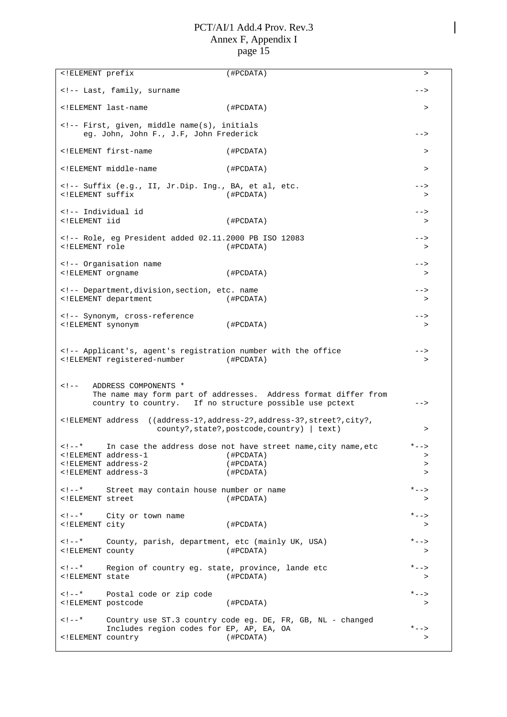| Last, family, surname<br><br>ELEMENT last-name<br (HPCDATA)<br>$\, >$<br>First, given, middle name(s), initials<br>eg. John, John F., J.F, John Frederick<br><math>--&></math><br><!ELEMENT first-name<br>(HPCDATA)<br>><br><!ELEMENT middle-name<br>(#PCDATA)<br><math>\, > \,</math><br><!-- Suffix (e.g., II, Jr.Dip. Ing., BA, et al, etc.<br><br>ELEMENT suffix<br (HPCDATA)<br>><br>Individual id<br><br>ELEMENT iid<br (HPCDATA)<br>><br>Role, eg President added 02.11.2000 PB ISO 12083<br><br>ELEMENT role<br $($ #PCDATA $)$<br>$\, >$<br>Organisation name<br><br>ELEMENT orgname<br $($ #PCDATA $)$<br>><br>Department, division, section, etc. name<br><br>ELEMENT department<br (#PCDATA)<br>><br>Synonym, cross-reference<br><math>--&></math><br><! ELEMENT synonym<br>(#PCDATA)<br><math>\geq</math><br><!-- Applicant's, agent's registration number with the office<br><!ELEMENT registered-number (#PCDATA)<br><math>\, > \,</math><br>ADDRESS COMPONENTS *<br><math><</math>! --<br>The name may form part of addresses. Address format differ from<br>country to country. If no structure possible use pctext<br><br>ELEMENT address<br ((address-1?, address-2?, address-3?, street?, city?,<br>$county$ ?, state?, postcode, country)   text)<br>$\, >$<br>In case the address dose not have street name, city name, etc<br>$\lt$ ! – – *<br>ELEMENT address-1<br (#PCDATA)<br>$\, >$<br>ELEMENT address-2<br (HPCDATA)<br>$\geq$<br>ELEMENT address-3<br (#PCDATA)<br>$\geq$<br>$<$ ! --*<br>Street may contain house number or name<br>$* - - >$<br>ELEMENT street<br (#PCDATA)<br>><br>$<$ ! --*<br>$* - -$<br>City or town name<br>ELEMENT city<br (HPCDATA)<br>><br>$\lt$ ! $- - *$<br>County, parish, department, etc (mainly UK, USA)<br>$* - -$<br>ELEMENT county<br (HPCDATA)<br>$\, >$<br>Region of country eg. state, province, lande etc<br>$\lt$ ! – – *<br>$* - -$<br>ELEMENT state<br (HPCDATA)<br>><br>$\lt$ ! $--$ *<br>Postal code or zip code<br>$* - -$<br>ELEMENT postcode<br (#PCDATA)<br>$\, > \,$ | ELEMENT prefix</th <th>(#PCDATA)</th> <th><math>\geq</math></th> | (#PCDATA) | $\geq$ |
|----------------------------------------------------------------------------------------------------------------------------------------------------------------------------------------------------------------------------------------------------------------------------------------------------------------------------------------------------------------------------------------------------------------------------------------------------------------------------------------------------------------------------------------------------------------------------------------------------------------------------------------------------------------------------------------------------------------------------------------------------------------------------------------------------------------------------------------------------------------------------------------------------------------------------------------------------------------------------------------------------------------------------------------------------------------------------------------------------------------------------------------------------------------------------------------------------------------------------------------------------------------------------------------------------------------------------------------------------------------------------------------------------------------------------------------------------------------------------------------------------------------------------------------------------------------------------------------------------------------------------------------------------------------------------------------------------------------------------------------------------------------------------------------------------------------------------------------------------------------------------------------------------------------------------------------------------------------------------------------------------------------------------------------------------|------------------------------------------------------------------|-----------|--------|
|                                                                                                                                                                                                                                                                                                                                                                                                                                                                                                                                                                                                                                                                                                                                                                                                                                                                                                                                                                                                                                                                                                                                                                                                                                                                                                                                                                                                                                                                                                                                                                                                                                                                                                                                                                                                                                                                                                                                                                                                                                                    |                                                                  |           |        |
|                                                                                                                                                                                                                                                                                                                                                                                                                                                                                                                                                                                                                                                                                                                                                                                                                                                                                                                                                                                                                                                                                                                                                                                                                                                                                                                                                                                                                                                                                                                                                                                                                                                                                                                                                                                                                                                                                                                                                                                                                                                    |                                                                  |           |        |
|                                                                                                                                                                                                                                                                                                                                                                                                                                                                                                                                                                                                                                                                                                                                                                                                                                                                                                                                                                                                                                                                                                                                                                                                                                                                                                                                                                                                                                                                                                                                                                                                                                                                                                                                                                                                                                                                                                                                                                                                                                                    |                                                                  |           |        |
|                                                                                                                                                                                                                                                                                                                                                                                                                                                                                                                                                                                                                                                                                                                                                                                                                                                                                                                                                                                                                                                                                                                                                                                                                                                                                                                                                                                                                                                                                                                                                                                                                                                                                                                                                                                                                                                                                                                                                                                                                                                    |                                                                  |           |        |
|                                                                                                                                                                                                                                                                                                                                                                                                                                                                                                                                                                                                                                                                                                                                                                                                                                                                                                                                                                                                                                                                                                                                                                                                                                                                                                                                                                                                                                                                                                                                                                                                                                                                                                                                                                                                                                                                                                                                                                                                                                                    |                                                                  |           |        |
|                                                                                                                                                                                                                                                                                                                                                                                                                                                                                                                                                                                                                                                                                                                                                                                                                                                                                                                                                                                                                                                                                                                                                                                                                                                                                                                                                                                                                                                                                                                                                                                                                                                                                                                                                                                                                                                                                                                                                                                                                                                    |                                                                  |           |        |
|                                                                                                                                                                                                                                                                                                                                                                                                                                                                                                                                                                                                                                                                                                                                                                                                                                                                                                                                                                                                                                                                                                                                                                                                                                                                                                                                                                                                                                                                                                                                                                                                                                                                                                                                                                                                                                                                                                                                                                                                                                                    |                                                                  |           |        |
|                                                                                                                                                                                                                                                                                                                                                                                                                                                                                                                                                                                                                                                                                                                                                                                                                                                                                                                                                                                                                                                                                                                                                                                                                                                                                                                                                                                                                                                                                                                                                                                                                                                                                                                                                                                                                                                                                                                                                                                                                                                    |                                                                  |           |        |
|                                                                                                                                                                                                                                                                                                                                                                                                                                                                                                                                                                                                                                                                                                                                                                                                                                                                                                                                                                                                                                                                                                                                                                                                                                                                                                                                                                                                                                                                                                                                                                                                                                                                                                                                                                                                                                                                                                                                                                                                                                                    |                                                                  |           |        |
|                                                                                                                                                                                                                                                                                                                                                                                                                                                                                                                                                                                                                                                                                                                                                                                                                                                                                                                                                                                                                                                                                                                                                                                                                                                                                                                                                                                                                                                                                                                                                                                                                                                                                                                                                                                                                                                                                                                                                                                                                                                    |                                                                  |           |        |
|                                                                                                                                                                                                                                                                                                                                                                                                                                                                                                                                                                                                                                                                                                                                                                                                                                                                                                                                                                                                                                                                                                                                                                                                                                                                                                                                                                                                                                                                                                                                                                                                                                                                                                                                                                                                                                                                                                                                                                                                                                                    |                                                                  |           |        |
|                                                                                                                                                                                                                                                                                                                                                                                                                                                                                                                                                                                                                                                                                                                                                                                                                                                                                                                                                                                                                                                                                                                                                                                                                                                                                                                                                                                                                                                                                                                                                                                                                                                                                                                                                                                                                                                                                                                                                                                                                                                    |                                                                  |           |        |
|                                                                                                                                                                                                                                                                                                                                                                                                                                                                                                                                                                                                                                                                                                                                                                                                                                                                                                                                                                                                                                                                                                                                                                                                                                                                                                                                                                                                                                                                                                                                                                                                                                                                                                                                                                                                                                                                                                                                                                                                                                                    |                                                                  |           |        |
|                                                                                                                                                                                                                                                                                                                                                                                                                                                                                                                                                                                                                                                                                                                                                                                                                                                                                                                                                                                                                                                                                                                                                                                                                                                                                                                                                                                                                                                                                                                                                                                                                                                                                                                                                                                                                                                                                                                                                                                                                                                    |                                                                  |           |        |
|                                                                                                                                                                                                                                                                                                                                                                                                                                                                                                                                                                                                                                                                                                                                                                                                                                                                                                                                                                                                                                                                                                                                                                                                                                                                                                                                                                                                                                                                                                                                                                                                                                                                                                                                                                                                                                                                                                                                                                                                                                                    |                                                                  |           |        |
|                                                                                                                                                                                                                                                                                                                                                                                                                                                                                                                                                                                                                                                                                                                                                                                                                                                                                                                                                                                                                                                                                                                                                                                                                                                                                                                                                                                                                                                                                                                                                                                                                                                                                                                                                                                                                                                                                                                                                                                                                                                    |                                                                  |           |        |
|                                                                                                                                                                                                                                                                                                                                                                                                                                                                                                                                                                                                                                                                                                                                                                                                                                                                                                                                                                                                                                                                                                                                                                                                                                                                                                                                                                                                                                                                                                                                                                                                                                                                                                                                                                                                                                                                                                                                                                                                                                                    |                                                                  |           |        |
|                                                                                                                                                                                                                                                                                                                                                                                                                                                                                                                                                                                                                                                                                                                                                                                                                                                                                                                                                                                                                                                                                                                                                                                                                                                                                                                                                                                                                                                                                                                                                                                                                                                                                                                                                                                                                                                                                                                                                                                                                                                    |                                                                  |           |        |
|                                                                                                                                                                                                                                                                                                                                                                                                                                                                                                                                                                                                                                                                                                                                                                                                                                                                                                                                                                                                                                                                                                                                                                                                                                                                                                                                                                                                                                                                                                                                                                                                                                                                                                                                                                                                                                                                                                                                                                                                                                                    |                                                                  |           |        |
|                                                                                                                                                                                                                                                                                                                                                                                                                                                                                                                                                                                                                                                                                                                                                                                                                                                                                                                                                                                                                                                                                                                                                                                                                                                                                                                                                                                                                                                                                                                                                                                                                                                                                                                                                                                                                                                                                                                                                                                                                                                    |                                                                  |           |        |
|                                                                                                                                                                                                                                                                                                                                                                                                                                                                                                                                                                                                                                                                                                                                                                                                                                                                                                                                                                                                                                                                                                                                                                                                                                                                                                                                                                                                                                                                                                                                                                                                                                                                                                                                                                                                                                                                                                                                                                                                                                                    |                                                                  |           |        |
|                                                                                                                                                                                                                                                                                                                                                                                                                                                                                                                                                                                                                                                                                                                                                                                                                                                                                                                                                                                                                                                                                                                                                                                                                                                                                                                                                                                                                                                                                                                                                                                                                                                                                                                                                                                                                                                                                                                                                                                                                                                    |                                                                  |           |        |
| $\lt$ ! – – *<br>Country use ST.3 country code eg. DE, FR, GB, NL - changed<br>Includes region codes for EP, AP, EA, OA<br>$* - - >$<br>ELEMENT country<br (#PCDATA)<br>$\, >$                                                                                                                                                                                                                                                                                                                                                                                                                                                                                                                                                                                                                                                                                                                                                                                                                                                                                                                                                                                                                                                                                                                                                                                                                                                                                                                                                                                                                                                                                                                                                                                                                                                                                                                                                                                                                                                                     |                                                                  |           |        |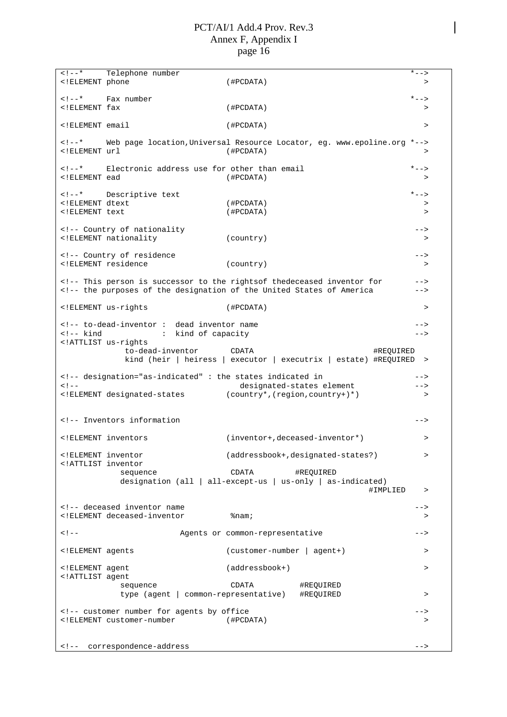| $\lt$ ! $- *$<br>ELEMENT phone</td <td>Telephone number</td> <td>(#PCDATA)</td> <td><math>* - - &gt;</math><br/>&gt;</td>                                                                                                                                                                                                                                                                                                                                                                                                                                                                                                             | Telephone number                                                                                                                                                                                                                                                                                                                                                                                                                                                                                                                                                                               | (#PCDATA)                                                                               | $* - - >$<br>> |
|---------------------------------------------------------------------------------------------------------------------------------------------------------------------------------------------------------------------------------------------------------------------------------------------------------------------------------------------------------------------------------------------------------------------------------------------------------------------------------------------------------------------------------------------------------------------------------------------------------------------------------------|------------------------------------------------------------------------------------------------------------------------------------------------------------------------------------------------------------------------------------------------------------------------------------------------------------------------------------------------------------------------------------------------------------------------------------------------------------------------------------------------------------------------------------------------------------------------------------------------|-----------------------------------------------------------------------------------------|----------------|
|                                                                                                                                                                                                                                                                                                                                                                                                                                                                                                                                                                                                                                       |                                                                                                                                                                                                                                                                                                                                                                                                                                                                                                                                                                                                |                                                                                         |                |
| * Fax number</td><td></td><td></td><td><math>* - -</math></td></tr><tr><td><!ELEMENT fax</td><td></td><td>(HPCDATA)</td><td>></td></tr><tr><td><!ELEMENT email</td><td></td><td>(HPCDATA)</td><td><math>\, > \,</math></td></tr><tr><td><math>\lt</math> ! <math>--</math> *<br><!ELEMENT url</td><td></td><td>Web page location, Universal Resource Locator, eg. www.epoline.org *<br>(HPCDATA)                                                                                                                                                                                                                                      | $\, > \,$                                                                                                                                                                                                                                                                                                                                                                                                                                                                                                                                                                                      |                                                                                         |                |
|                                                                                                                                                                                                                                                                                                                                                                                                                                                                                                                                                                                                                                       | * Electronic address use for other than email</td><td></td><td><math>* - -</math>></td></tr><tr><td><!ELEMENT ead</td><td></td><td>(HPCDATA)</td><td>></td></tr><tr><td></td><td><!--* Descriptive text</td><td></td><td><math>* - -</math></td></tr><tr><td><!ELEMENT dtext</td><td></td><td>(#PCDATA)</td><td>></td></tr><tr><td><!ELEMENT text</td><td></td><td>(HPCDATA)</td><td><math>\geq</math></td></tr><tr><td></td><td><!-- Country of nationality</td><td></td><td>                                                                                                                 |                                                                                         |                |
|                                                                                                                                                                                                                                                                                                                                                                                                                                                                                                                                                                                                                                       | ELEMENT nationality</td <td>(country)</td> <td><math>\,&gt;</math></td>                                                                                                                                                                                                                                                                                                                                                                                                                                                                                                                        | (country)                                                                               | $\,>$          |
|                                                                                                                                                                                                                                                                                                                                                                                                                                                                                                                                                                                                                                       |                                                                                                                                                                                                                                                                                                                                                                                                                                                                                                                                                                                                |                                                                                         | $--$           |
| ELEMENT residence</td <td><!-- Country of residence</td><td>( country)</td><td>></td></tr><tr><td></td><td></td><td></td><td></td></tr><tr><td></td><td></td><td><!-- This person is successor to the rightsof thedeceased inventor for<br><!-- the purposes of the designation of the United States of America</td><td></td></tr><tr><td><! ELEMENT us-rights</td><td></td><td>(HPCDATA)</td><td>></td></tr><tr><td></td><td><!-- to-dead-inventor : dead inventor name</td><td></td><td></td></tr><tr><td><!-- kind</td><td>kind of capacity<br><math display="inline">\mathcal{I}^{\mathcal{I}}</math> .</td><td></td><td>--></td> | Country of residence</td><td>( country)</td><td>></td></tr><tr><td></td><td></td><td></td><td></td></tr><tr><td></td><td></td><td><!-- This person is successor to the rightsof thedeceased inventor for<br><!-- the purposes of the designation of the United States of America</td><td></td></tr><tr><td><! ELEMENT us-rights</td><td></td><td>(HPCDATA)</td><td>></td></tr><tr><td></td><td><!-- to-dead-inventor : dead inventor name</td><td></td><td></td></tr><tr><td><!-- kind</td><td>kind of capacity<br><math display="inline">\mathcal{I}^{\mathcal{I}}</math> .</td><td></td><td> |                                                                                         |                |
| ATTLIST us-rights</td <td></td> <td></td> <td></td>                                                                                                                                                                                                                                                                                                                                                                                                                                                                                                                                                                                   |                                                                                                                                                                                                                                                                                                                                                                                                                                                                                                                                                                                                |                                                                                         |                |
|                                                                                                                                                                                                                                                                                                                                                                                                                                                                                                                                                                                                                                       | to-dead-inventor                                                                                                                                                                                                                                                                                                                                                                                                                                                                                                                                                                               | CDATA<br>#REQUIRED<br>kind (heir   heiress   executor   executrix   estate) #REQUIRED > |                |
|                                                                                                                                                                                                                                                                                                                                                                                                                                                                                                                                                                                                                                       |                                                                                                                                                                                                                                                                                                                                                                                                                                                                                                                                                                                                |                                                                                         |                |
|                                                                                                                                                                                                                                                                                                                                                                                                                                                                                                                                                                                                                                       | designation="as-indicated": the states indicated in</td><td></td><td>                                                                                                                                                                                                                                                                                                                                                                                                                                                                                                                          |                                                                                         |                |
| $<$ ! --                                                                                                                                                                                                                                                                                                                                                                                                                                                                                                                                                                                                                              | ELEMENT designated-states</td <td>designated-states element<br/>(country*, (region, country+)*)</td> <td><math>--&amp;&gt;</math><br/>&gt;</td>                                                                                                                                                                                                                                                                                                                                                                                                                                                | designated-states element<br>(country*, (region, country+)*)                            | $--&>$<br>>    |
|                                                                                                                                                                                                                                                                                                                                                                                                                                                                                                                                                                                                                                       |                                                                                                                                                                                                                                                                                                                                                                                                                                                                                                                                                                                                |                                                                                         |                |
|                                                                                                                                                                                                                                                                                                                                                                                                                                                                                                                                                                                                                                       | <!-- Inventors information</td> <td></td> <td></td>                                                                                                                                                                                                                                                                                                                                                                                                                                                                                                                                            |                                                                                         |                |
| ELEMENT inventors</td <td></td> <td><math>(inventor+,deceased-inventor*)</math></td> <td><math>\, &gt; \,</math></td>                                                                                                                                                                                                                                                                                                                                                                                                                                                                                                                 |                                                                                                                                                                                                                                                                                                                                                                                                                                                                                                                                                                                                | $(inventor+,deceased-inventor*)$                                                        | $\, > \,$      |
| ELEMENT inventor<br ATTLIST inventor</td <td></td> <td>(addressbook+, designated-states?)</td> <td>&gt;</td>                                                                                                                                                                                                                                                                                                                                                                                                                                                                                                                          |                                                                                                                                                                                                                                                                                                                                                                                                                                                                                                                                                                                                | (addressbook+, designated-states?)                                                      | >              |
|                                                                                                                                                                                                                                                                                                                                                                                                                                                                                                                                                                                                                                       | sequence                                                                                                                                                                                                                                                                                                                                                                                                                                                                                                                                                                                       | CDATA<br>#REQUIRED                                                                      |                |
|                                                                                                                                                                                                                                                                                                                                                                                                                                                                                                                                                                                                                                       |                                                                                                                                                                                                                                                                                                                                                                                                                                                                                                                                                                                                | designation (all   all-except-us   us-only   as-indicated)                              |                |
|                                                                                                                                                                                                                                                                                                                                                                                                                                                                                                                                                                                                                                       |                                                                                                                                                                                                                                                                                                                                                                                                                                                                                                                                                                                                | #IMPLIED                                                                                | >              |
|                                                                                                                                                                                                                                                                                                                                                                                                                                                                                                                                                                                                                                       | <!-- deceased inventor name</td> <td></td> <td><math>\rightarrow</math></td>                                                                                                                                                                                                                                                                                                                                                                                                                                                                                                                   |                                                                                         | $\rightarrow$  |
|                                                                                                                                                                                                                                                                                                                                                                                                                                                                                                                                                                                                                                       | ELEMENT deceased-inventor</td <td><math>\text{\textdegree}</math>nam;</td> <td>&gt;</td>                                                                                                                                                                                                                                                                                                                                                                                                                                                                                                       | $\text{\textdegree}$ nam;                                                               | >              |
| < ! --                                                                                                                                                                                                                                                                                                                                                                                                                                                                                                                                                                                                                                |                                                                                                                                                                                                                                                                                                                                                                                                                                                                                                                                                                                                | Agents or common-representative                                                         |                |
| ELEMENT agents</td <td></td> <td><math>(customer-number \mid agent+)</math></td> <td><math>\, &gt; \,</math></td>                                                                                                                                                                                                                                                                                                                                                                                                                                                                                                                     |                                                                                                                                                                                                                                                                                                                                                                                                                                                                                                                                                                                                | $(customer-number \mid agent+)$                                                         | $\, > \,$      |
| ELEMENT agent<br ATTLIST agent</td <td></td> <td><math>(addressbook+)</math></td> <td><math>\geq</math></td>                                                                                                                                                                                                                                                                                                                                                                                                                                                                                                                          |                                                                                                                                                                                                                                                                                                                                                                                                                                                                                                                                                                                                | $(addressbook+)$                                                                        | $\geq$         |
|                                                                                                                                                                                                                                                                                                                                                                                                                                                                                                                                                                                                                                       | sequence                                                                                                                                                                                                                                                                                                                                                                                                                                                                                                                                                                                       | CDATA<br>#REQUIRED                                                                      |                |
|                                                                                                                                                                                                                                                                                                                                                                                                                                                                                                                                                                                                                                       | type (agent   common-representative)                                                                                                                                                                                                                                                                                                                                                                                                                                                                                                                                                           | #REQUIRED                                                                               | $\, > \,$      |
|                                                                                                                                                                                                                                                                                                                                                                                                                                                                                                                                                                                                                                       | <!-- customer number for agents by office</td> <td></td> <td>-&gt;</td>                                                                                                                                                                                                                                                                                                                                                                                                                                                                                                                        |                                                                                         | ->             |
|                                                                                                                                                                                                                                                                                                                                                                                                                                                                                                                                                                                                                                       | ELEMENT customer-number</td <td>(HPCDATA)</td> <td>&gt;</td>                                                                                                                                                                                                                                                                                                                                                                                                                                                                                                                                   | (HPCDATA)                                                                               | >              |
|                                                                                                                                                                                                                                                                                                                                                                                                                                                                                                                                                                                                                                       |                                                                                                                                                                                                                                                                                                                                                                                                                                                                                                                                                                                                |                                                                                         |                |
| $\lt$ ! $--$                                                                                                                                                                                                                                                                                                                                                                                                                                                                                                                                                                                                                          | correspondence-address                                                                                                                                                                                                                                                                                                                                                                                                                                                                                                                                                                         |                                                                                         | $--$           |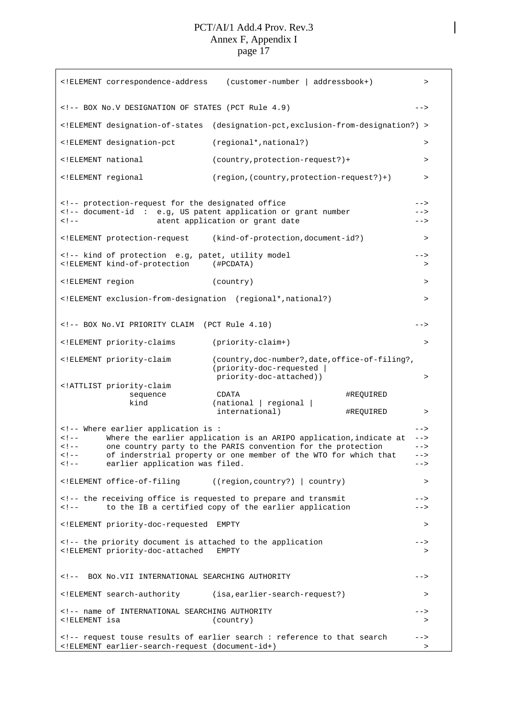| ELEMENT correspondence-address</th <th>(customer-number   addressbook+)</th> <th><math>\,&gt;\,</math></th>                                                                                                                                                                                                                                                                                                                                                                                                                                                                                                                                                                                                                                                                      | (customer-number   addressbook+)                                                                                                                        | $\,>\,$                           |
|----------------------------------------------------------------------------------------------------------------------------------------------------------------------------------------------------------------------------------------------------------------------------------------------------------------------------------------------------------------------------------------------------------------------------------------------------------------------------------------------------------------------------------------------------------------------------------------------------------------------------------------------------------------------------------------------------------------------------------------------------------------------------------|---------------------------------------------------------------------------------------------------------------------------------------------------------|-----------------------------------|
| BOX No.V DESIGNATION OF STATES (PCT Rule 4.9)</td><td></td><td><math>--&></math></td></tr><tr><td><!ELEMENT designation-of-states</td><td>(designation-pct, exclusion-from-designation?) ></td><td></td></tr><tr><td><!ELEMENT designation-pct</td><td>(regional*, national?)</td><td><math>\,></math></td></tr><tr><td><!ELEMENT national</td><td><math>(country, protection-request?) +</math></td><td>></td></tr><tr><td><!ELEMENT regional</td><td><math>(region, (country, protection-request?)+)</math></td><td><math>\,></math></td></tr><tr><td><!-- protection-request for the designated office<br><math>\lt</math> ! <math>--</math></td><td><!-- document-id : e.g, US patent application or grant number<br>atent application or grant date</td><td><br>--><br>$--$ |                                                                                                                                                         |                                   |
|                                                                                                                                                                                                                                                                                                                                                                                                                                                                                                                                                                                                                                                                                                                                                                                  | ELEMENT protection-request (kind-of-protection, document-id?)</td <td><math>\,&gt;</math></td>                                                          | $\,>$                             |
| kind of protection e.g, patet, utility model<br><!ELEMENT kind-of-protection</td><td>(#PCDATA)</td><td><br>>                                                                                                                                                                                                                                                                                                                                                                                                                                                                                                                                                                                                                                                                     |                                                                                                                                                         |                                   |
| ELEMENT region</td <td>(country)</td> <td><math>\,&gt;\,</math></td>                                                                                                                                                                                                                                                                                                                                                                                                                                                                                                                                                                                                                                                                                                             | (country)                                                                                                                                               | $\,>\,$                           |
| ELEMENT exclusion-from-designation (regional*,national?)</td <td></td> <td><math>\geq</math></td>                                                                                                                                                                                                                                                                                                                                                                                                                                                                                                                                                                                                                                                                                |                                                                                                                                                         | $\geq$                            |
| BOX No.VI PRIORITY CLAIM (PCT Rule 4.10)</td><td></td><td>                                                                                                                                                                                                                                                                                                                                                                                                                                                                                                                                                                                                                                                                                                                       |                                                                                                                                                         |                                   |
| ELEMENT priority-claims</td <td>(priority-claim+)</td> <td><math>\, &gt; \,</math></td>                                                                                                                                                                                                                                                                                                                                                                                                                                                                                                                                                                                                                                                                                          | (priority-claim+)                                                                                                                                       | $\, > \,$                         |
| ELEMENT priority-claim</td <td>(country, doc-number?, date, office-of-filing?,<br/>(priority-doc-requested  <br/>priority-doc-attached))</td> <td>&gt;</td>                                                                                                                                                                                                                                                                                                                                                                                                                                                                                                                                                                                                                      | (country, doc-number?, date, office-of-filing?,<br>(priority-doc-requested  <br>priority-doc-attached))                                                 | >                                 |
| ATTLIST priority-claim<br sequence<br>kind                                                                                                                                                                                                                                                                                                                                                                                                                                                                                                                                                                                                                                                                                                                                       | CDATA<br>(national   regional  <br>international)                                                                                                       | #REQUIRED<br>#REQUIRED<br>$\,>\,$ |
| Where earlier application is :<br><math>\lt</math> ! <math>--</math><br><math>\lt</math> ! <math>--</math><br><math>\lt</math> ! <math>--</math><br>earlier application was filed.<br><math>\lt</math> ! <math>--</math></td><td>Where the earlier application is an ARIPO application, indicate at<br>one country party to the PARIS convention for the protection<br>of inderstrial property or one member of the WTO for which that</td><td><math>--</math><br><math>--&></math><br><math>--</math><br><br>$--$                                                                                                                                                                                                                                                               |                                                                                                                                                         |                                   |
| ELEMENT office-of-filing</td <td>((region, country?)   country)</td> <td><math>\geq</math></td>                                                                                                                                                                                                                                                                                                                                                                                                                                                                                                                                                                                                                                                                                  | ((region, country?)   country)                                                                                                                          | $\geq$                            |
| the receiving office is requested to prepare and transmit<br><math>\lt</math> ! <math>--</math></td><td>to the IB a certified copy of the earlier application</td><td><br>$--$                                                                                                                                                                                                                                                                                                                                                                                                                                                                                                                                                                                                   |                                                                                                                                                         |                                   |
| ELEMENT priority-doc-requested EMPTY</td <td></td> <td><math>\geq</math></td>                                                                                                                                                                                                                                                                                                                                                                                                                                                                                                                                                                                                                                                                                                    |                                                                                                                                                         | $\geq$                            |
| <!-- the priority document is attached to the application<br> ELEMENT priority-doc-attached EMPTY</td <td></td> <td><math>--</math><br/>&gt;</td>                                                                                                                                                                                                                                                                                                                                                                                                                                                                                                                                                                                                                                |                                                                                                                                                         | $--$<br>>                         |
| <!-- BOX No.VII INTERNATIONAL SEARCHING AUTHORITY</td> <td></td> <td><math>--&amp;&gt;</math></td>                                                                                                                                                                                                                                                                                                                                                                                                                                                                                                                                                                                                                                                                               |                                                                                                                                                         | $--&>$                            |
| ELEMENT search-authority (isa,earlier-search-request?)</td <td></td> <td><math display="inline">\, &gt;</math></td>                                                                                                                                                                                                                                                                                                                                                                                                                                                                                                                                                                                                                                                              |                                                                                                                                                         | $\, >$                            |
| <!-- name of INTERNATIONAL SEARCHING AUTHORITY<br> ELEMENT isa</td <td>(country)</td> <td><math>--&amp;&gt;</math><br/>&gt;</td>                                                                                                                                                                                                                                                                                                                                                                                                                                                                                                                                                                                                                                                 | (country)                                                                                                                                               | $--&>$<br>>                       |
| ELEMENT earlier-search-request (document-id+)</td <td>&lt;!-- request touse results of earlier search : reference to that search&lt;/td&gt;<td><math>--&amp;</math><br/><math display="inline">\, &gt; \,</math></td></td>                                                                                                                                                                                                                                                                                                                                                                                                                                                                                                                                                       | <!-- request touse results of earlier search : reference to that search</td> <td><math>--&amp;</math><br/><math display="inline">\, &gt; \,</math></td> | $--&$<br>$\, > \,$                |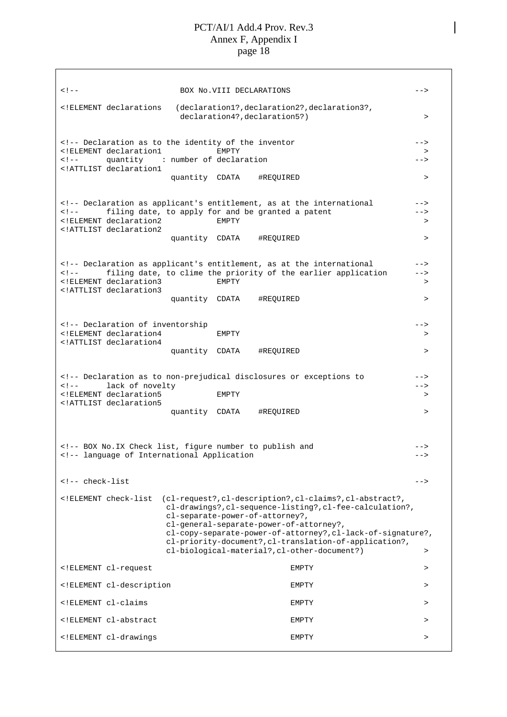<!-- BOX No.VIII DECLARATIONS --> <!ELEMENT declarations (declaration1?,declaration2?,declaration3?, declaration4?,declaration5?) <!-- Declaration as to the identity of the inventor --> <!ELEMENT declaration1 EMPTY > <!-- quantity : number of declaration --> <!ATTLIST declaration1 quantity CDATA #REQUIRED > <!-- Declaration as applicant's entitlement, as at the international --> <!-- filing date, to apply for and be granted a patent --> <!ELEMENT declaration2 EMPTY > <!ATTLIST declaration2 quantity CDATA #REQUIRED > <!-- Declaration as applicant's entitlement, as at the international --> <!-- filing date, to clime the priority of the earlier application --> <!ELEMENT declaration3 EMPTY > <!ATTLIST declaration3 quantity CDATA #REQUIRED > <!-- Declaration of inventorship --> <!ELEMENT declaration4 EMPTY > <!ATTLIST declaration4 quantity CDATA #REQUIRED > <!-- Declaration as to non-prejudical disclosures or exceptions to --> <!-- lack of novelty  $\overline{\phantom{a} \phantom{a}}$ <!ELEMENT declaration5 EMPTY > <!ATTLIST declaration5 quantity CDATA #REQUIRED > <!-- BOX No.IX Check list, figure number to publish and --> <!-- language of International Application --> <!-- check-list --> <!ELEMENT check-list (cl-request?,cl-description?,cl-claims?,cl-abstract?, cl-drawings?,cl-sequence-listing?,cl-fee-calculation?, cl-separate-power-of-attorney?, cl-general-separate-power-of-attorney?, cl-copy-separate-power-of-attorney?,cl-lack-of-signature?, cl-priority-document?,cl-translation-of-application?, cl-biological-material?,cl-other-document?) > <!ELEMENT cl-request EMPTY > <!ELEMENT cl-description EMPTY > <!ELEMENT cl-claims EMPTY > <!ELEMENT cl-abstract EMPTY > <!ELEMENT cl-drawings EMPTY >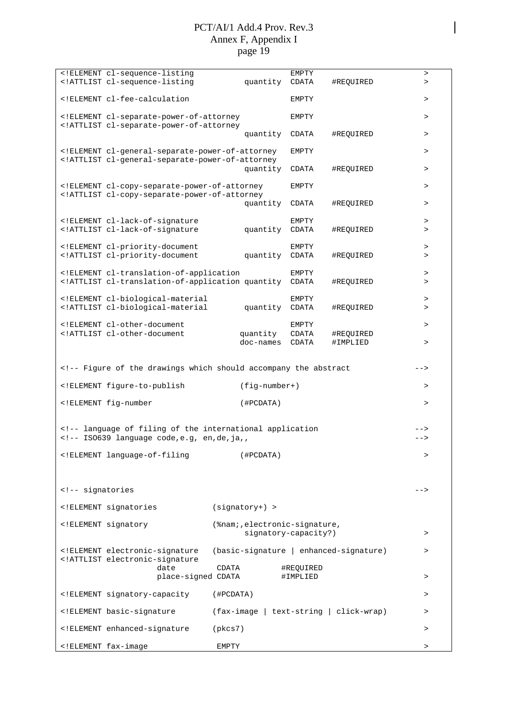|                                                          | ELEMENT cl-sequence-listing</th <th></th> <th><b>EMPTY</b></th> <th></th> <th>&gt;</th>                                                                                                                                                             |                                        | <b>EMPTY</b>          |           | >                |
|----------------------------------------------------------|-----------------------------------------------------------------------------------------------------------------------------------------------------------------------------------------------------------------------------------------------------|----------------------------------------|-----------------------|-----------|------------------|
|                                                          | ATTLIST cl-sequence-listing</td <td>quantity</td> <td>CDATA</td> <td>#REQUIRED</td> <td><math display="inline">\, &gt;</math></td>                                                                                                                  | quantity                               | CDATA                 | #REQUIRED | $\, >$           |
|                                                          | ELEMENT cl-fee-calculation</td <td></td> <td>EMPTY</td> <td></td> <td><math>\, &gt; \,</math></td>                                                                                                                                                  |                                        | EMPTY                 |           | $\, > \,$        |
|                                                          | ELEMENT cl-separate-power-of-attorney<br ATTLIST cl-separate-power-of-attorney</td <td></td> <td><b>EMPTY</b></td> <td></td> <td><math display="inline">\, &gt;</math></td>                                                                         |                                        | <b>EMPTY</b>          |           | $\, >$           |
|                                                          |                                                                                                                                                                                                                                                     | quantity                               | CDATA                 | #REQUIRED | $\, >$           |
|                                                          | ELEMENT cl-general-separate-power-of-attorney<br ATTLIST cl-general-separate-power-of-attorney</td <td></td> <td>EMPTY</td> <td></td> <td><math>\, &gt; \,</math></td>                                                                              |                                        | EMPTY                 |           | $\, > \,$        |
|                                                          |                                                                                                                                                                                                                                                     | quantity                               | CDATA                 | #REQUIRED | $\, >$           |
|                                                          | ELEMENT cl-copy-separate-power-of-attorney<br ATTLIST cl-copy-separate-power-of-attorney</td <td>quantity</td> <td>EMPTY<br/>CDATA</td> <td>#REQUIRED</td> <td><math display="inline">\, &gt;</math><br/><math display="inline">\, &gt;</math></td> | quantity                               | EMPTY<br>CDATA        | #REQUIRED | $\, >$<br>$\, >$ |
|                                                          |                                                                                                                                                                                                                                                     |                                        |                       |           |                  |
|                                                          | ELEMENT cl-lack-of-signature</td <td></td> <td>EMPTY</td> <td></td> <td><math display="inline">\, &gt;</math></td>                                                                                                                                  |                                        | EMPTY                 |           | $\, >$           |
|                                                          | ATTLIST cl-lack-of-signature</td <td>quantity</td> <td>CDATA</td> <td>#REQUIRED</td> <td><math display="inline">\, &gt;</math></td>                                                                                                                 | quantity                               | CDATA                 | #REQUIRED | $\, >$           |
|                                                          | ELEMENT cl-priority-document</td <td></td> <td>EMPTY</td> <td></td> <td><math display="inline">\, &gt;</math></td>                                                                                                                                  |                                        | EMPTY                 |           | $\, >$           |
|                                                          | ATTLIST cl-priority-document</td <td>quantity</td> <td>CDATA</td> <td>#REQUIRED</td> <td><math>\, &gt; \,</math></td>                                                                                                                               | quantity                               | CDATA                 | #REQUIRED | $\, > \,$        |
|                                                          | ELEMENT cl-translation-of-application</td <td></td> <td>EMPTY</td> <td></td> <td><math>\, &gt; \,</math></td>                                                                                                                                       |                                        | EMPTY                 |           | $\, > \,$        |
|                                                          | ATTLIST cl-translation-of-application quantity</td <td></td> <td>CDATA</td> <td>#REQUIRED</td> <td><math>\, &gt; \,</math></td>                                                                                                                     |                                        | CDATA                 | #REQUIRED | $\, > \,$        |
|                                                          | ELEMENT cl-biological-material</td <td></td> <td>EMPTY</td> <td></td> <td><math display="inline">\, &gt;</math></td>                                                                                                                                |                                        | EMPTY                 |           | $\, >$           |
|                                                          | ATTLIST cl-biological-material</td <td>quantity</td> <td>CDATA</td> <td>#REQUIRED</td> <td><math>\, &gt; \,</math></td>                                                                                                                             | quantity                               | CDATA                 | #REQUIRED | $\, > \,$        |
|                                                          | ELEMENT cl-other-document</td <td></td> <td>EMPTY</td> <td></td> <td><math display="inline">\, &gt;</math></td>                                                                                                                                     |                                        | EMPTY                 |           | $\, >$           |
|                                                          | ATTLIST cl-other-document</td <td>quantity</td> <td>CDATA</td> <td>#REQUIRED</td> <td></td>                                                                                                                                                         | quantity                               | CDATA                 | #REQUIRED |                  |
|                                                          |                                                                                                                                                                                                                                                     | doc-names                              | CDATA                 | #IMPLIED  | $\, >$           |
|                                                          |                                                                                                                                                                                                                                                     |                                        |                       |           |                  |
|                                                          | Figure of the drawings which should accompany the abstract</td><td></td><td></td><td></td><td>                                                                                                                                                      |                                        |                       |           |                  |
|                                                          |                                                                                                                                                                                                                                                     |                                        |                       |           |                  |
|                                                          | ELEMENT figure-to-publish</td <td>(fig-number+)</td> <td></td> <td></td> <td><math display="inline">\, &gt;</math></td>                                                                                                                             | (fig-number+)                          |                       |           | $\, >$           |
|                                                          | ELEMENT fig-number</td <td>(HPCDATA)</td> <td></td> <td></td> <td><math>\, &gt; \,</math></td>                                                                                                                                                      | (HPCDATA)                              |                       |           | $\, > \,$        |
|                                                          |                                                                                                                                                                                                                                                     |                                        |                       |           |                  |
|                                                          | language of filing of the international application<br><!-- ISO639 language code, e.g, en, de, ja,,</td><td></td><td></td><td></td><td><br>-->                                                                                                      |                                        |                       |           |                  |
|                                                          | ELEMENT language-of-filing</td <td>(#PCDATA)</td> <td></td> <td></td> <td>&gt;</td>                                                                                                                                                                 | (#PCDATA)                              |                       |           | >                |
|                                                          |                                                                                                                                                                                                                                                     |                                        |                       |           |                  |
| signatories</td><td></td><td></td><td></td><td></td><td> |                                                                                                                                                                                                                                                     |                                        |                       |           |                  |
|                                                          | ELEMENT signatories</td <td><math>(signatory+) &gt;</math></td> <td></td> <td></td> <td></td>                                                                                                                                                       | $(signatory+) >$                       |                       |           |                  |
|                                                          | ELEMENT signatory</td <td>(%nam;, electronic-signature,</td> <td></td> <td></td> <td></td>                                                                                                                                                          | (%nam;, electronic-signature,          |                       |           |                  |
|                                                          |                                                                                                                                                                                                                                                     | signatory-capacity?)                   |                       |           | $\geq$           |
|                                                          | ELEMENT electronic-signature<br ATTLIST electronic-signature</td <td>(basic-signature   enhanced-signature)</td> <td></td> <td></td> <td><math>\geq</math></td>                                                                                     | (basic-signature   enhanced-signature) |                       |           | $\geq$           |
|                                                          | date<br>place-signed CDATA                                                                                                                                                                                                                          | CDATA                                  | #REQUIRED<br>#IMPLIED |           | $\geq$           |
|                                                          | ELEMENT signatory-capacity</td <td>(#PCDATA)</td> <td></td> <td></td> <td><math>\,&gt;</math></td>                                                                                                                                                  | (#PCDATA)                              |                       |           | $\,>$            |
|                                                          | ELEMENT basic-signature</td <td>(fax-image   text-string   click-wrap)</td> <td></td> <td></td> <td><math display="inline">\, &gt;</math></td>                                                                                                      | (fax-image   text-string   click-wrap) |                       |           | $\, >$           |
|                                                          | ELEMENT enhanced-signature</td <td>(pkcs7)</td> <td></td> <td></td> <td><math>\, &gt; \,</math></td>                                                                                                                                                | (pkcs7)                                |                       |           | $\, > \,$        |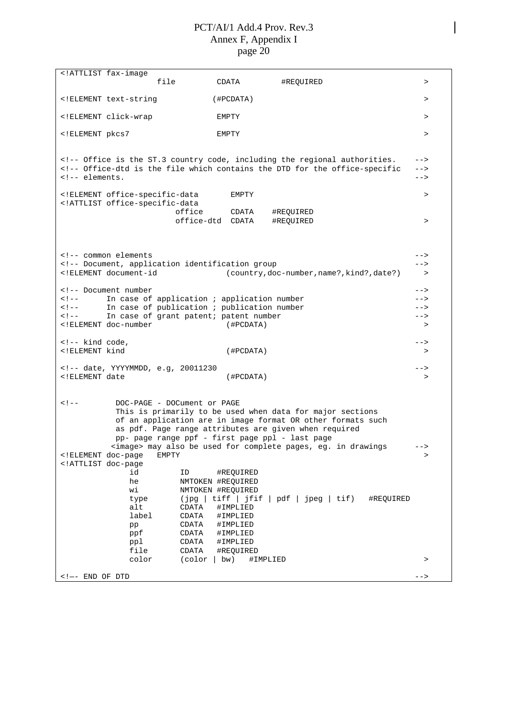<!ATTLIST fax-image file CDATA #REQUIRED > <!ELEMENT text-string (#PCDATA) > <!ELEMENT click-wrap EMPTY > <!ELEMENT pkcs7 EMPTY > <!-- Office is the ST.3 country code, including the regional authorities. --> <!-- Office-dtd is the file which contains the DTD for the office-specific --> <!-- elements. --> <!ELEMENT office-specific-data EMPTY > <!ATTLIST office-specific-data office CDATA #REQUIRED office-dtd CDATA #REQUIRED > <!-- common elements --> <!-- Document, application identification group --> <!ELEMENT document-id (country,doc-number,name?,kind?,date?) > <!-- Document number --> <!-- In case of application ; application number --> <!-- In case of publication ; publication number --> <!-- In case of grant patent; patent number --> <!ELEMENT doc-number (#PCDATA) >  $\leq$   $\frac{1}{2}$   $\leq$   $\leq$   $\leq$   $\leq$   $\leq$   $\leq$   $\leq$   $\leq$   $\leq$   $\leq$   $\leq$   $\leq$   $\leq$   $\leq$   $\leq$   $\leq$   $\leq$   $\leq$   $\leq$   $\leq$   $\leq$   $\leq$   $\leq$   $\leq$   $\leq$   $\leq$   $\leq$   $\leq$   $\leq$   $\leq$   $\leq$   $\leq$   $\leq$   $\leq$  <!ELEMENT kind (#PCDATA) > <!-- date, YYYYMMDD, e.g, 20011230 --> <!ELEMENT date (#PCDATA) > <!-- DOC-PAGE - DOCument or PAGE This is primarily to be used when data for major sections of an application are in image format OR other formats such as pdf. Page range attributes are given when required pp- page range ppf - first page ppl - last page <image> may also be used for complete pages, eg. in drawings --> <!ELEMENT doc-page EMPTY > <!ATTLIST doc-page id ID #REQUIRED he NMTOKEN #REQUIRED wi NMTOKEN #REQUIRED type (jpg | tiff | jfif | pdf | jpeg | tif) #REQUIRED alt CDATA #IMPLIED<br>label CDATA #IMPLIED #IMPLIED pp CDATA #IMPLIED<br>ppf CDATA #IMPLIED CDATA #IMPLIED ppl CDATA #IMPLIED file CDATA #REQUIRED color (color | bw) #IMPLIED > > <!—- END OF DTD -->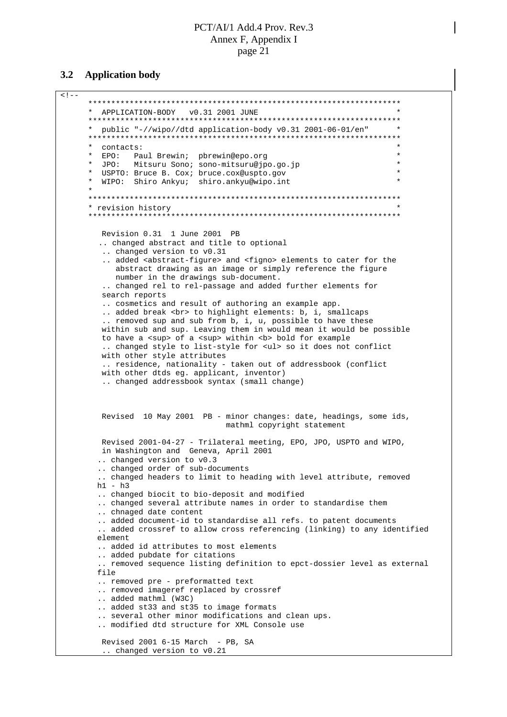#### **3.2 Application body**

```
<! -********************************************************************
     * APPLICATION-BODY v0.31 2001 JUNE *
     ********************************************************************
      * public "-//wipo//dtd application-body v0.31 2001-06-01/en" *
     ********************************************************************
      * contacts: *
      * EPO: Paul Brewin; pbrewin@epo.org *
        * JPO: Mitsuru Sono; sono-mitsuru@jpo.go.jp *
        USPTO: Bruce B. Cox; bruce.cox@uspto.gov
        WIPO: Shiro Ankyu; shiro.ankyu@wipo.int
      *
      ********************************************************************
      * revision history *
      ********************************************************************
        Revision 0.31 1 June 2001 PB
        .. changed abstract and title to optional
         .. changed version to v0.31
         .. added <abstract-figure> and <figno> elements to cater for the
           abstract drawing as an image or simply reference the figure
           number in the drawings sub-document.
         .. changed rel to rel-passage and added further elements for
         search reports
         .. cosmetics and result of authoring an example app.
         .. added break <br> to highlight elements: b, i, smallcaps
         .. removed sup and sub from b, i, u, possible to have these
        within sub and sup. Leaving them in would mean it would be possible
         to have a <sup> of a <sup> within <b> bold for example
         .. changed style to list-style for <ul> so it does not conflict
        with other style attributes
         .. residence, nationality - taken out of addressbook (conflict
        with other dtds eg. applicant, inventor)
         .. changed addressbook syntax (small change)
        Revised 10 May 2001 PB - minor changes: date, headings, some ids,
                                   mathml copyright statement
        Revised 2001-04-27 - Trilateral meeting, EPO, JPO, USPTO and WIPO,
        in Washington and Geneva, April 2001
        .. changed version to v0.3
        .. changed order of sub-documents
         .. changed headers to limit to heading with level attribute, removed
       h1 - h3.. changed biocit to bio-deposit and modified
        .. changed several attribute names in order to standardise them
        .. chnaged date content
        .. added document-id to standardise all refs. to patent documents
        .. added crossref to allow cross referencing (linking) to any identified
       element
        .. added id attributes to most elements
        .. added pubdate for citations
        .. removed sequence listing definition to epct-dossier level as external
       file
        .. removed pre - preformatted text
        .. removed imageref replaced by crossref
        .. added mathml (W3C)
        .. added st33 and st35 to image formats
        .. several other minor modifications and clean ups.
        .. modified dtd structure for XML Console use
        Revised 2001 6-15 March - PB, SA
         .. changed version to v0.21
```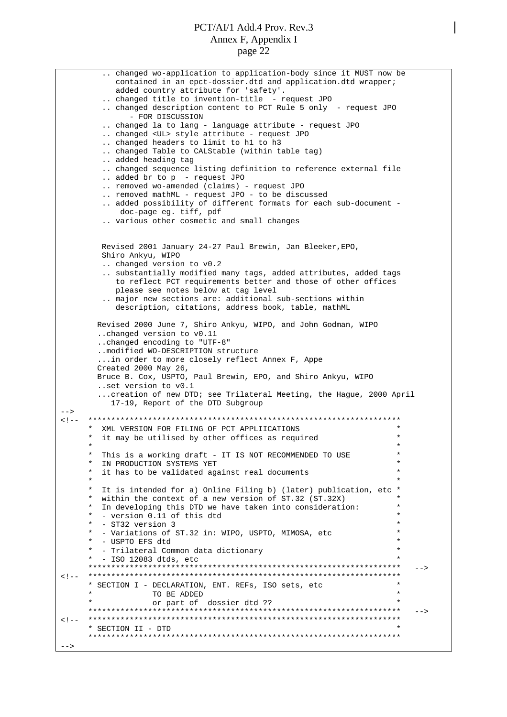```
.. changed wo-application to application-body since it MUST now be
           contained in an epct-dossier.dtd and application.dtd wrapper;
           added country attribute for 'safety'.
        .. changed title to invention-title - request JPO
        .. changed description content to PCT Rule 5 only - request JPO
              - FOR DISCUSSION
        .. changed la to lang - language attribute - request JPO
        .. changed <UL> style attribute - request JPO
        .. changed headers to limit to h1 to h3
        .. changed Table to CALStable (within table tag)
        .. added heading tag
        .. changed sequence listing definition to reference external file
        .. added br to p - request JPO
        .. removed wo-amended (claims) - request JPO
        .. removed mathML - request JPO - to be discussed
        .. added possibility of different formats for each sub-document -
            doc-page eg. tiff, pdf
        .. various other cosmetic and small changes
        Revised 2001 January 24-27 Paul Brewin, Jan Bleeker,EPO,
        Shiro Ankyu, WIPO
        .. changed version to v0.2
        .. substantially modified many tags, added attributes, added tags
           to reflect PCT requirements better and those of other offices
           please see notes below at tag level
        .. major new sections are: additional sub-sections within
           description, citations, address book, table, mathML
       Revised 2000 June 7, Shiro Ankyu, WIPO, and John Godman, WIPO
       ..changed version to v0.11
       ..changed encoding to "UTF-8"
       ..modified WO-DESCRIPTION structure
       ...in order to more closely reflect Annex F, Appe
       Created 2000 May 26,
       Bruce B. Cox, USPTO, Paul Brewin, EPO, and Shiro Ankyu, WIPO
       ..set version to v0.1
       ...creation of new DTD; see Trilateral Meeting, the Hague, 2000 April
          17-19, Report of the DTD Subgroup
--<!-- ********************************************************************
     * XML VERSION FOR FILING OF PCT APPLIICATIONS *
      * it may be utilised by other offices as required *
      \star \star* This is a working draft - IT IS NOT RECOMMENDED TO USE *
        IN PRODUCTION SYSTEMS YET
       it has to be validated against real documents
      \star \star* It is intended for a) Online Filing b) (later) publication, etc *
       within the context of a new version of ST.32 (ST.32X)
        In developing this DTD we have taken into consideration:
         - version 0.11 of this dtd
        - ST32 version 3
        - Variations of ST.32 in: WIPO, USPTO, MIMOSA, etc
        - USPTO EFS dtd
        - Trilateral Common data dictionary
        - ISO 12083 dtds, etc
     ******************************************************************** -->
<!-- ********************************************************************
     * SECTION I - DECLARATION, ENT. REFs, ISO sets, etc *
                  TO BE ADDED
                  or part of dossier dtd ??
     ******************************************************************** -->
<!-- ********************************************************************
     * SECTION II - DTD *
     ********************************************************************
-->
```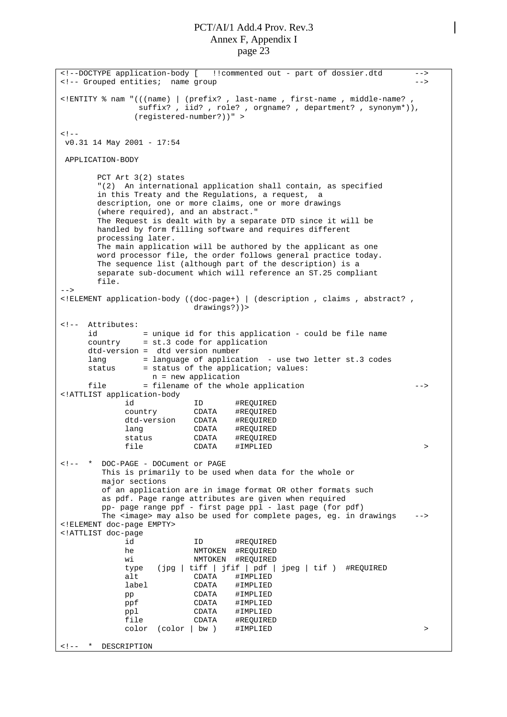<!--DOCTYPE application-body [ !!commented out - part of dossier.dtd --> <!-- Grouped entities; name group --> <!ENTITY % nam "(((name) | (prefix? , last-name , first-name , middle-name? , suffix? , iid? , role? , orgname? , department? , synonym\*)), (registered-number?))" >  $< ! -$ v0.31 14 May 2001 - 17:54 APPLICATION-BODY PCT Art 3(2) states "(2) An international application shall contain, as specified in this Treaty and the Regulations, a request, a description, one or more claims, one or more drawings (where required), and an abstract." The Request is dealt with by a separate DTD since it will be handled by form filling software and requires different processing later. The main application will be authored by the applicant as one word processor file, the order follows general practice today. The sequence list (although part of the description) is a separate sub-document which will reference an ST.25 compliant file.  $\sim$ <!ELEMENT application-body ((doc-page+) | (description , claims , abstract? , drawings?))> <!-- Attributes: id = unique id for this application - could be file name country = st.3 code for application dtd-version = dtd version number lang  $=$  language of application - use two letter st.3 codes status  $=$  status of the application; values: = status of the application; values: n = new application file = filename of the whole application --> <!ATTLIST application-body id ID #REQUIRED country CDATA #REQUIRED dtd-version CDATA #REQUIRED lang CDATA #REQUIRED status CDATA #REQUIRED file CDATA #IMPLIED > <!-- \* DOC-PAGE - DOCument or PAGE This is primarily to be used when data for the whole or major sections of an application are in image format OR other formats such as pdf. Page range attributes are given when required pp- page range ppf - first page ppl - last page (for pdf) The <image> may also be used for complete pages, eg. in drawings <!ELEMENT doc-page EMPTY> <!ATTLIST doc-page id ID #REQUIRED he NMTOKEN #REQUIRED wi NMTOKEN #REQUIRED type (jpg | tiff | jfif | pdf | jpeg | tif ) #REQUIRED alt CDATA #IMPLIED label CDATA #IMPLIED pp CDATA #IMPLIED<br>
ppf CDATA #IMPLIED ppf CDATA #IMPLIED ppl CDATA #IMPLIED file CDATA #REQUIRED color (color | bw ) #IMPLIED > <!-- \* DESCRIPTION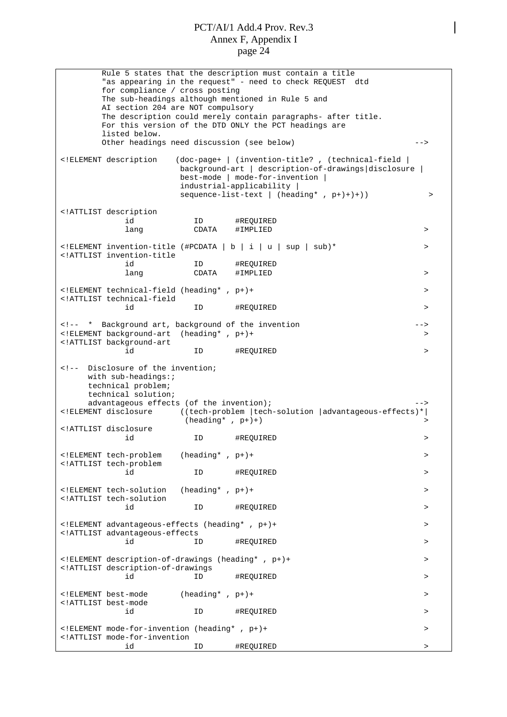Rule 5 states that the description must contain a title "as appearing in the request" - need to check REQUEST dtd for compliance / cross posting The sub-headings although mentioned in Rule 5 and AI section 204 are NOT compulsory The description could merely contain paragraphs- after title. For this version of the DTD ONLY the PCT headings are listed below. Other headings need discussion (see below) --> <!ELEMENT description (doc-page+ | (invention-title? , (technical-field | background-art | description-of-drawings|disclosure | best-mode | mode-for-invention | industrial-applicability | sequence-list-text | (heading\*, p+)+)+)) > <!ATTLIST description id ID #REQUIRED lang CDATA #IMPLIED > <!ELEMENT invention-title (#PCDATA | b | i | u | sup | sub)\* > <!ATTLIST invention-title id ID #REQUIRED lang CDATA #IMPLIED > <!ELEMENT technical-field (heading\* , p+)+ > <!ATTLIST technical-field id ID #REQUIRED > <!-- \* Background art, background of the invention --> <!ELEMENT background-art (heading\* , p+)+ > <!ATTLIST background-art id ID #REQUIRED > <!-- Disclosure of the invention; with sub-headings:; technical problem; technical solution; advantageous effects (of the invention); --> <!ELEMENT disclosure ((tech-problem |tech-solution |advantageous-effects)\*|  $(heading* , p+)+)$ <!ATTLIST disclosure id ID #REQUIRED > <!ELEMENT tech-problem (heading\* , p+)+ > <!ATTLIST tech-problem id ID #REQUIRED > <!ELEMENT tech-solution (heading\* , p+)+ > <!ATTLIST tech-solution id ID #REQUIRED > <!ELEMENT advantageous-effects (heading\* , p+)+ > <!ATTLIST advantageous-effects id 1D #REQUIRED <!ELEMENT description-of-drawings (heading\* , p+)+ > <!ATTLIST description-of-drawings id ID #REQUIRED > <!ELEMENT best-mode (heading\* , p+)+ > <!ATTLIST best-mode id ID #REQUIRED > <!ELEMENT mode-for-invention (heading\* , p+)+ > <!ATTLIST mode-for-invention id ID #REQUIRED >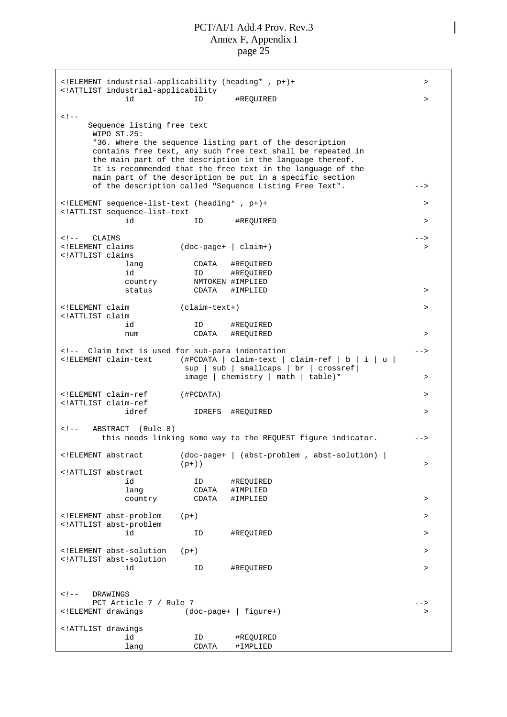<!ELEMENT industrial-applicability (heading\* , p+)+ > <!ATTLIST industrial-applicability id ID #REQUIRED >  $2 - 1 - 1$ Sequence listing free text WIPO ST.25: "36. Where the sequence listing part of the description contains free text, any such free text shall be repeated in the main part of the description in the language thereof. It is recommended that the free text in the language of the main part of the description be put in a specific section of the description called "Sequence Listing Free Text". --> <!ELEMENT sequence-list-text (heading\* , p+)+ > <!ATTLIST sequence-list-text id ID #REQUIRED > <!-- CLAIMS -->  $(doc-page+ | claim+)$  > <!ATTLIST claims lang CDATA #REQUIRED id ID #REQUIRED country NMTOKEN #IMPLIED status CDATA #IMPLIED > <!ELEMENT claim (claim-text+) > <!ATTLIST claim id ID #REQUIRED num CDATA #REQUIRED > <!-- Claim text is used for sub-para indentation --> <!ELEMENT claim-text (#PCDATA | claim-text | claim-ref|b|i|u| sup | sub | smallcaps | br | crossref| image | chemistry | math | table)\* > <!ELEMENT claim-ref (#PCDATA) > <!ATTLIST claim-ref IDREFS #REQUIRED > <!-- ABSTRACT (Rule 8) this needs linking some way to the REQUEST figure indicator. ---<!ELEMENT abstract (doc-page+ | (abst-problem , abst-solution) |  $(p+)$ )  $>$ <!ATTLIST abstract id ID #REQUIRED lang CDATA #IMPLIED country CDATA #IMPLIED > <!ELEMENT abst-problem (p+) > <!ATTLIST abst-problem id ID #REQUIRED > <!ELEMENT abst-solution (p+) > <!ATTLIST abst-solution id ID #REQUIRED > <!-- DRAWINGS PCT Article 7 / Rule 7 --> <!ELEMENT drawings (doc-page+ | figure+) > <!ATTLIST drawings id ID #REQUIRED lang CDATA #IMPLIED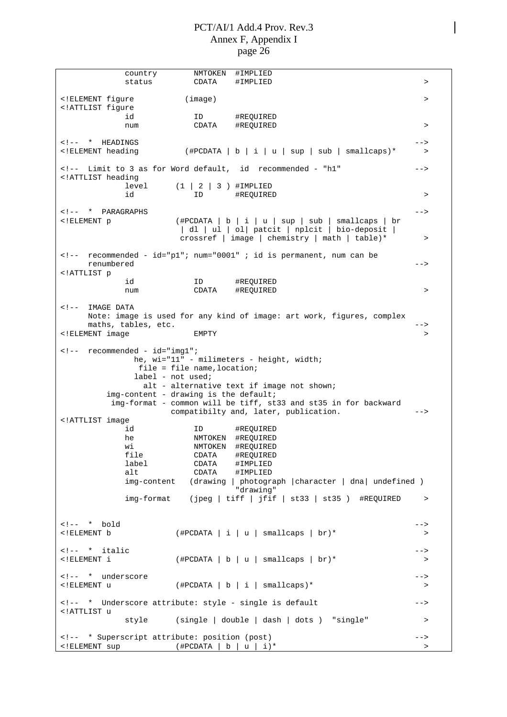| country                                                                                                                                                                                                                                                                                                                                                                                                                                                                                                                                                                                                                                                                                                                                                                                                                                                                                                                                                                                                                                                                                                                                                                                                                                                                                                                                                                                                                                                                                                                                                                                                                                                                                                                                                                                                                                                                                                                                                                                                                                                                                                                                                                         | NMTOKEN                      | #IMPLIED                                                                                                                       |           |
|---------------------------------------------------------------------------------------------------------------------------------------------------------------------------------------------------------------------------------------------------------------------------------------------------------------------------------------------------------------------------------------------------------------------------------------------------------------------------------------------------------------------------------------------------------------------------------------------------------------------------------------------------------------------------------------------------------------------------------------------------------------------------------------------------------------------------------------------------------------------------------------------------------------------------------------------------------------------------------------------------------------------------------------------------------------------------------------------------------------------------------------------------------------------------------------------------------------------------------------------------------------------------------------------------------------------------------------------------------------------------------------------------------------------------------------------------------------------------------------------------------------------------------------------------------------------------------------------------------------------------------------------------------------------------------------------------------------------------------------------------------------------------------------------------------------------------------------------------------------------------------------------------------------------------------------------------------------------------------------------------------------------------------------------------------------------------------------------------------------------------------------------------------------------------------|------------------------------|--------------------------------------------------------------------------------------------------------------------------------|-----------|
| status                                                                                                                                                                                                                                                                                                                                                                                                                                                                                                                                                                                                                                                                                                                                                                                                                                                                                                                                                                                                                                                                                                                                                                                                                                                                                                                                                                                                                                                                                                                                                                                                                                                                                                                                                                                                                                                                                                                                                                                                                                                                                                                                                                          | CDATA                        | #IMPLIED                                                                                                                       | $\geq$    |
|                                                                                                                                                                                                                                                                                                                                                                                                                                                                                                                                                                                                                                                                                                                                                                                                                                                                                                                                                                                                                                                                                                                                                                                                                                                                                                                                                                                                                                                                                                                                                                                                                                                                                                                                                                                                                                                                                                                                                                                                                                                                                                                                                                                 |                              |                                                                                                                                |           |
| ELEMENT fiqure</td <td>(image)</td> <td></td> <td>&gt;</td>                                                                                                                                                                                                                                                                                                                                                                                                                                                                                                                                                                                                                                                                                                                                                                                                                                                                                                                                                                                                                                                                                                                                                                                                                                                                                                                                                                                                                                                                                                                                                                                                                                                                                                                                                                                                                                                                                                                                                                                                                                                                                                                     | (image)                      |                                                                                                                                | >         |
| ATTLIST figure</td <td></td> <td></td> <td></td>                                                                                                                                                                                                                                                                                                                                                                                                                                                                                                                                                                                                                                                                                                                                                                                                                                                                                                                                                                                                                                                                                                                                                                                                                                                                                                                                                                                                                                                                                                                                                                                                                                                                                                                                                                                                                                                                                                                                                                                                                                                                                                                                |                              |                                                                                                                                |           |
| id                                                                                                                                                                                                                                                                                                                                                                                                                                                                                                                                                                                                                                                                                                                                                                                                                                                                                                                                                                                                                                                                                                                                                                                                                                                                                                                                                                                                                                                                                                                                                                                                                                                                                                                                                                                                                                                                                                                                                                                                                                                                                                                                                                              | ID.                          | #REQUIRED                                                                                                                      |           |
| num                                                                                                                                                                                                                                                                                                                                                                                                                                                                                                                                                                                                                                                                                                                                                                                                                                                                                                                                                                                                                                                                                                                                                                                                                                                                                                                                                                                                                                                                                                                                                                                                                                                                                                                                                                                                                                                                                                                                                                                                                                                                                                                                                                             | CDATA                        | #REOUIRED                                                                                                                      | $\geq$    |
|                                                                                                                                                                                                                                                                                                                                                                                                                                                                                                                                                                                                                                                                                                                                                                                                                                                                                                                                                                                                                                                                                                                                                                                                                                                                                                                                                                                                                                                                                                                                                                                                                                                                                                                                                                                                                                                                                                                                                                                                                                                                                                                                                                                 |                              |                                                                                                                                |           |
| * HEADINGS</td><td></td><td></td><td>                                                                                                                                                                                                                                                                                                                                                                                                                                                                                                                                                                                                                                                                                                                                                                                                                                                                                                                                                                                                                                                                                                                                                                                                                                                                                                                                                                                                                                                                                                                                                                                                                                                                                                                                                                                                                                                                                                                                                                                                                                                                                                                                           |                              |                                                                                                                                |           |
| ELEMENT heading</td <td></td> <td>(#PCDATA   b   i   u   sup   sub   smallcaps)*</td> <td><math>\geq</math></td>                                                                                                                                                                                                                                                                                                                                                                                                                                                                                                                                                                                                                                                                                                                                                                                                                                                                                                                                                                                                                                                                                                                                                                                                                                                                                                                                                                                                                                                                                                                                                                                                                                                                                                                                                                                                                                                                                                                                                                                                                                                                |                              | (#PCDATA   b   i   u   sup   sub   smallcaps)*                                                                                 | $\geq$    |
|                                                                                                                                                                                                                                                                                                                                                                                                                                                                                                                                                                                                                                                                                                                                                                                                                                                                                                                                                                                                                                                                                                                                                                                                                                                                                                                                                                                                                                                                                                                                                                                                                                                                                                                                                                                                                                                                                                                                                                                                                                                                                                                                                                                 |                              |                                                                                                                                |           |
|                                                                                                                                                                                                                                                                                                                                                                                                                                                                                                                                                                                                                                                                                                                                                                                                                                                                                                                                                                                                                                                                                                                                                                                                                                                                                                                                                                                                                                                                                                                                                                                                                                                                                                                                                                                                                                                                                                                                                                                                                                                                                                                                                                                 |                              | Limit to 3 as for Word default, id recommended - "h1"</td><td>                                                                 |           |
| ATTLIST heading</td <td></td> <td></td> <td></td>                                                                                                                                                                                                                                                                                                                                                                                                                                                                                                                                                                                                                                                                                                                                                                                                                                                                                                                                                                                                                                                                                                                                                                                                                                                                                                                                                                                                                                                                                                                                                                                                                                                                                                                                                                                                                                                                                                                                                                                                                                                                                                                               |                              |                                                                                                                                |           |
| level                                                                                                                                                                                                                                                                                                                                                                                                                                                                                                                                                                                                                                                                                                                                                                                                                                                                                                                                                                                                                                                                                                                                                                                                                                                                                                                                                                                                                                                                                                                                                                                                                                                                                                                                                                                                                                                                                                                                                                                                                                                                                                                                                                           | $(1 \mid 2 \mid 3)$ #IMPLIED |                                                                                                                                |           |
| id                                                                                                                                                                                                                                                                                                                                                                                                                                                                                                                                                                                                                                                                                                                                                                                                                                                                                                                                                                                                                                                                                                                                                                                                                                                                                                                                                                                                                                                                                                                                                                                                                                                                                                                                                                                                                                                                                                                                                                                                                                                                                                                                                                              | ID                           | #REQUIRED                                                                                                                      | $\, > \,$ |
|                                                                                                                                                                                                                                                                                                                                                                                                                                                                                                                                                                                                                                                                                                                                                                                                                                                                                                                                                                                                                                                                                                                                                                                                                                                                                                                                                                                                                                                                                                                                                                                                                                                                                                                                                                                                                                                                                                                                                                                                                                                                                                                                                                                 |                              |                                                                                                                                |           |
| * PARAGRAPHS</td><td></td><td></td><td>                                                                                                                                                                                                                                                                                                                                                                                                                                                                                                                                                                                                                                                                                                                                                                                                                                                                                                                                                                                                                                                                                                                                                                                                                                                                                                                                                                                                                                                                                                                                                                                                                                                                                                                                                                                                                                                                                                                                                                                                                                                                                                                                         |                              |                                                                                                                                |           |
|                                                                                                                                                                                                                                                                                                                                                                                                                                                                                                                                                                                                                                                                                                                                                                                                                                                                                                                                                                                                                                                                                                                                                                                                                                                                                                                                                                                                                                                                                                                                                                                                                                                                                                                                                                                                                                                                                                                                                                                                                                                                                                                                                                                 |                              |                                                                                                                                |           |
| ELEMENT p</td <td></td> <td><math>(\text{HPCDATA}   b   i   u   sup   sub   smallcaps   br)</math></td> <td></td>                                                                                                                                                                                                                                                                                                                                                                                                                                                                                                                                                                                                                                                                                                                                                                                                                                                                                                                                                                                                                                                                                                                                                                                                                                                                                                                                                                                                                                                                                                                                                                                                                                                                                                                                                                                                                                                                                                                                                                                                                                                               |                              | $(\text{HPCDATA}   b   i   u   sup   sub   smallcaps   br)$                                                                    |           |
|                                                                                                                                                                                                                                                                                                                                                                                                                                                                                                                                                                                                                                                                                                                                                                                                                                                                                                                                                                                                                                                                                                                                                                                                                                                                                                                                                                                                                                                                                                                                                                                                                                                                                                                                                                                                                                                                                                                                                                                                                                                                                                                                                                                 |                              | dl   ul   ol  patcit   nplcit   bio-deposit                                                                                    |           |
|                                                                                                                                                                                                                                                                                                                                                                                                                                                                                                                                                                                                                                                                                                                                                                                                                                                                                                                                                                                                                                                                                                                                                                                                                                                                                                                                                                                                                                                                                                                                                                                                                                                                                                                                                                                                                                                                                                                                                                                                                                                                                                                                                                                 |                              | crossref   image   chemistry   math   table)*                                                                                  | $\, >$    |
|                                                                                                                                                                                                                                                                                                                                                                                                                                                                                                                                                                                                                                                                                                                                                                                                                                                                                                                                                                                                                                                                                                                                                                                                                                                                                                                                                                                                                                                                                                                                                                                                                                                                                                                                                                                                                                                                                                                                                                                                                                                                                                                                                                                 |                              |                                                                                                                                |           |
|                                                                                                                                                                                                                                                                                                                                                                                                                                                                                                                                                                                                                                                                                                                                                                                                                                                                                                                                                                                                                                                                                                                                                                                                                                                                                                                                                                                                                                                                                                                                                                                                                                                                                                                                                                                                                                                                                                                                                                                                                                                                                                                                                                                 |                              | recommended - id="p1"; num="0001"; id is permanent, num can be</td><td></td></tr><tr><td>renumbered</td><td></td><td></td><td> |           |
| ATTLIST p</td <td></td> <td></td> <td></td>                                                                                                                                                                                                                                                                                                                                                                                                                                                                                                                                                                                                                                                                                                                                                                                                                                                                                                                                                                                                                                                                                                                                                                                                                                                                                                                                                                                                                                                                                                                                                                                                                                                                                                                                                                                                                                                                                                                                                                                                                                                                                                                                     |                              |                                                                                                                                |           |
| id                                                                                                                                                                                                                                                                                                                                                                                                                                                                                                                                                                                                                                                                                                                                                                                                                                                                                                                                                                                                                                                                                                                                                                                                                                                                                                                                                                                                                                                                                                                                                                                                                                                                                                                                                                                                                                                                                                                                                                                                                                                                                                                                                                              | ID                           | #REQUIRED                                                                                                                      |           |
| num                                                                                                                                                                                                                                                                                                                                                                                                                                                                                                                                                                                                                                                                                                                                                                                                                                                                                                                                                                                                                                                                                                                                                                                                                                                                                                                                                                                                                                                                                                                                                                                                                                                                                                                                                                                                                                                                                                                                                                                                                                                                                                                                                                             | CDATA                        | #REQUIRED                                                                                                                      | >         |
|                                                                                                                                                                                                                                                                                                                                                                                                                                                                                                                                                                                                                                                                                                                                                                                                                                                                                                                                                                                                                                                                                                                                                                                                                                                                                                                                                                                                                                                                                                                                                                                                                                                                                                                                                                                                                                                                                                                                                                                                                                                                                                                                                                                 |                              |                                                                                                                                |           |
| IMAGE DATA</td><td></td><td></td><td></td></tr><tr><td></td><td></td><td>Note: image is used for any kind of image: art work, figures, complex</td><td></td></tr><tr><td>maths, tables, etc.</td><td></td><td></td><td><math>\rightarrow</math></td></tr><tr><td><!ELEMENT image</td><td>EMPTY</td><td></td><td><math>\geq</math></td></tr><tr><td></td><td></td><td></td><td></td></tr><tr><td><math>recommeded - id="img1";</math><br><math>\lt</math> ! <math>--</math></td><td></td><td></td><td></td></tr><tr><td></td><td></td><td></td><td></td></tr><tr><td></td><td></td><td>he, wi="11" - milimeters - height, width;</td><td></td></tr><tr><td></td><td><math>file = file name, location;</math></td><td></td><td></td></tr><tr><td></td><td><math>label - not used;</math></td><td></td><td></td></tr><tr><td></td><td></td><td>alt - alternative text if image not shown;</td><td></td></tr><tr><td></td><td>img-content - drawing is the default;</td><td></td><td></td></tr><tr><td></td><td></td><td>img-format - common will be tiff, st33 and st35 in for backward</td><td></td></tr><tr><td></td><td></td><td>compatibilty and, later, publication.</td><td><math>--&></math></td></tr><tr><td><!ATTLIST image</td><td></td><td></td><td></td></tr><tr><td>id</td><td>ID.</td><td>#REQUIRED</td><td></td></tr><tr><td>he</td><td></td><td>NMTOKEN #REQUIRED</td><td></td></tr><tr><td>wi</td><td>NMTOKEN</td><td>#REQUIRED</td><td></td></tr><tr><td>file</td><td>CDATA</td><td>#REQUIRED</td><td></td></tr><tr><td>label</td><td>CDATA</td><td>#IMPLIED</td><td></td></tr><tr><td>alt</td><td></td><td></td><td></td></tr><tr><td></td><td>CDATA</td><td>#IMPLIED</td><td></td></tr><tr><td>img-content</td><td></td><td>(drawing   photograph   character   dna  undefined )</td><td></td></tr><tr><td></td><td></td><td>"drawing"</td><td></td></tr><tr><td>img-format</td><td></td><td>(jpeg   tiff   jfif   st33   st35 ) #REQUIRED</td><td><math display="inline">\, ></math></td></tr><tr><td></td><td></td><td></td><td></td></tr><tr><td></td><td></td><td></td><td></td></tr><tr><td><math>\leftarrow</math> :-- * bold</td><td></td><td></td><td> |                              |                                                                                                                                |           |
| ELEMENT b</td <td></td> <td><math>(\text{HPCDATA}   i   u   smallcaps   br)*</math></td> <td><math display="inline">\, &gt; \,</math></td>                                                                                                                                                                                                                                                                                                                                                                                                                                                                                                                                                                                                                                                                                                                                                                                                                                                                                                                                                                                                                                                                                                                                                                                                                                                                                                                                                                                                                                                                                                                                                                                                                                                                                                                                                                                                                                                                                                                                                                                                                                      |                              | $(\text{HPCDATA}   i   u   smallcaps   br)*$                                                                                   | $\, > \,$ |
|                                                                                                                                                                                                                                                                                                                                                                                                                                                                                                                                                                                                                                                                                                                                                                                                                                                                                                                                                                                                                                                                                                                                                                                                                                                                                                                                                                                                                                                                                                                                                                                                                                                                                                                                                                                                                                                                                                                                                                                                                                                                                                                                                                                 |                              |                                                                                                                                |           |
| * italic</td><td></td><td></td><td>                                                                                                                                                                                                                                                                                                                                                                                                                                                                                                                                                                                                                                                                                                                                                                                                                                                                                                                                                                                                                                                                                                                                                                                                                                                                                                                                                                                                                                                                                                                                                                                                                                                                                                                                                                                                                                                                                                                                                                                                                                                                                                                                             |                              |                                                                                                                                |           |
| ELEMENT i</td <td></td> <td><math>(\text{HPCDATA}   b   u   smallcaps   br)*</math></td> <td><math display="inline">\, &gt; \,</math></td>                                                                                                                                                                                                                                                                                                                                                                                                                                                                                                                                                                                                                                                                                                                                                                                                                                                                                                                                                                                                                                                                                                                                                                                                                                                                                                                                                                                                                                                                                                                                                                                                                                                                                                                                                                                                                                                                                                                                                                                                                                      |                              | $(\text{HPCDATA}   b   u   smallcaps   br)*$                                                                                   | $\, > \,$ |
|                                                                                                                                                                                                                                                                                                                                                                                                                                                                                                                                                                                                                                                                                                                                                                                                                                                                                                                                                                                                                                                                                                                                                                                                                                                                                                                                                                                                                                                                                                                                                                                                                                                                                                                                                                                                                                                                                                                                                                                                                                                                                                                                                                                 |                              |                                                                                                                                |           |
| * underscore</td><td></td><td></td><td>                                                                                                                                                                                                                                                                                                                                                                                                                                                                                                                                                                                                                                                                                                                                                                                                                                                                                                                                                                                                                                                                                                                                                                                                                                                                                                                                                                                                                                                                                                                                                                                                                                                                                                                                                                                                                                                                                                                                                                                                                                                                                                                                         |                              |                                                                                                                                |           |
| ELEMENT u</td <td></td> <td><math>(\text{HPCDATA}   b   i   smallcaps)^*</math></td> <td><math>\, &gt; \,</math></td>                                                                                                                                                                                                                                                                                                                                                                                                                                                                                                                                                                                                                                                                                                                                                                                                                                                                                                                                                                                                                                                                                                                                                                                                                                                                                                                                                                                                                                                                                                                                                                                                                                                                                                                                                                                                                                                                                                                                                                                                                                                           |                              | $(\text{HPCDATA}   b   i   smallcaps)^*$                                                                                       | $\, > \,$ |
|                                                                                                                                                                                                                                                                                                                                                                                                                                                                                                                                                                                                                                                                                                                                                                                                                                                                                                                                                                                                                                                                                                                                                                                                                                                                                                                                                                                                                                                                                                                                                                                                                                                                                                                                                                                                                                                                                                                                                                                                                                                                                                                                                                                 |                              |                                                                                                                                |           |
|                                                                                                                                                                                                                                                                                                                                                                                                                                                                                                                                                                                                                                                                                                                                                                                                                                                                                                                                                                                                                                                                                                                                                                                                                                                                                                                                                                                                                                                                                                                                                                                                                                                                                                                                                                                                                                                                                                                                                                                                                                                                                                                                                                                 |                              |                                                                                                                                |           |
| * Underscore attribute: style - single is default</td><td></td><td></td><td>                                                                                                                                                                                                                                                                                                                                                                                                                                                                                                                                                                                                                                                                                                                                                                                                                                                                                                                                                                                                                                                                                                                                                                                                                                                                                                                                                                                                                                                                                                                                                                                                                                                                                                                                                                                                                                                                                                                                                                                                                                                                                                    |                              |                                                                                                                                |           |
| ATTLIST u</td <td></td> <td></td> <td></td>                                                                                                                                                                                                                                                                                                                                                                                                                                                                                                                                                                                                                                                                                                                                                                                                                                                                                                                                                                                                                                                                                                                                                                                                                                                                                                                                                                                                                                                                                                                                                                                                                                                                                                                                                                                                                                                                                                                                                                                                                                                                                                                                     |                              |                                                                                                                                |           |
| style                                                                                                                                                                                                                                                                                                                                                                                                                                                                                                                                                                                                                                                                                                                                                                                                                                                                                                                                                                                                                                                                                                                                                                                                                                                                                                                                                                                                                                                                                                                                                                                                                                                                                                                                                                                                                                                                                                                                                                                                                                                                                                                                                                           |                              | (single   double   dash   dots ) "single"                                                                                      | $\, >$    |
|                                                                                                                                                                                                                                                                                                                                                                                                                                                                                                                                                                                                                                                                                                                                                                                                                                                                                                                                                                                                                                                                                                                                                                                                                                                                                                                                                                                                                                                                                                                                                                                                                                                                                                                                                                                                                                                                                                                                                                                                                                                                                                                                                                                 |                              |                                                                                                                                |           |
| * Superscript attribute: position (post)</td><td></td><td></td><td>                                                                                                                                                                                                                                                                                                                                                                                                                                                                                                                                                                                                                                                                                                                                                                                                                                                                                                                                                                                                                                                                                                                                                                                                                                                                                                                                                                                                                                                                                                                                                                                                                                                                                                                                                                                                                                                                                                                                                                                                                                                                                                             |                              |                                                                                                                                |           |
| ELEMENT sup</td <td>(#PCDATA   b</td> <td>u   i)*</td> <td><math display="inline">\, &gt;</math></td>                                                                                                                                                                                                                                                                                                                                                                                                                                                                                                                                                                                                                                                                                                                                                                                                                                                                                                                                                                                                                                                                                                                                                                                                                                                                                                                                                                                                                                                                                                                                                                                                                                                                                                                                                                                                                                                                                                                                                                                                                                                                           | (#PCDATA   b                 | u   i)*                                                                                                                        | $\, >$    |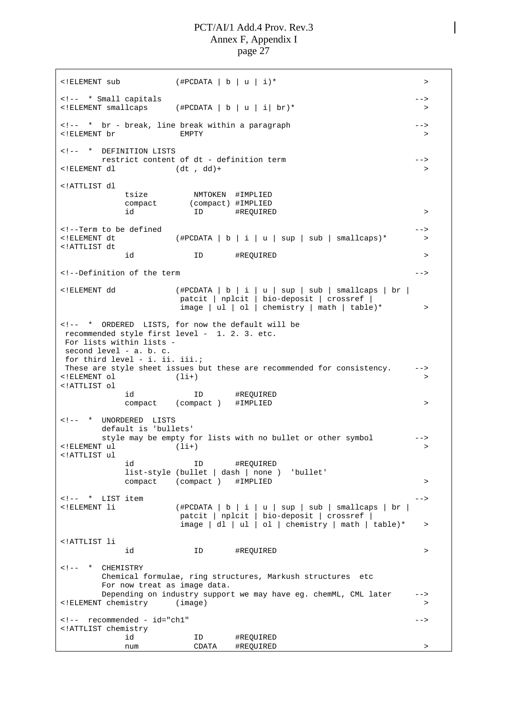$\langle$  + FELEMENT sub  $($  + FELEMENT sub  $\langle$  + FELEMENT sub <!-- \* Small capitals -->  $(\text{HPCDATA} | b | u | i | br)^*$  > <!-- \* br - break, line break within a paragraph --> <!ELEMENT br EMPTY > <!-- \* DEFINITION LISTS restrict content of dt - definition term --> <!ELEMENT dl (dt , dd)+ > <!ATTLIST dl tsize NMTOKEN #IMPLIED compact (compact) #IMPLIED id ID #REQUIRED > <!--Term to be defined -->  $\leq$ !ELEMENT dt  $($ #PCDATA | b | i | u | sup | sub | smallcaps)\* > <!ATTLIST dt id ID #REQUIRED > <!--Definition of the term --> <!ELEMENT dd (#PCDATA | b | i | u | sup | sub | smallcaps | br | patcit | nplcit | bio-deposit | crossref | image | ul | ol | chemistry | math | table)\* > <!-- \* ORDERED LISTS, for now the default will be recommended style first level - 1. 2. 3. etc. For lists within lists second level - a. b. c. for third level - i. ii. iii.; These are style sheet issues but these are recommended for consistency. -->  $\langle$  (ELEMENT ol  $(1i+)$ <!ATTLIST ol id ID #REQUIRED compact (compact) #IMPLIED > <!-- \* UNORDERED LISTS default is 'bullets' style may be empty for lists with no bullet or other symbol -->  $\langle$ !ELEMENT ul  $(1i+)$ <!ATTLIST ul id ID #REQUIRED list-style (bullet | dash | none ) 'bullet' compact (compact) #IMPLIED > <!-- \* LIST item<br><!ELEMENT li  $(\texttt{\#PCDATA}~|~b~|~i~|~u~|~\texttt{sup}~|~\texttt{sub}~|~\texttt{smallcaps}~|~\texttt{br}~|~$ patcit | nplcit | bio-deposit | crossref |  $\frac{1}{2}$  image | dl | ul | ol | chemistry | math | table)\* > <!ATTLIST li id ID #REQUIRED > <!-- \* CHEMISTRY Chemical formulae, ring structures, Markush structures etc For now treat as image data. Depending on industry support we may have eg. chemML, CML later --> <!ELEMENT chemistry (image) > <!-- recommended - id="ch1" --> <!ATTLIST chemistry id ID #REQUIRED num CDATA #REQUIRED >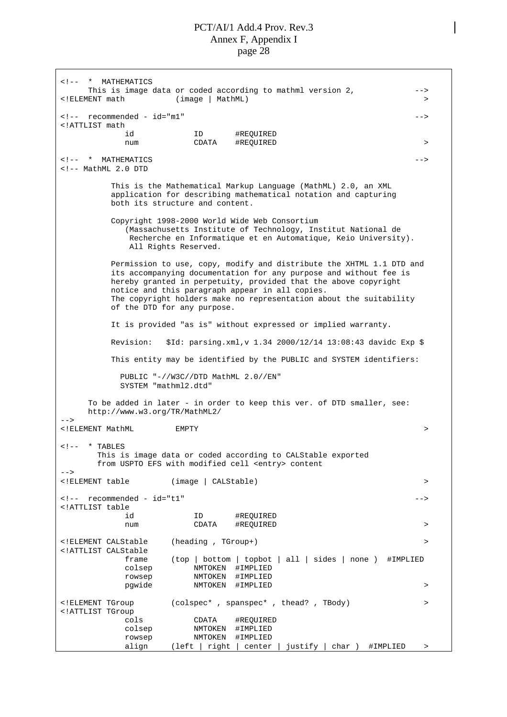<!-- \* MATHEMATICS This is image data or coded according to mathml version 2, --> <!ELEMENT math (image | MathML) > <!-- recommended - id="m1" --> <!ATTLIST math id ID #REQUIRED num CDATA #REQUIRED > <!-- \* MATHEMATICS --> <!-- MathML 2.0 DTD This is the Mathematical Markup Language (MathML) 2.0, an XML application for describing mathematical notation and capturing both its structure and content. Copyright 1998-2000 World Wide Web Consortium (Massachusetts Institute of Technology, Institut National de Recherche en Informatique et en Automatique, Keio University). All Rights Reserved. Permission to use, copy, modify and distribute the XHTML 1.1 DTD and its accompanying documentation for any purpose and without fee is hereby granted in perpetuity, provided that the above copyright notice and this paragraph appear in all copies. The copyright holders make no representation about the suitability of the DTD for any purpose. It is provided "as is" without expressed or implied warranty. Revision: \$Id: parsing.xml,v 1.34 2000/12/14 13:08:43 davidc Exp \$ This entity may be identified by the PUBLIC and SYSTEM identifiers: PUBLIC "-//W3C//DTD MathML 2.0//EN" SYSTEM "mathml2.dtd" To be added in later - in order to keep this ver. of DTD smaller, see: <http://www.w3.org/TR/MathML2/> --> <!ELEMENT MathML EMPTY >  $\leftarrow$   $!$  -- \* TABLES This is image data or coded according to CALStable exported from USPTO EFS with modified cell <entry> content  $--$ <!ELEMENT table (image | CALStable) > <!-- recommended - id="t1" --> <!ATTLIST table id ID #REQUIRED num CDATA #REQUIRED > <!ELEMENT CALStable (heading , TGroup+) > <!ATTLIST CALStable frame (top | bottom | topbot | all | sides | none ) #IMPLIED colsep NMTOKEN #IMPLIED rowsep NMTOKEN #IMPLIED pgwide NMTOKEN #IMPLIED > <!ELEMENT TGroup (colspec\* , spanspec\* , thead? , TBody) > <!ATTLIST TGroup cols CDATA #REQUIRED colsep NMTOKEN #IMPLIED rowsep NMTOKEN #IMPLIED align (left | right | center | justify | char ) #IMPLIED >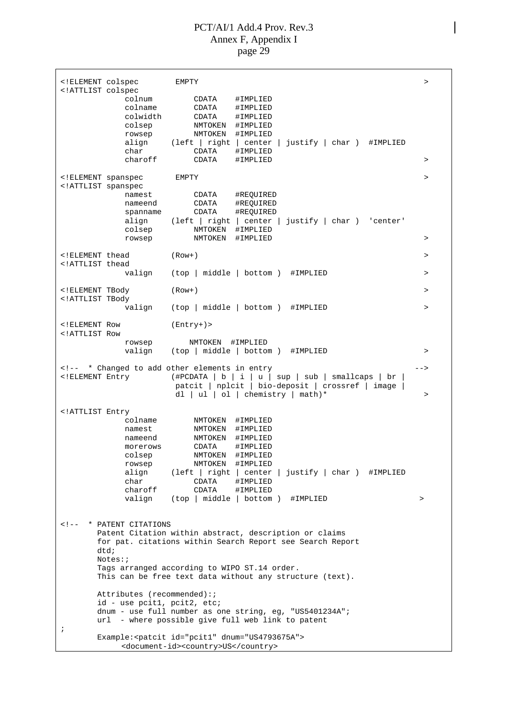|                                                                                                                                                                                                                                                                                                                                                                            | ELEMENT colspec</th <th>EMPTY</th> <th>&gt;</th>                                                   | EMPTY                                                                                                                                                                                                                                                                                                                              | >         |
|----------------------------------------------------------------------------------------------------------------------------------------------------------------------------------------------------------------------------------------------------------------------------------------------------------------------------------------------------------------------------|----------------------------------------------------------------------------------------------------|------------------------------------------------------------------------------------------------------------------------------------------------------------------------------------------------------------------------------------------------------------------------------------------------------------------------------------|-----------|
| ATTLIST colspec</td <td>colnum<br/>colname<br/>colwidth<br/>colsep<br/>rowsep<br/>char<br/>charoff</td> <td>CDATA<br/>#IMPLIED<br/>CDATA<br/>#IMPLIED<br/>CDATA<br/>#IMPLIED<br/>NMTOKEN #IMPLIED<br/>NMTOKEN<br/>#IMPLIED<br/>align (left   right  <br/><math>justify   char)</math> #IMPLIED<br/>center<br/>CDATA<br/>#IMPLIED<br/>CDATA<br/>#IMPLIED</td> <td>&gt;</td> | colnum<br>colname<br>colwidth<br>colsep<br>rowsep<br>char<br>charoff                               | CDATA<br>#IMPLIED<br>CDATA<br>#IMPLIED<br>CDATA<br>#IMPLIED<br>NMTOKEN #IMPLIED<br>NMTOKEN<br>#IMPLIED<br>align (left   right  <br>$justify   char)$ #IMPLIED<br>center<br>CDATA<br>#IMPLIED<br>CDATA<br>#IMPLIED                                                                                                                  | >         |
|                                                                                                                                                                                                                                                                                                                                                                            |                                                                                                    | EMPTY                                                                                                                                                                                                                                                                                                                              | $\geq$    |
| ELEMENT spanspec<br ATTLIST spanspec</td <td>namest<br/>nameend<br/>spanname<br/>align<br/>colsep<br/>rowsep</td> <td>CDATA<br/>#REQUIRED<br/>CDATA<br/>#REQUIRED<br/>CDATA<br/>#REQUIRED<br/>(left   right   center   justify   char ) 'center'<br/>NMTOKEN<br/>#IMPLIED<br/>NMTOKEN<br/>#IMPLIED</td> <td>&gt;</td>                                                      | namest<br>nameend<br>spanname<br>align<br>colsep<br>rowsep                                         | CDATA<br>#REQUIRED<br>CDATA<br>#REQUIRED<br>CDATA<br>#REQUIRED<br>(left   right   center   justify   char ) 'center'<br>NMTOKEN<br>#IMPLIED<br>NMTOKEN<br>#IMPLIED                                                                                                                                                                 | >         |
| ELEMENT thead<br ATTLIST thead</td <td></td> <td><math>(Row+)</math></td> <td>&gt;</td>                                                                                                                                                                                                                                                                                    |                                                                                                    | $(Row+)$                                                                                                                                                                                                                                                                                                                           | >         |
|                                                                                                                                                                                                                                                                                                                                                                            |                                                                                                    | valign (top   middle   bottom ) #IMPLIED                                                                                                                                                                                                                                                                                           | $\, > \,$ |
| ELEMENT TBody</td <td></td> <td><math>(Row+)</math></td> <td>&gt;</td>                                                                                                                                                                                                                                                                                                     |                                                                                                    | $(Row+)$                                                                                                                                                                                                                                                                                                                           | >         |
| ATTLIST TBody</td <td>valign</td> <td>(top   middle   bottom ) #IMPLIED</td> <td><math>\geq</math></td>                                                                                                                                                                                                                                                                    | valign                                                                                             | (top   middle   bottom ) #IMPLIED                                                                                                                                                                                                                                                                                                  | $\geq$    |
| ELEMENT Row<br ATTLIST Row</td <td></td> <td>(Entry+)&gt;</td> <td></td>                                                                                                                                                                                                                                                                                                   |                                                                                                    | (Entry+)>                                                                                                                                                                                                                                                                                                                          |           |
|                                                                                                                                                                                                                                                                                                                                                                            | rowsep<br>valign                                                                                   | NMTOKEN #IMPLIED<br>(top   middle   bottom ) #IMPLIED                                                                                                                                                                                                                                                                              | >         |
|                                                                                                                                                                                                                                                                                                                                                                            |                                                                                                    |                                                                                                                                                                                                                                                                                                                                    | -->       |
| ELEMENT Entry</td <td></td> <td>&lt;!-- * Changed to add other elements in entry&lt;br&gt;(#PCDATA   b   i   u   sup   sub   smallcaps   br<br/>patcit   nplcit   bio-deposit   crossref   image<br/>dl   ul   ol   chemistry   math)*</td> <td><math>\geq</math></td>                                                                                                     |                                                                                                    | <!-- * Changed to add other elements in entry<br>(#PCDATA   b   i   u   sup   sub   smallcaps   br<br>patcit   nplcit   bio-deposit   crossref   image<br>dl   ul   ol   chemistry   math)*                                                                                                                                        | $\geq$    |
| ATTLIST Entry</td <td></td> <td></td> <td></td>                                                                                                                                                                                                                                                                                                                            |                                                                                                    |                                                                                                                                                                                                                                                                                                                                    |           |
|                                                                                                                                                                                                                                                                                                                                                                            | colname<br>namest<br>nameend<br>morerows<br>colsep<br>rowsep<br>align<br>char<br>charoff<br>valign | NMTOKEN<br>#IMPLIED<br>NMTOKEN<br>#IMPLIED<br>NMTOKEN<br>#IMPLIED<br>CDATA<br>#IMPLIED<br>NMTOKEN<br>#IMPLIED<br>NMTOKEN #IMPLIED<br>$\left(\text{left} \mid \text{right} \mid \text{center} \mid \text{justify} \mid \text{char} \right)$ #IMPLIED<br>CDATA<br>#IMPLIED<br>CDATA<br>#IMPLIED<br>(top   middle   bottom ) #IMPLIED | $\, > \,$ |
| $\lt$ ! $--$                                                                                                                                                                                                                                                                                                                                                               | * PATENT CITATIONS<br>dtd;<br>Notes:;                                                              | Patent Citation within abstract, description or claims<br>for pat. citations within Search Report see Search Report<br>Tags arranged according to WIPO ST.14 order.<br>This can be free text data without any structure (text).                                                                                                    |           |
| ÷                                                                                                                                                                                                                                                                                                                                                                          | Attributes (recommended):;<br>id - use pcit1, pcit2, etc;                                          | dnum - use full number as one string, eq, "US5401234A";<br>url - where possible give full web link to patent                                                                                                                                                                                                                       |           |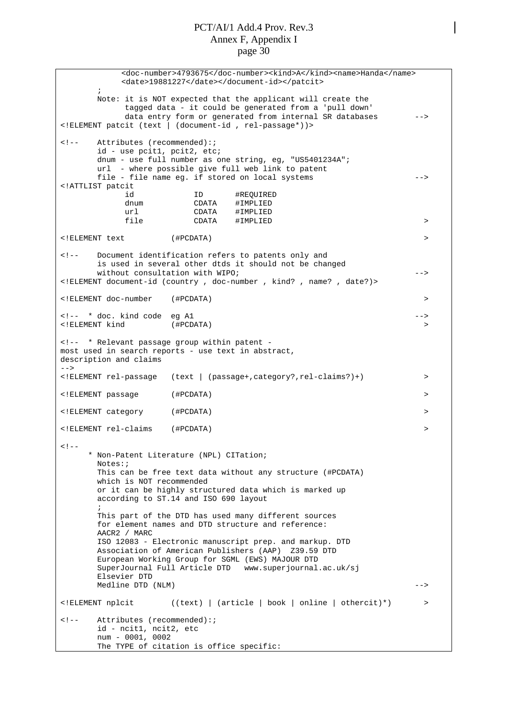<doc-number>4793675</doc-number><kind>A</kind><name>Handa</name> <date>19881227</date></document-id></patcit> ; Note: it is NOT expected that the applicant will create the tagged data - it could be generated from a 'pull down' data entry form or generated from internal SR databases --> <!ELEMENT patcit (text | (document-id , rel-passage\*))> <!-- Attributes (recommended):; id - use pcit1, pcit2, etc; dnum - use full number as one string, eg, "US5401234A"; url - where possible give full web link to patent file - file name eg. if stored on local systems --> <!ATTLIST patcit id ID #REQUIRED dnum CDATA #IMPLIED url CDATA #IMPLIED file CDATA #IMPLIED > <!ELEMENT text (#PCDATA) > <!-- Document identification refers to patents only and is used in several other dtds it should not be changed without consultation with WIPO; example the consultation with WIPO; the consultation of  $-$ <!ELEMENT document-id (country , doc-number , kind? , name? , date?)> <!ELEMENT doc-number (#PCDATA) > <!-- \* doc. kind code eg A1 --> <!ELEMENT kind (#PCDATA) > <!-- \* Relevant passage group within patent most used in search reports - use text in abstract, description and claims --> <!ELEMENT rel-passage (text | (passage+,category?,rel-claims?)+) > <!ELEMENT passage (#PCDATA) > <!ELEMENT category (#PCDATA) > <!ELEMENT rel-claims (#PCDATA) >  $2 + -$ \* Non-Patent Literature (NPL) CITation; Notes:; This can be free text data without any structure (#PCDATA) which is NOT recommended or it can be highly structured data which is marked up according to ST.14 and ISO 690 layout ; This part of the DTD has used many different sources for element names and DTD structure and reference: AACR2 / MARC ISO 12083 - Electronic manuscript prep. and markup. DTD Association of American Publishers (AAP) Z39.59 DTD European Working Group for SGML (EWS) MAJOUR DTD SuperJournal Full Article DTD www.superjournal.ac.uk/sj Elsevier DTD Medline DTD (NLM) --> <!ELEMENT nplcit ((text) | (article | book | online | othercit)\*) > <!-- Attributes (recommended):; id - ncit1, ncit2, etc num - 0001, 0002 The TYPE of citation is office specific: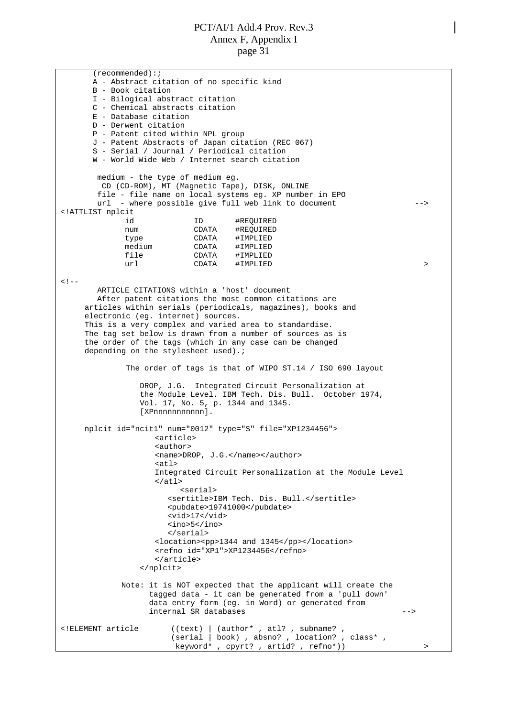(recommended):; A - Abstract citation of no specific kind B - Book citation I - Bilogical abstract citation C - Chemical abstracts citation E - Database citation D - Derwent citation P - Patent cited within NPL group J - Patent Abstracts of Japan citation (REC 067) S - Serial / Journal / Periodical citation W - World Wide Web / Internet search citation medium - the type of medium eg. CD (CD-ROM), MT (Magnetic Tape), DISK, ONLINE file - file name on local systems eg. XP number in EPO url - where possible give full web link to document --> <!ATTLIST nplcit id 1D #REQUIRED<br>num CDATA #REOUIRED num CDATA #REQUIRED type CDATA #IMPLIED medium CDATA #IMPLIED file CDATA #IMPLIED url CDATA #IMPLIED > >  $<$ !  $-$ ARTICLE CITATIONS within a 'host' document After patent citations the most common citations are articles within serials (periodicals, magazines), books and electronic (eg. internet) sources. This is a very complex and varied area to standardise. The tag set below is drawn from a number of sources as is the order of the tags (which in any case can be changed depending on the stylesheet used).; The order of tags is that of WIPO ST.14 / ISO 690 layout DROP, J.G. Integrated Circuit Personalization at the Module Level. IBM Tech. Dis. Bull. October 1974, Vol. 17, No. 5, p. 1344 and 1345. [XPnnnnnnnnnnn]. nplcit id="ncit1" num="0012" type="S" file="XP1234456"> <article> <author> <name>DROP, J.G.</name></author>  $\leq$   $+1$ Integrated Circuit Personalization at the Module Level  $\langle$ atl $\rangle$ <serial> <sertitle>IBM Tech. Dis. Bull.</sertitle> <pubdate>19741000</pubdate> <vid>17</vid> <ino>5</ino> </serial> <location><pp>1344 and 1345</pp></location> <refno id="XP1">XP1234456</refno> </article> </nplcit> Note: it is NOT expected that the applicant will create the tagged data - it can be generated from a 'pull down' data entry form (eg. in Word) or generated from internal SR databases  $-$ -> <!ELEMENT article ((text) | (author\* , atl? , subname? , (serial | book) , absno? , location? , class\* , keyword\* , cpyrt? , artid? , refno\*)) >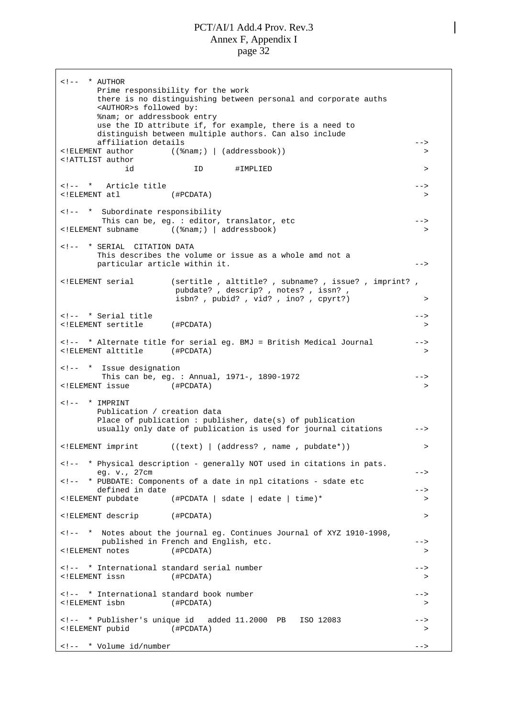$\leftarrow$  !-- \* AUTHOR Prime responsibility for the work there is no distinguishing between personal and corporate auths <AUTHOR>s followed by: %nam; or addressbook entry use the ID attribute if, for example, there is a need to distinguish between multiple authors. Can also include affiliation details --> <!ELEMENT author ((%nam;) | (addressbook)) > <!ATTLIST author id ID #IMPLIED > <!-- \* Article title --> <!ELEMENT atl (#PCDATA) > <!-- \* Subordinate responsibility This can be, eg. : editor, translator, etc --> <!ELEMENT subname ((%nam;) | addressbook) > <!-- \* SERIAL CITATION DATA This describes the volume or issue as a whole amd not a particular article within it. --> <!ELEMENT serial (sertitle , alttitle? , subname? , issue? , imprint? , pubdate? , descrip? , notes? , issn? , isbn?, pubid?, vid?, ino?, cpyrt?) > <!-- \* Serial title --> <!ELEMENT sertitle (#PCDATA) > <!-- \* Alternate title for serial eg. BMJ = British Medical Journal --> <!ELEMENT alttitle (#PCDATA) > <!-- \* Issue designation This can be, eg. : Annual, 1971-, 1890-1972 --> <!ELEMENT issue (#PCDATA) >  $\langle$  !-- \* IMPRINT Publication / creation data Place of publication : publisher, date(s) of publication usually only date of publication is used for journal citations --> <!ELEMENT imprint ((text) | (address? , name , pubdate\*)) > <!-- \* Physical description - generally NOT used in citations in pats. eq. v., 27cm --> <!-- \* PUBDATE: Components of a date in npl citations - sdate etc defined in date  $\overline{\phantom{a}}$  --> <!ELEMENT pubdate (#PCDATA | sdate | edate | time)\* > <!ELEMENT descrip (#PCDATA) > <!-- \* Notes about the journal eg. Continues Journal of XYZ 1910-1998, published in French and English, etc. --> <!ELEMENT notes (#PCDATA) > <!-- \* International standard serial number --> <!ELEMENT issn (#PCDATA) > <!-- \* International standard book number --> <!ELEMENT isbn (#PCDATA) > <!-- \* Publisher's unique id added 11.2000 PB ISO 12083 --> <!ELEMENT pubid (#PCDATA) > <!-- \* Volume id/number -->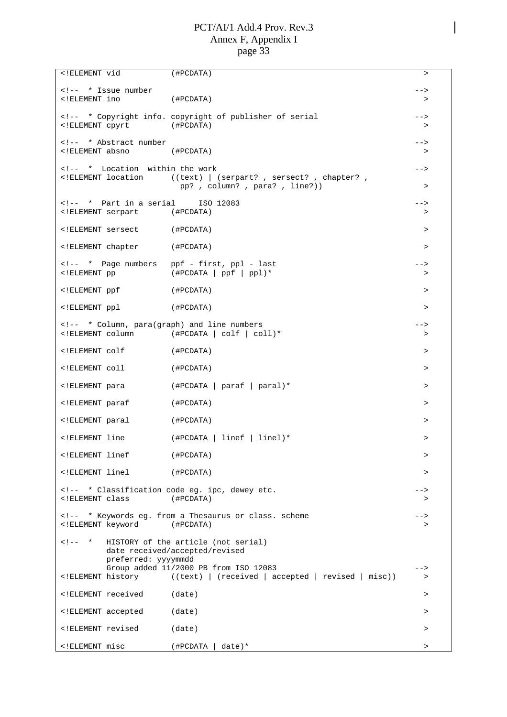<!ELEMENT vid (#PCDATA) > <!-- \* Issue number --> <!ELEMENT ino (#PCDATA) > <!-- \* Copyright info. copyright of publisher of serial --> <!ELEMENT cpyrt (#PCDATA) > <!-- \* Abstract number --> <!ELEMENT absno (#PCDATA) > <!-- \* Location within the work --> <!ELEMENT location ((text) | (serpart? , sersect? , chapter? , pp? , column? , para? , line?)) > <!-- \* Part in a serial ISO 12083 --> <!ELEMENT serpart (#PCDATA) > <!ELEMENT sersect (#PCDATA) > <!ELEMENT chapter (#PCDATA) > <!-- \* Page numbers ppf - first, ppl - last --> <!ELEMENT pp (#PCDATA | ppf | ppl)\* > <!ELEMENT ppf (#PCDATA) > <!ELEMENT ppl (#PCDATA) > <!-- \* Column, para(graph) and line numbers --> <!ELEMENT column (#PCDATA | colf | coll)\* > <!ELEMENT colf (#PCDATA) > <!ELEMENT coll (#PCDATA) > <!ELEMENT para (#PCDATA | paraf | paral)\* > <!ELEMENT paraf (#PCDATA) > <!ELEMENT paral (#PCDATA) > <!ELEMENT line (#PCDATA | linef | linel)\* > <!ELEMENT linef (#PCDATA) > <!ELEMENT linel (#PCDATA) > <!-- \* Classification code eg. ipc, dewey etc. --> <!ELEMENT class (#PCDATA) > <!-- \* Keywords eg. from a Thesaurus or class. scheme --> <!ELEMENT keyword (#PCDATA) > <!-- \* HISTORY of the article (not serial) date received/accepted/revised preferred: yyyymmdd Group added 11/2000 PB from ISO 12083 <!ELEMENT history ((text) | (received | accepted | revised | misc)) > <!ELEMENT received (date) > <!ELEMENT accepted (date) > <!ELEMENT revised (date) > <!ELEMENT misc (#PCDATA | date)\* >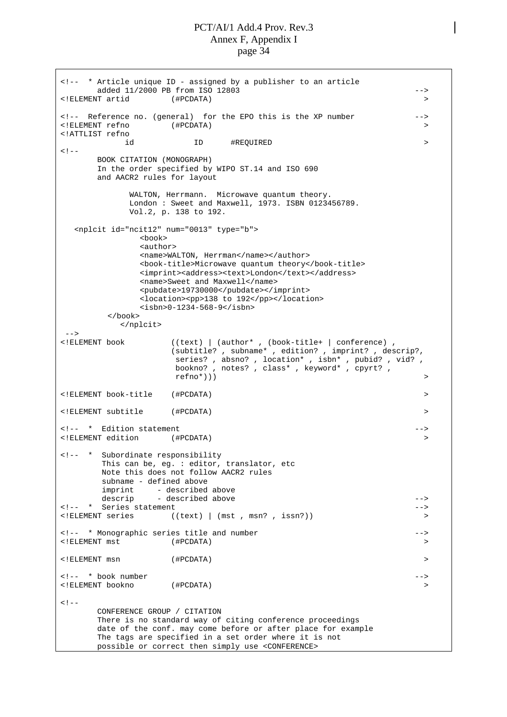<!-- \* Article unique ID - assigned by a publisher to an article added 11/2000 PB from ISO 12803 --> <!ELEMENT artid (#PCDATA) > <!-- Reference no. (general) for the EPO this is the XP number --> <!ELEMENT refno (#PCDATA) > <!ATTLIST refno id ID #REQUIRED >  $< 1 - -$ BOOK CITATION (MONOGRAPH) In the order specified by WIPO ST.14 and ISO 690 and AACR2 rules for layout WALTON, Herrmann. Microwave quantum theory. London : Sweet and Maxwell, 1973. ISBN 0123456789. Vol.2, p. 138 to 192. <nplcit id="ncit12" num="0013" type="b"> <book> <author> <name>WALTON, Herrman</name></author> <book-title>Microwave quantum theory</book-title> <imprint><address><text>London</text></address> <name>Sweet and Maxwell</name> <pubdate>19730000</pubdate></imprint> <location><pp>138 to 192</pp></location> <isbn>0-1234-568-9</isbn> </book> </nplcit> --><br><!ELEMENT\_book  $((text) | (author*, (book-title+ | conference),$ (subtitle? , subname\* , edition? , imprint? , descrip?, series? , absno? , location\* , isbn\* , pubid? , vid? , bookno? , notes? , class\* , keyword\* , cpyrt? ,  $refno^*)$ ) > <!ELEMENT book-title (#PCDATA) > <!ELEMENT subtitle (#PCDATA) > <!-- \* Edition statement --> <!ELEMENT edition (#PCDATA) > <!-- \* Subordinate responsibility This can be, eg. : editor, translator, etc Note this does not follow AACR2 rules subname - defined above imprint - described above descrip - described above  $--\$ <!-- \* Series statement -->  $((text) | (mst, msn? , issn?))$ <!-- \* Monographic series title and number --> <!ELEMENT mst (#PCDATA) > <!ELEMENT msn (#PCDATA) > <!-- \* book number --> <!ELEMENT bookno (#PCDATA) >  $\leq$  !  $-$ CONFERENCE GROUP / CITATION There is no standard way of citing conference proceedings date of the conf. may come before or after place for example The tags are specified in a set order where it is not possible or correct then simply use <CONFERENCE>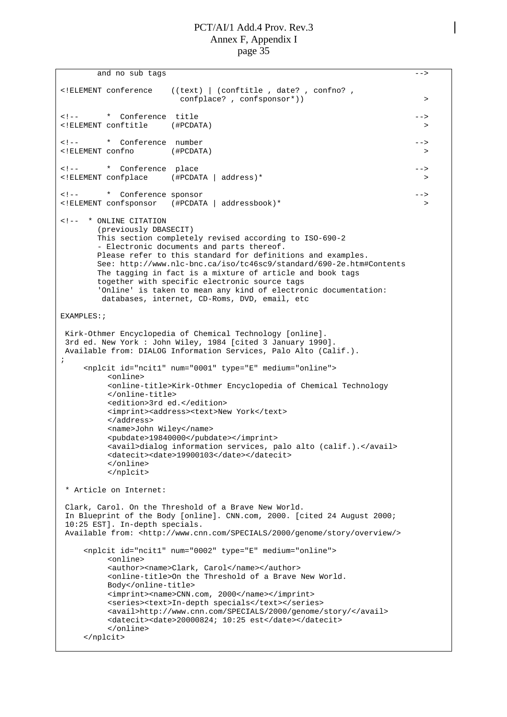```
and no sub tags -3<!ELEMENT conference ((text) | (conftitle , date? , confno? ,
                     confplace? , confsponsor*)) >
<!-- * Conference title -->
<!ELEMENT conftitle (#PCDATA) >
<!-- * Conference number -->
<!ELEMENT confno (#PCDATA) >
<!-- * Conference place -->
                 ( #PCDATA | address) *<!-- * Conference sponsor -->
<!ELEMENT confsponsor (#PCDATA | addressbook)* >
<!-- * ONLINE CITATION
      (previously DBASECIT)
      This section completely revised according to ISO-690-2
       - Electronic documents and parts thereof.
      Please refer to this standard for definitions and examples.
      See: http://www.nlc-bnc.ca/iso/tc46sc9/standard/690-2e.htm#Contents
      The tagging in fact is a mixture of article and book tags
      together with specific electronic source tags
      'Online' is taken to mean any kind of electronic documentation:
       databases, internet, CD-Roms, DVD, email, etc
EXAMPLES:;
Kirk-Othmer Encyclopedia of Chemical Technology [online].
3rd ed. New York : John Wiley, 1984 [cited 3 January 1990].
Available from: DIALOG Information Services, Palo Alto (Calif.).
;
    <nplcit id="ncit1" num="0001" type="E" medium="online">
        <online>
        <online-title>Kirk-Othmer Encyclopedia of Chemical Technology
        </online-title>
        <edition>3rd ed.</edition>
        <imprint><address><text>New York</text>
        </address>
        <name>John Wiley</name>
        <pubdate>19840000</pubdate></imprint>
        <avail>dialog information services, palo alto (calif.).</avail>
        <datecit><date>19900103</date></datecit>
        </online>
        </nplcit>
* Article on Internet:
Clark, Carol. On the Threshold of a Brave New World.
In Blueprint of the Body [online]. CNN.com, 2000. [cited 24 August 2000;
10:25 EST]. In-depth specials.
 <http://www.cnn.com/SPECIALS/2000/genome/story/overview/>
    <nplcit id="ncit1" num="0002" type="E" medium="online">
        <online>
        <author><name>Clark, Carol</name></author>
        <online-title>On the Threshold of a Brave New World.
        Body</online-title>
        <imprint><name>CNN.com, 2000</name></imprint>
        <series><text>In-depth specials</text></series>
        <avail>http://www.cnn.com/SPECIALS/2000/genome/story/</avail>
        <datecit><date>20000824; 10:25 est</date></datecit>
        </online>
    </nplcit>
```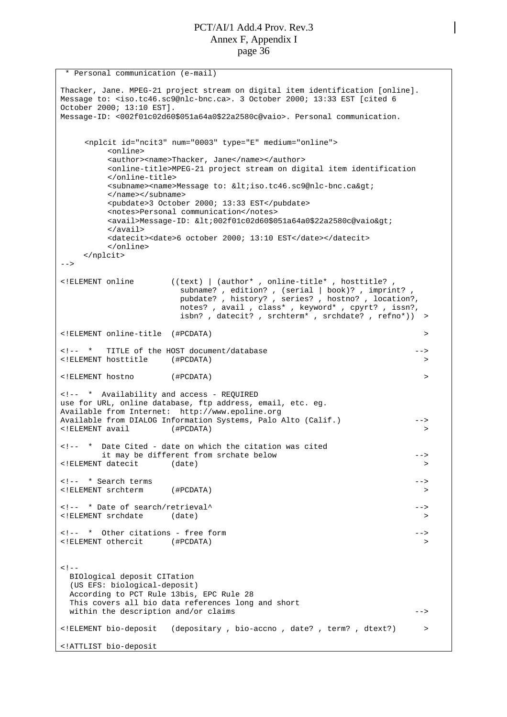\* Personal communication (e-mail) Thacker, Jane. MPEG-21 project stream on digital item identification [online]. Message to: <iso.tc46.sc9@nlc-bnc.ca>. 3 October 2000; 13:33 EST [cited 6 October 2000; 13:10 EST]. Message-ID: <002f01c02d60\$051a64a0\$22a2580c@vaio>. Personal communication. <nplcit id="ncit3" num="0003" type="E" medium="online"> <online> <author><name>Thacker, Jane</name></author> <online-title>MPEG-21 project stream on digital item identification </online-title> <subname><name>Message to: &lt;iso.tc46.sc9@nlc-bnc.ca&gt; </name></subname> <pubdate>3 October 2000; 13:33 EST</pubdate> <notes>Personal communication</notes> <avail>Message-ID: &lt;002f01c02d60\$051a64a0\$22a2580c@vaio&gt; </avail> <datecit><date>6 october 2000; 13:10 EST</date></datecit> </online> </nplcit>  $--$ <!ELEMENT online ((text) | (author\* , online-title\* , hosttitle? , subname? , edition? , (serial | book)? , imprint? , pubdate? , history? , series? , hostno? , location?, notes? , avail , class\* , keyword\* , cpyrt? , issn?, isbn? , datecit? , srchterm\* , srchdate? , refno\*)) > <!ELEMENT online-title (#PCDATA) > <!-- \* TITLE of the HOST document/database --> <!ELEMENT hosttitle (#PCDATA) > <!ELEMENT hostno (#PCDATA) > <!-- \* Availability and access - REQUIRED use for URL, online database, ftp address, email, etc. eg. Available from Internet:<http://www.epoline.org> Available from DIALOG Information Systems, Palo Alto (Calif.) --> <!ELEMENT avail (#PCDATA) > <!-- \* Date Cited - date on which the citation was cited it may be different from srchate below --> <!ELEMENT datecit (date) > <!-- \* Search terms --> <!ELEMENT srchterm (#PCDATA) > <!-- \* Date of search/retrieval^ --> <!ELEMENT srchdate (date) > <!-- \* Other citations - free form --> <!ELEMENT othercit (#PCDATA) >  $<$ !  $-$ BIOlogical deposit CITation (US EFS: biological-deposit) According to PCT Rule 13bis, EPC Rule 28 This covers all bio data references long and short within the description and/or claims  $--\rightarrow$ <!ELEMENT bio-deposit (depositary , bio-accno , date? , term? , dtext?) > <!ATTLIST bio-deposit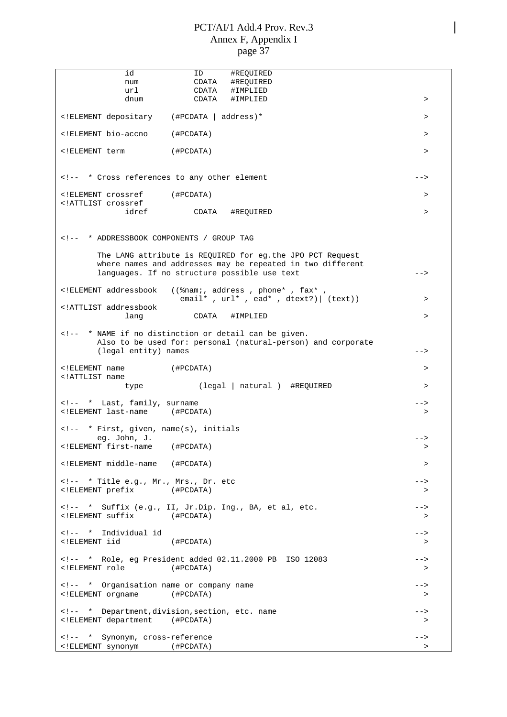| id                                                                                                                                                                                                                                                                                                                                                                                                                                       | #REQUIRED<br>ID                                                                                                                                                                                                                                                                                                                                                                            |           |
|------------------------------------------------------------------------------------------------------------------------------------------------------------------------------------------------------------------------------------------------------------------------------------------------------------------------------------------------------------------------------------------------------------------------------------------|--------------------------------------------------------------------------------------------------------------------------------------------------------------------------------------------------------------------------------------------------------------------------------------------------------------------------------------------------------------------------------------------|-----------|
| num<br>url                                                                                                                                                                                                                                                                                                                                                                                                                               | #REOUIRED<br>CDATA<br>CDATA<br>#IMPLIED                                                                                                                                                                                                                                                                                                                                                    |           |
| dnum                                                                                                                                                                                                                                                                                                                                                                                                                                     | CDATA<br>#IMPLIED                                                                                                                                                                                                                                                                                                                                                                          | $\geq$    |
| ELEMENT depositary (#PCDATA   address)*</td <td></td> <td><math>\geq</math></td>                                                                                                                                                                                                                                                                                                                                                         |                                                                                                                                                                                                                                                                                                                                                                                            | $\geq$    |
| ELEMENT bio-accno</td <td>(#PCDATA)</td> <td><math>\geq</math></td>                                                                                                                                                                                                                                                                                                                                                                      | (#PCDATA)                                                                                                                                                                                                                                                                                                                                                                                  | $\geq$    |
| ELEMENT term</td <td>(#PCDATA)</td> <td><math>\geq</math></td>                                                                                                                                                                                                                                                                                                                                                                           | (#PCDATA)                                                                                                                                                                                                                                                                                                                                                                                  | $\geq$    |
| * Cross references to any other element</td><td></td><td>                                                                                                                                                                                                                                                                                                                                                                                |                                                                                                                                                                                                                                                                                                                                                                                            |           |
| ELEMENT crossref (#PCDATA)<br ATTLIST crossref</td <td></td> <td><math>\geq</math></td>                                                                                                                                                                                                                                                                                                                                                  |                                                                                                                                                                                                                                                                                                                                                                                            | $\geq$    |
| idref                                                                                                                                                                                                                                                                                                                                                                                                                                    | CDATA<br>#REQUIRED                                                                                                                                                                                                                                                                                                                                                                         | $\, > \,$ |
| * ADDRESSBOOK COMPONENTS / GROUP TAG</td><td></td><td></td></tr><tr><td></td><td>The LANG attribute is REQUIRED for eg.the JPO PCT Request</td><td></td></tr><tr><td></td><td>where names and addresses may be repeated in two different<br>languages. If no structure possible use text</td><td>                                                                                                                                        |                                                                                                                                                                                                                                                                                                                                                                                            |           |
| ELEMENT addressbook</td <td>((%nam;, address, phone*, fax*,<br/>email*, <math>url*</math>, ead*, dtext?)   (text))</td> <td><math>\, &gt; \,</math></td>                                                                                                                                                                                                                                                                                 | ((%nam;, address, phone*, fax*,<br>email*, $url*$ , ead*, dtext?)   (text))                                                                                                                                                                                                                                                                                                                | $\, > \,$ |
| ATTLIST addressbook<br lang                                                                                                                                                                                                                                                                                                                                                                                                              | CDATA<br>#IMPLIED                                                                                                                                                                                                                                                                                                                                                                          | $\, > \,$ |
| (legal entity) names                                                                                                                                                                                                                                                                                                                                                                                                                     | * NAME if no distinction or detail can be given.<br>Also to be used for: personal (natural-person) and corporate</td><td>                                                                                                                                                                                                                                                                  |           |
| ELEMENT name</td <td>( #PCDATA)</td> <td><math display="inline">\, &gt;</math></td>                                                                                                                                                                                                                                                                                                                                                      | ( #PCDATA)                                                                                                                                                                                                                                                                                                                                                                                 | $\, >$    |
| ATTLIST name<br type                                                                                                                                                                                                                                                                                                                                                                                                                     | (legal   natural ) #REQUIRED                                                                                                                                                                                                                                                                                                                                                               | $\, > \,$ |
| * Last, family, surname<br><!ELEMENT last-name (#PCDATA)</td><td></td><td><br>$\geq$                                                                                                                                                                                                                                                                                                                                                     |                                                                                                                                                                                                                                                                                                                                                                                            |           |
| * First, given, name(s), initials</td><td></td><td></td></tr><tr><td>eg. John, J.<br><!ELEMENT first-name (#PCDATA)</td><td></td><td>                                                                                                                                                                                                                                                                                                    |                                                                                                                                                                                                                                                                                                                                                                                            |           |
| ELEMENT middle-name (#PCDATA)</td <td></td> <td>&gt;</td>                                                                                                                                                                                                                                                                                                                                                                                |                                                                                                                                                                                                                                                                                                                                                                                            | >         |
| * Title e.g., Mr., Mrs., Dr. etc</td><td></td><td>                                                                                                                                                                                                                                                                                                                                                                                       |                                                                                                                                                                                                                                                                                                                                                                                            |           |
| ELEMENT prefix (#PCDATA)</td <td></td> <td><math>\geq</math></td>                                                                                                                                                                                                                                                                                                                                                                        |                                                                                                                                                                                                                                                                                                                                                                                            | $\geq$    |
| ELEMENT suffix (#PCDATA)</td <td><!-- * Suffix (e.g., II, Jr.Dip. Ing., BA, et al, etc.</td><td><math>--&></math><br>></td></tr><tr><td><!-- * Individual id<br><! ELEMENT iid</td><td>(#PCDATA)</td><td>--><br/><math>\geq</math></td>                                                                                                                                                                                                  | * Suffix (e.g., II, Jr.Dip. Ing., BA, et al, etc.</td><td><math>--&></math><br>></td></tr><tr><td><!-- * Individual id<br><! ELEMENT iid</td><td>(#PCDATA)</td><td><br>$\geq$                                                                                                                                                                                                              |           |
| ELEMENT role</td <td><!-- * Role, eg President added 02.11.2000 PB ISO 12083<br>(#PCDATA)</td><td><math>--&></math><br><math>\geq</math></td></tr><tr><td><!-- * Organisation name or company name<br><!ELEMENT orgname (#PCDATA)</td><td></td><td><math>--&></math><br><math>\geq</math></td></tr><tr><td><!ELEMENT department (#PCDATA)</td><td><!-- * Department, division, section, etc. name</td><td>--><br/><math>\geq</math></td> | * Role, eg President added 02.11.2000 PB ISO 12083<br>(#PCDATA)</td><td><math>--&></math><br><math>\geq</math></td></tr><tr><td><!-- * Organisation name or company name<br><!ELEMENT orgname (#PCDATA)</td><td></td><td><math>--&></math><br><math>\geq</math></td></tr><tr><td><!ELEMENT department (#PCDATA)</td><td><!-- * Department, division, section, etc. name</td><td><br>$\geq$ |           |
| <!-- * Synonym, cross-reference</td> <td></td> <td><math>--&amp;&gt;</math></td>                                                                                                                                                                                                                                                                                                                                                         |                                                                                                                                                                                                                                                                                                                                                                                            | $--&>$    |
| ELEMENT synonym (#PCDATA)</td <td></td> <td><math>\, &gt; \,</math></td>                                                                                                                                                                                                                                                                                                                                                                 |                                                                                                                                                                                                                                                                                                                                                                                            | $\, > \,$ |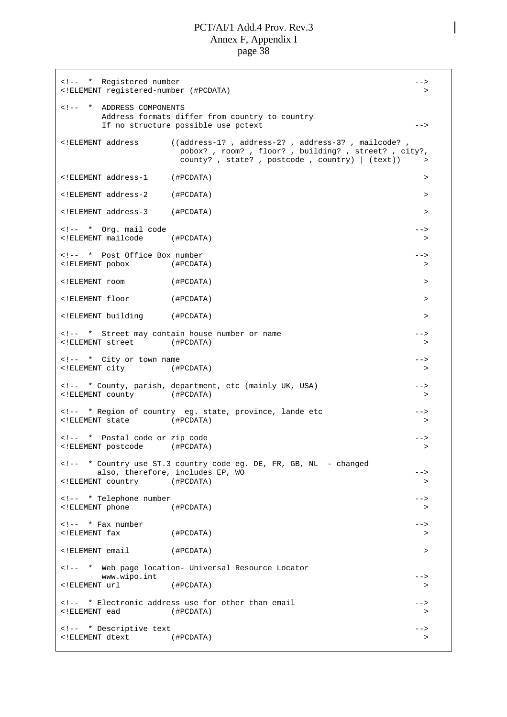<!-- \* Registered number --> <!ELEMENT registered-number (#PCDATA) > <!-- \* ADDRESS COMPONENTS Address formats differ from country to country If no structure possible use pctext --> <!ELEMENT address ((address-1? , address-2? , address-3? , mailcode? , pobox? , room? , floor? , building? , street? , city?, county?, state?, postcode, country)  $|$   $(text))$ <!ELEMENT address-1 (#PCDATA) > <!ELEMENT address-2 (#PCDATA) > <!ELEMENT address-3 (#PCDATA) > <!-- \* Org. mail code --> <!ELEMENT mailcode (#PCDATA) > <!-- \* Post Office Box number --> <!ELEMENT pobox (#PCDATA) > <!ELEMENT room (#PCDATA) > <!ELEMENT floor (#PCDATA) > <!ELEMENT building (#PCDATA) > <!-- \* Street may contain house number or name --> <!ELEMENT street (#PCDATA) > <!-- \* City or town name --> <!ELEMENT city (#PCDATA) > <!-- \* County, parish, department, etc (mainly UK, USA) --> <!ELEMENT county (#PCDATA) > <!-- \* Region of country eg. state, province, lande etc --> <!ELEMENT state (#PCDATA) > <!-- \* Postal code or zip code ---<!ELEMENT postcode (#PCDATA) > <!-- \* Country use ST.3 country code eg. DE, FR, GB, NL - changed also, therefore, includes EP, WO  $--\rightarrow$ <!ELEMENT country (#PCDATA) > <!-- \* Telephone number --> <!ELEMENT phone (#PCDATA) > <!-- \* Fax number --> <!ELEMENT fax (#PCDATA) > <!ELEMENT email (#PCDATA) > <!-- \* Web page location- Universal Resource Locator www.wipo.int  $\qquad \qquad \qquad \qquad \text{---}$ <!ELEMENT url (#PCDATA) > <!-- \* Electronic address use for other than email --> <!ELEMENT ead (#PCDATA) > <!-- \* Descriptive text --> <!ELEMENT dtext (#PCDATA) >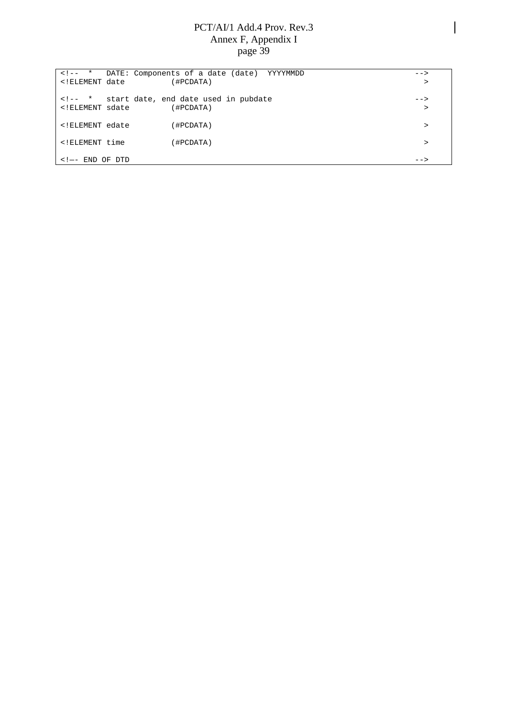|                                                                | <!-- * DATE: Components of a date (date) YYYYMMDD</th> <th><math>--</math></th> | $--$   |
|----------------------------------------------------------------|---------------------------------------------------------------------------------|--------|
| ELEMENT date</td <td>(#PCDATA)</td> <td><math>\geq</math></td> | (#PCDATA)                                                                       | $\geq$ |
|                                                                |                                                                                 |        |
|                                                                | <!-- * start date, end date used in pubdate</td> <td><math>--</math></td>       | $--$   |
| ELEMENT sdate</td <td>(HPCDATA)</td> <td></td>                 | (HPCDATA)                                                                       |        |
|                                                                |                                                                                 |        |
| ELEMENT edate</td <td>(#PCDATA)</td> <td>&gt;</td>             | (#PCDATA)                                                                       | >      |
|                                                                |                                                                                 |        |
| ELEMENT time</td <td>(#PCDATA)</td> <td>↘</td>                 | (#PCDATA)                                                                       | ↘      |
|                                                                |                                                                                 |        |
| $\langle$ !-- $\langle$ END OF DTD                             |                                                                                 | $--$   |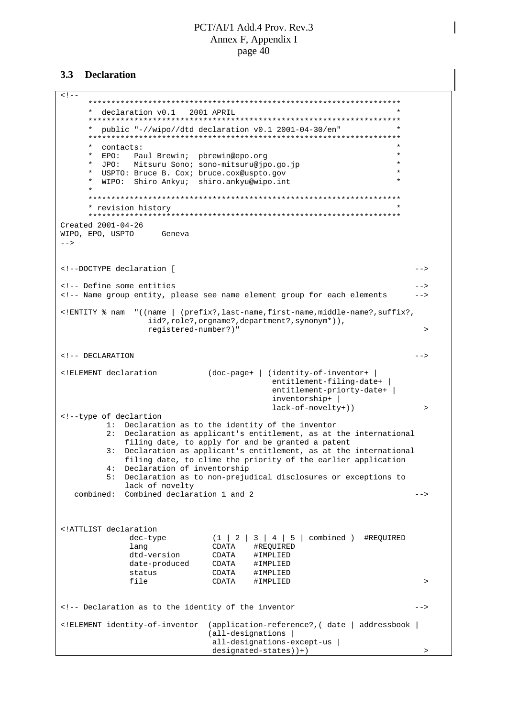#### **3.3 Declaration**

 $<$ !  $-$ \*\*\*\*\*\*\*\*\*\*\*\*\*\*\*\*\*\*\*\*\*\*\*\*\*\*\*\*\*\*\*\*\*\*\*\*\*\*\*\*\*\*\*\*\*\*\*\*\*\*\*\*\*\*\*\*\*\*\*\*\*\*\*\*\*\*\*\* \* declaration v0.1 2001 APRIL \* \*\*\*\*\*\*\*\*\*\*\*\*\*\*\*\*\*\*\*\*\*\*\*\*\*\*\*\*\*\*\*\*\*\*\*\*\*\*\*\*\*\*\*\*\*\*\*\*\*\*\*\*\*\*\*\*\*\*\*\*\*\*\*\*\*\*\*\* \* public "-//wipo//dtd declaration v0.1 2001-04-30/en" \* \*\*\*\*\*\*\*\*\*\*\*\*\*\*\*\*\*\*\*\*\*\*\*\*\*\*\*\*\*\*\*\*\*\*\*\*\*\*\*\*\*\*\*\*\*\*\*\*\*\*\*\*\*\*\*\*\*\*\*\*\*\*\*\*\*\*\*\* \* contacts: \* \* EPO: Paul Brewin; pbrewin@epo.org \* \* JPO: Mitsuru Sono; sono-mitsuru@jpo.go.jp \* \* USPTO: Bruce B. Cox; bruce.cox@uspto.gov \* WIPO: Shiro Ankyu; shiro.ankyu@wipo.int \* \*\*\*\*\*\*\*\*\*\*\*\*\*\*\*\*\*\*\*\*\*\*\*\*\*\*\*\*\*\*\*\*\*\*\*\*\*\*\*\*\*\*\*\*\*\*\*\*\*\*\*\*\*\*\*\*\*\*\*\*\*\*\*\*\*\*\*\* \* revision history \* \*\*\*\*\*\*\*\*\*\*\*\*\*\*\*\*\*\*\*\*\*\*\*\*\*\*\*\*\*\*\*\*\*\*\*\*\*\*\*\*\*\*\*\*\*\*\*\*\*\*\*\*\*\*\*\*\*\*\*\*\*\*\*\*\*\*\*\* Created 2001-04-26 WIPO, EPO, USPTO Geneva  $--$ <!--DOCTYPE declaration [ --> <!-- Define some entities --> <!-- Name group entity, please see name element group for each elements --> <!ENTITY % nam "((name | (prefix?,last-name,first-name,middle-name?,suffix?, iid?,role?,orgname?,department?,synonym\*)), registered-number?)" > <!-- DECLARATION --> <!ELEMENT declaration (doc-page+ | (identity-of-inventor+ | entitlement-filing-date+ | entitlement-priorty-date+ | inventorship+ | lack-of-novelty+)) > <!--type of declartion 1: Declaration as to the identity of the inventor 2: Declaration as applicant's entitlement, as at the international filing date, to apply for and be granted a patent 3: Declaration as applicant's entitlement, as at the international filing date, to clime the priority of the earlier application 4: Declaration of inventorship 5: Declaration as to non-prejudical disclosures or exceptions to lack of novelty combined: Combined declaration 1 and 2 --> <!ATTLIST declaration dec-type  $(1 \mid 2 \mid 3 \mid 4 \mid 5 \mid \text{combined})$  #REQUIRED<br>
lang CDATA #REQUIRED CDATA #REQUIRED dtd-version CDATA #IMPLIED date-produced CDATA #IMPLIED status CDATA #IMPLIED file CDATA #IMPLIED > <!-- Declaration as to the identity of the inventor --> <!ELEMENT identity-of-inventor (application-reference?,( date | addressbook | (all-designations | all-designations-except-us |  $designed-states)$  +)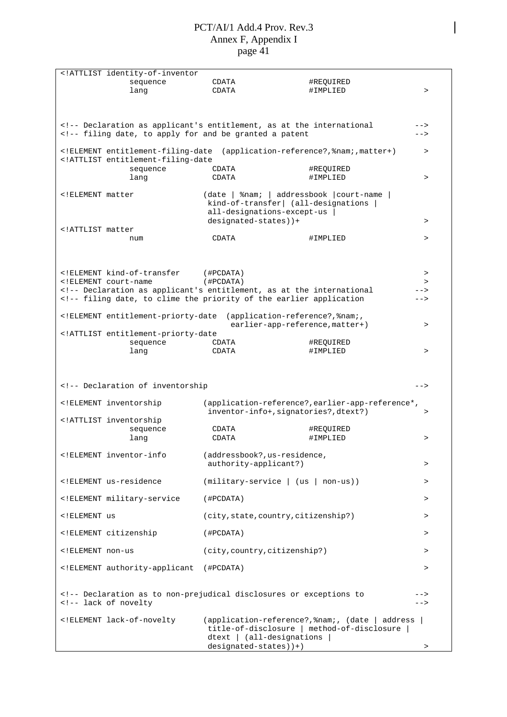| ATTLIST identity-of-inventor</th <th></th> <th></th> <th></th>                                                                                                                                                                                                                                                                                                                                                                                                                                                                                                                                                                                                                                                                                                                                                                                                                                                                                                                                                                                                                                                                                                                                                                                                                                                                                                                                                                                                                                                                                                                                                                                                                                                                                                                                                                                                                                                                                               |                       |                                                 |              |
|--------------------------------------------------------------------------------------------------------------------------------------------------------------------------------------------------------------------------------------------------------------------------------------------------------------------------------------------------------------------------------------------------------------------------------------------------------------------------------------------------------------------------------------------------------------------------------------------------------------------------------------------------------------------------------------------------------------------------------------------------------------------------------------------------------------------------------------------------------------------------------------------------------------------------------------------------------------------------------------------------------------------------------------------------------------------------------------------------------------------------------------------------------------------------------------------------------------------------------------------------------------------------------------------------------------------------------------------------------------------------------------------------------------------------------------------------------------------------------------------------------------------------------------------------------------------------------------------------------------------------------------------------------------------------------------------------------------------------------------------------------------------------------------------------------------------------------------------------------------------------------------------------------------------------------------------------------------|-----------------------|-------------------------------------------------|--------------|
| sequence                                                                                                                                                                                                                                                                                                                                                                                                                                                                                                                                                                                                                                                                                                                                                                                                                                                                                                                                                                                                                                                                                                                                                                                                                                                                                                                                                                                                                                                                                                                                                                                                                                                                                                                                                                                                                                                                                                                                                     | CDATA                 | #REQUIRED                                       |              |
| lang                                                                                                                                                                                                                                                                                                                                                                                                                                                                                                                                                                                                                                                                                                                                                                                                                                                                                                                                                                                                                                                                                                                                                                                                                                                                                                                                                                                                                                                                                                                                                                                                                                                                                                                                                                                                                                                                                                                                                         | CDATA                 | #IMPLIED                                        | >            |
|                                                                                                                                                                                                                                                                                                                                                                                                                                                                                                                                                                                                                                                                                                                                                                                                                                                                                                                                                                                                                                                                                                                                                                                                                                                                                                                                                                                                                                                                                                                                                                                                                                                                                                                                                                                                                                                                                                                                                              |                       |                                                 |              |
|                                                                                                                                                                                                                                                                                                                                                                                                                                                                                                                                                                                                                                                                                                                                                                                                                                                                                                                                                                                                                                                                                                                                                                                                                                                                                                                                                                                                                                                                                                                                                                                                                                                                                                                                                                                                                                                                                                                                                              |                       |                                                 |              |
|                                                                                                                                                                                                                                                                                                                                                                                                                                                                                                                                                                                                                                                                                                                                                                                                                                                                                                                                                                                                                                                                                                                                                                                                                                                                                                                                                                                                                                                                                                                                                                                                                                                                                                                                                                                                                                                                                                                                                              |                       |                                                 |              |
| Declaration as applicant's entitlement, as at the international</td><td></td><td></td><td></td></tr><tr><td><!-- filing date, to apply for and be granted a patent</td><td></td><td></td><td></td></tr><tr><td></td><td></td><td></td><td></td></tr><tr><td><!ELEMENT entitlement-filing-date</td><td></td><td>(application-reference?, <math>%</math>nam;, matter+)</td><td><math>\geq</math></td></tr><tr><td><!ATTLIST entitlement-filing-date</td><td></td><td></td><td></td></tr><tr><td>sequence</td><td>CDATA</td><td>#REQUIRED</td><td></td></tr><tr><td>lang</td><td>CDATA</td><td>#IMPLIED</td><td>></td></tr><tr><td></td><td></td><td></td><td></td></tr><tr><td><!ELEMENT matter</td><td></td><td>(date   %nam;   addressbook   court-name</td><td></td></tr><tr><td></td><td></td><td>kind-of-transfer  (all-designations  </td><td></td></tr><tr><td></td><td></td><td>all-designations-except-us</td><td></td></tr><tr><td></td><td>designated-states))+</td><td></td><td>></td></tr><tr><td><!ATTLIST matter</td><td></td><td></td><td></td></tr><tr><td>num</td><td>CDATA</td><td>#IMPLIED</td><td>></td></tr><tr><td></td><td></td><td></td><td></td></tr><tr><td></td><td></td><td></td><td></td></tr><tr><td></td><td></td><td></td><td></td></tr><tr><td><!ELEMENT kind-of-transfer</td><td>(HPCDATA)</td><td></td><td>></td></tr><tr><td><!ELEMENT court-name</td><td>(#PCDATA)</td><td></td><td>></td></tr><tr><td><!-- Declaration as applicant's entitlement, as at the international</td><td></td><td></td><td></td></tr><tr><td><!-- filing date, to clime the priority of the earlier application</td><td></td><td></td><td>                                                                                                                                                                                                                                                                                                    |                       |                                                 |              |
|                                                                                                                                                                                                                                                                                                                                                                                                                                                                                                                                                                                                                                                                                                                                                                                                                                                                                                                                                                                                                                                                                                                                                                                                                                                                                                                                                                                                                                                                                                                                                                                                                                                                                                                                                                                                                                                                                                                                                              |                       |                                                 |              |
| ELEMENT entitlement-priorty-date</td <td></td> <td>(application-reference?, %nam;,</td> <td></td>                                                                                                                                                                                                                                                                                                                                                                                                                                                                                                                                                                                                                                                                                                                                                                                                                                                                                                                                                                                                                                                                                                                                                                                                                                                                                                                                                                                                                                                                                                                                                                                                                                                                                                                                                                                                                                                            |                       | (application-reference?, %nam;,                 |              |
|                                                                                                                                                                                                                                                                                                                                                                                                                                                                                                                                                                                                                                                                                                                                                                                                                                                                                                                                                                                                                                                                                                                                                                                                                                                                                                                                                                                                                                                                                                                                                                                                                                                                                                                                                                                                                                                                                                                                                              |                       | earlier-app-reference, matter+)                 |              |
| ATTLIST entitlement-priorty-date</td <td></td> <td></td> <td>&gt;</td>                                                                                                                                                                                                                                                                                                                                                                                                                                                                                                                                                                                                                                                                                                                                                                                                                                                                                                                                                                                                                                                                                                                                                                                                                                                                                                                                                                                                                                                                                                                                                                                                                                                                                                                                                                                                                                                                                       |                       |                                                 | >            |
|                                                                                                                                                                                                                                                                                                                                                                                                                                                                                                                                                                                                                                                                                                                                                                                                                                                                                                                                                                                                                                                                                                                                                                                                                                                                                                                                                                                                                                                                                                                                                                                                                                                                                                                                                                                                                                                                                                                                                              | CDATA                 | #REQUIRED                                       |              |
| sequence                                                                                                                                                                                                                                                                                                                                                                                                                                                                                                                                                                                                                                                                                                                                                                                                                                                                                                                                                                                                                                                                                                                                                                                                                                                                                                                                                                                                                                                                                                                                                                                                                                                                                                                                                                                                                                                                                                                                                     | CDATA                 | #IMPLIED                                        | $\mathbf{v}$ |
| lang                                                                                                                                                                                                                                                                                                                                                                                                                                                                                                                                                                                                                                                                                                                                                                                                                                                                                                                                                                                                                                                                                                                                                                                                                                                                                                                                                                                                                                                                                                                                                                                                                                                                                                                                                                                                                                                                                                                                                         |                       |                                                 |              |
|                                                                                                                                                                                                                                                                                                                                                                                                                                                                                                                                                                                                                                                                                                                                                                                                                                                                                                                                                                                                                                                                                                                                                                                                                                                                                                                                                                                                                                                                                                                                                                                                                                                                                                                                                                                                                                                                                                                                                              |                       |                                                 |              |
|                                                                                                                                                                                                                                                                                                                                                                                                                                                                                                                                                                                                                                                                                                                                                                                                                                                                                                                                                                                                                                                                                                                                                                                                                                                                                                                                                                                                                                                                                                                                                                                                                                                                                                                                                                                                                                                                                                                                                              |                       |                                                 |              |
| Declaration of inventorship</td><td></td><td></td><td></td></tr><tr><td></td><td></td><td></td><td><math>--&></math></td></tr><tr><td><!ELEMENT inventorship</td><td></td><td>(application-reference?, earlier-app-reference*,</td><td></td></tr><tr><td></td><td></td><td>inventor-info+, signatories?, dtext?)</td><td></td></tr><tr><td></td><td></td><td></td><td>></td></tr><tr><td><!ATTLIST inventorship</td><td></td><td></td><td></td></tr><tr><td>sequence</td><td>CDATA</td><td>#REQUIRED</td><td></td></tr><tr><td>lang</td><td>CDATA</td><td>#IMPLIED</td><td>></td></tr><tr><td><!ELEMENT inventor-info</td><td></td><td></td><td></td></tr><tr><td></td><td></td><td>(addressbook?, us-residence,</td><td></td></tr><tr><td></td><td>authority-applicant?)</td><td></td><td><math>\, > \,</math></td></tr><tr><td></td><td></td><td></td><td></td></tr><tr><td><!ELEMENT us-residence</td><td></td><td><math>(military-service \mid (us \mid non-us))</math></td><td>></td></tr><tr><td></td><td></td><td></td><td></td></tr><tr><td><!ELEMENT military-service</td><td>(#PCDATA)</td><td></td><td>></td></tr><tr><td></td><td></td><td></td><td></td></tr><tr><td><! ELEMENT us</td><td></td><td>(city, state, country, citizenship?)</td><td>></td></tr><tr><td></td><td></td><td></td><td></td></tr><tr><td><! ELEMENT citizenship</td><td>(#PCDATA)</td><td></td><td>></td></tr><tr><td></td><td></td><td></td><td></td></tr><tr><td><!ELEMENT non-us</td><td></td><td>(city, country, citizenship?)</td><td><math>\geq</math></td></tr><tr><td></td><td></td><td></td><td></td></tr><tr><td><!ELEMENT authority-applicant</td><td>(#PCDATA)</td><td></td><td>></td></tr><tr><td></td><td></td><td></td><td></td></tr><tr><td></td><td></td><td></td><td></td></tr><tr><td><!-- Declaration as to non-prejudical disclosures or exceptions to</td><td></td><td></td><td></td></tr><tr><td><!-- lack of novelty</td><td></td><td></td><td> |                       |                                                 |              |
|                                                                                                                                                                                                                                                                                                                                                                                                                                                                                                                                                                                                                                                                                                                                                                                                                                                                                                                                                                                                                                                                                                                                                                                                                                                                                                                                                                                                                                                                                                                                                                                                                                                                                                                                                                                                                                                                                                                                                              |                       |                                                 |              |
| ELEMENT lack-of-novelty</td <td></td> <td>(application-reference?, %nam;, (date   address</td> <td></td>                                                                                                                                                                                                                                                                                                                                                                                                                                                                                                                                                                                                                                                                                                                                                                                                                                                                                                                                                                                                                                                                                                                                                                                                                                                                                                                                                                                                                                                                                                                                                                                                                                                                                                                                                                                                                                                     |                       | (application-reference?, %nam;, (date   address |              |
|                                                                                                                                                                                                                                                                                                                                                                                                                                                                                                                                                                                                                                                                                                                                                                                                                                                                                                                                                                                                                                                                                                                                                                                                                                                                                                                                                                                                                                                                                                                                                                                                                                                                                                                                                                                                                                                                                                                                                              |                       | title-of-disclosure   method-of-disclosure      |              |
|                                                                                                                                                                                                                                                                                                                                                                                                                                                                                                                                                                                                                                                                                                                                                                                                                                                                                                                                                                                                                                                                                                                                                                                                                                                                                                                                                                                                                                                                                                                                                                                                                                                                                                                                                                                                                                                                                                                                                              |                       | $dtext$ $ $ $(all$ -designations                |              |
|                                                                                                                                                                                                                                                                                                                                                                                                                                                                                                                                                                                                                                                                                                                                                                                                                                                                                                                                                                                                                                                                                                                                                                                                                                                                                                                                                                                                                                                                                                                                                                                                                                                                                                                                                                                                                                                                                                                                                              | designated-states))+) |                                                 | $\, > \,$    |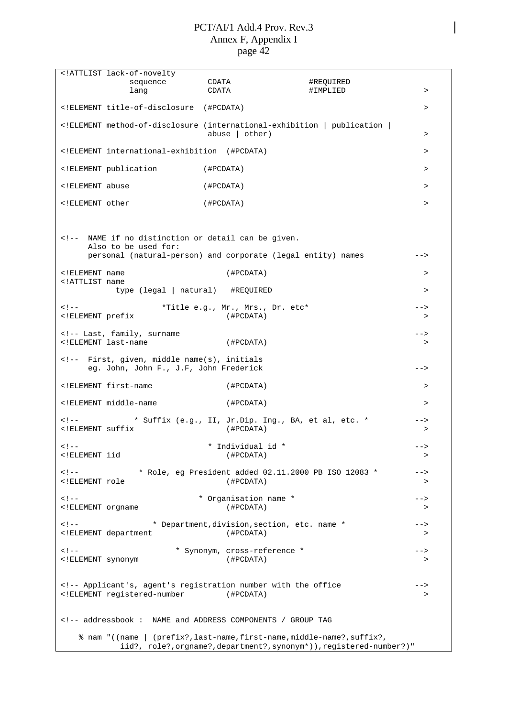| ATTLIST lack-of-novelty</th <th></th> <th></th> <th></th>                                                                                                                                                                                                                                                                                                                                                                                                                                                                                                                                                                                                                                             |                              |                                                                       |                  |
|-------------------------------------------------------------------------------------------------------------------------------------------------------------------------------------------------------------------------------------------------------------------------------------------------------------------------------------------------------------------------------------------------------------------------------------------------------------------------------------------------------------------------------------------------------------------------------------------------------------------------------------------------------------------------------------------------------|------------------------------|-----------------------------------------------------------------------|------------------|
| sequence                                                                                                                                                                                                                                                                                                                                                                                                                                                                                                                                                                                                                                                                                              | CDATA                        | #REOUIRED                                                             |                  |
| lang                                                                                                                                                                                                                                                                                                                                                                                                                                                                                                                                                                                                                                                                                                  | CDATA                        | #IMPLIED                                                              | >                |
| ELEMENT title-of-disclosure (#PCDATA)</td <td></td> <td></td> <td><math display="inline">\, &gt;</math></td>                                                                                                                                                                                                                                                                                                                                                                                                                                                                                                                                                                                          |                              |                                                                       | $\, >$           |
| ELEMENT method-of-disclosure (international-exhibition   publication  </td <td><math>abuse</math>   <math>other)</math></td> <td></td> <td>&gt;</td>                                                                                                                                                                                                                                                                                                                                                                                                                                                                                                                                                  | $abuse$   $other)$           |                                                                       | >                |
| ELEMENT international-exhibition (#PCDATA)</td <td></td> <td></td> <td>&gt;</td>                                                                                                                                                                                                                                                                                                                                                                                                                                                                                                                                                                                                                      |                              |                                                                       | >                |
| ELEMENT publication</td <td>(#PCDATA)</td> <td></td> <td><math>\geq</math></td>                                                                                                                                                                                                                                                                                                                                                                                                                                                                                                                                                                                                                       | (#PCDATA)                    |                                                                       | $\geq$           |
| ELEMENT abuse</td <td>(#PCDATA)</td> <td></td> <td>&gt;</td>                                                                                                                                                                                                                                                                                                                                                                                                                                                                                                                                                                                                                                          | (#PCDATA)                    |                                                                       | >                |
| ELEMENT other</td <td>(#PCDATA)</td> <td></td> <td><math display="inline">\, &gt;</math></td>                                                                                                                                                                                                                                                                                                                                                                                                                                                                                                                                                                                                         | (#PCDATA)                    |                                                                       | $\, >$           |
|                                                                                                                                                                                                                                                                                                                                                                                                                                                                                                                                                                                                                                                                                                       |                              |                                                                       |                  |
| NAME if no distinction or detail can be given.<br>Also to be used for:<br>personal (natural-person) and corporate (legal entity) names</td><td></td><td></td><td><math>--&></math></td></tr><tr><td><!ELEMENT name</td><td>(HPCDATA)</td><td></td><td><math display="inline">\, ></math></td></tr><tr><td><!ATTLIST name<br>type (legal   natural) #REQUIRED</td><td></td><td></td><td><math>\geq</math></td></tr><tr><td></td><td></td><td></td><td></td></tr><tr><td><math>< 1 - -</math><br><! ELEMENT prefix</td><td>*Title e.g., Mr., Mrs., Dr. etc*<br>(#PCDATA)</td><td></td><td><math>--&></math><br><math>\geq</math></td></tr><tr><td><!-- Last, family, surname</td><td></td><td></td><td> |                              |                                                                       |                  |
| ELEMENT last-name</td <td>(#PCDATA)</td> <td></td> <td><math>\geq</math></td>                                                                                                                                                                                                                                                                                                                                                                                                                                                                                                                                                                                                                         | (#PCDATA)                    |                                                                       | $\geq$           |
| First, given, middle name(s), initials<br>eg. John, John F., J.F, John Frederick</td><td></td><td></td><td><math>--</math></td></tr><tr><td><!ELEMENT first-name</td><td>(#PCDATA)</td><td></td><td>></td></tr><tr><td><!ELEMENT middle-name</td><td>(HPCDATA)</td><td></td><td>></td></tr><tr><td><math>\lt</math> ! <math>--</math><br><!ELEMENT suffix</td><td>(#PCDATA)</td><td>* Suffix (e.g., II, Jr.Dip. Ing., BA, et al, etc. *</td><td><br>$\geq$                                                                                                                                                                                                                                            |                              |                                                                       |                  |
| $\lt$ ! $--$                                                                                                                                                                                                                                                                                                                                                                                                                                                                                                                                                                                                                                                                                          | * Individual id *            |                                                                       | $--$             |
| ELEMENT iid</td <td>(#PCDATA)</td> <td></td> <td>&gt;</td>                                                                                                                                                                                                                                                                                                                                                                                                                                                                                                                                                                                                                                            | (#PCDATA)                    |                                                                       | >                |
| $<$ ! $-$<br>ELEMENT role</td <td>(HPCDATA)</td> <td>* Role, eg President added 02.11.2000 PB ISO 12083 *</td> <td>--&gt;<br/><math>\, &gt; \,</math></td>                                                                                                                                                                                                                                                                                                                                                                                                                                                                                                                                            | (HPCDATA)                    | * Role, eg President added 02.11.2000 PB ISO 12083 *                  | --><br>$\, > \,$ |
| $<$ ! --                                                                                                                                                                                                                                                                                                                                                                                                                                                                                                                                                                                                                                                                                              | * Organisation name *        |                                                                       | -->              |
| ELEMENT orgname</td <td>(HPCDATA)</td> <td></td> <td><math display="inline">\, &gt;</math></td>                                                                                                                                                                                                                                                                                                                                                                                                                                                                                                                                                                                                       | (HPCDATA)                    |                                                                       | $\, >$           |
| $<$ ! --                                                                                                                                                                                                                                                                                                                                                                                                                                                                                                                                                                                                                                                                                              |                              | * Department, division, section, etc. name *                          | -->              |
| ELEMENT department</td <td>(HPCDATA)</td> <td></td> <td>&gt;</td>                                                                                                                                                                                                                                                                                                                                                                                                                                                                                                                                                                                                                                     | (HPCDATA)                    |                                                                       | >                |
| $<$ ! --                                                                                                                                                                                                                                                                                                                                                                                                                                                                                                                                                                                                                                                                                              | * Synonym, cross-reference * |                                                                       | -->              |
| ELEMENT synonym</td <td>(#PCDATA)</td> <td></td> <td><math>\geq</math></td>                                                                                                                                                                                                                                                                                                                                                                                                                                                                                                                                                                                                                           | (#PCDATA)                    |                                                                       | $\geq$           |
| Applicant's, agent's registration number with the office</td><td></td><td></td><td>                                                                                                                                                                                                                                                                                                                                                                                                                                                                                                                                                                                                                   |                              |                                                                       |                  |
| ELEMENT registered-number</td <td>(#PCDATA)</td> <td></td> <td><math display="inline">\, &gt;</math></td>                                                                                                                                                                                                                                                                                                                                                                                                                                                                                                                                                                                             | (#PCDATA)                    |                                                                       | $\, >$           |
| <!-- addressbook : NAME and ADDRESS COMPONENTS / GROUP TAG</td> <td></td> <td></td> <td></td>                                                                                                                                                                                                                                                                                                                                                                                                                                                                                                                                                                                                         |                              |                                                                       |                  |
|                                                                                                                                                                                                                                                                                                                                                                                                                                                                                                                                                                                                                                                                                                       |                              | % nam "((name   (prefix?,last-name,first-name,middle-name?,suffix?,   |                  |
|                                                                                                                                                                                                                                                                                                                                                                                                                                                                                                                                                                                                                                                                                                       |                              | iid?, role?, orgname?, department?, synonym*)), registered-number?) " |                  |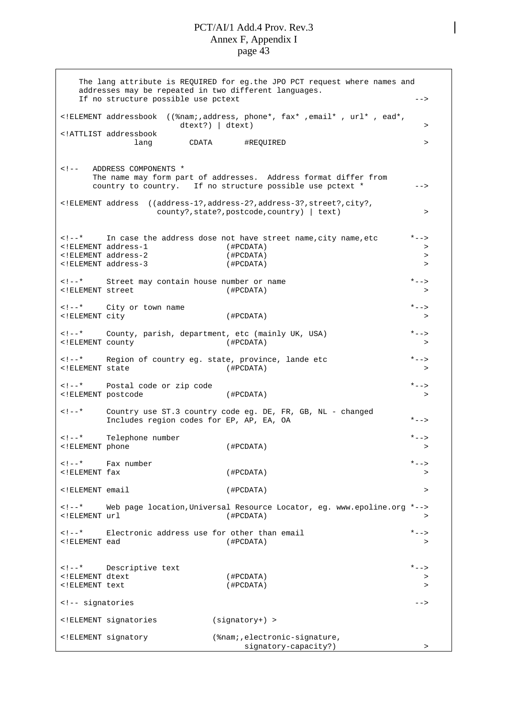The lang attribute is REQUIRED for eg.the JPO PCT request where names and addresses may be repeated in two different languages. If no structure possible use pctext --> <!ELEMENT addressbook ((%nam;,address, phone\*, fax\* ,email\* , url\* , ead\*, dtext?) | dtext) > <!ATTLIST addressbook lang CDATA #REQUIRED > > <!-- ADDRESS COMPONENTS \* The name may form part of addresses. Address format differ from country to country. If no structure possible use pctext  $*$  --> <!ELEMENT address ((address-1?,address-2?,address-3?,street?,city?, county?, state?, postcode, country) | text) > <!--\* In case the address dose not have street name,city name,etc \*--> <!ELEMENT address-1 (#PCDATA) > <!ELEMENT address-2 (#PCDATA) > <!ELEMENT address-3 (#PCDATA) > <!--\* Street may contain house number or name \*--> <!ELEMENT street (#PCDATA) > <!--\* City or town name \*--> <!ELEMENT city (#PCDATA) > <!--\* County, parish, department, etc (mainly UK, USA) \*--> <!ELEMENT county (#PCDATA) > <!--\* Region of country eg. state, province, lande etc \*--> <!ELEMENT state (#PCDATA) > <!--\* Postal code or zip code \*--> <!ELEMENT postcode (#PCDATA) > <!--\* Country use ST.3 country code eg. DE, FR, GB, NL - changed Includes region codes for EP, AP, EA, OA \*--> <!--\* Telephone number \*--> <!ELEMENT phone (#PCDATA) > <!--\* Fax number \*--> <!ELEMENT fax (#PCDATA) > <!ELEMENT email (#PCDATA) > <!--\* Web page location,Universal Resource Locator, eg. www.epoline.org \*-->  $\le$ !ELEMENT url <!--\* Electronic address use for other than email \*--> <!ELEMENT ead (#PCDATA) > <!--\* Descriptive text \*--> <!ELEMENT dtext (#PCDATA) > <!ELEMENT text (#PCDATA) >  $\leq$   $\frac{1}{2}$  -- signatories  $\frac{1}{2}$  --> <!ELEMENT signatories (signatory+) > <!ELEMENT signatory (%nam;,electronic-signature, signatory-capacity?) >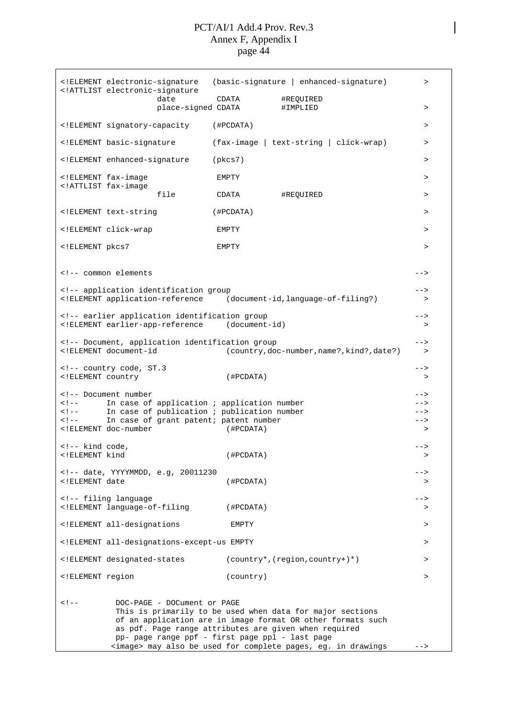|                                                                                                                                                                                                                                                                                                                                                                                                                | ELEMENT electronic-signature<br ATTLIST electronic-signature</th <th></th> <th>(basic-signature   enhanced-signature)</th> <th><math>\, &gt; \,</math></th>                                                                                                                      |                  | (basic-signature   enhanced-signature)                                                                                                                                                    | $\, > \,$        |
|----------------------------------------------------------------------------------------------------------------------------------------------------------------------------------------------------------------------------------------------------------------------------------------------------------------------------------------------------------------------------------------------------------------|----------------------------------------------------------------------------------------------------------------------------------------------------------------------------------------------------------------------------------------------------------------------------------|------------------|-------------------------------------------------------------------------------------------------------------------------------------------------------------------------------------------|------------------|
|                                                                                                                                                                                                                                                                                                                                                                                                                | date<br>place-signed CDATA                                                                                                                                                                                                                                                       | CDATA            | #REQUIRED<br>#IMPLIED                                                                                                                                                                     | $\, > \,$        |
|                                                                                                                                                                                                                                                                                                                                                                                                                | ELEMENT signatory-capacity</td <td>(#PCDATA)</td> <td></td> <td><math>\, &gt; \,</math></td>                                                                                                                                                                                     | (#PCDATA)        |                                                                                                                                                                                           | $\, > \,$        |
|                                                                                                                                                                                                                                                                                                                                                                                                                | ELEMENT basic-signature</td <td></td> <td>(fax-image   text-string   click-wrap)</td> <td><math>\geq</math></td>                                                                                                                                                                 |                  | (fax-image   text-string   click-wrap)                                                                                                                                                    | $\geq$           |
|                                                                                                                                                                                                                                                                                                                                                                                                                | ELEMENT enhanced-signature</td <td><math>(\text{pkcs7})</math></td> <td></td> <td><math>\, &gt; \,</math></td>                                                                                                                                                                   | $(\text{pkcs7})$ |                                                                                                                                                                                           | $\, > \,$        |
|                                                                                                                                                                                                                                                                                                                                                                                                                | ELEMENT fax-image<br ATTLIST fax-image</td <td>EMPTY</td> <td></td> <td>&gt;</td>                                                                                                                                                                                                | EMPTY            |                                                                                                                                                                                           | >                |
|                                                                                                                                                                                                                                                                                                                                                                                                                | file                                                                                                                                                                                                                                                                             | CDATA            | #REQUIRED                                                                                                                                                                                 | $\geq$           |
|                                                                                                                                                                                                                                                                                                                                                                                                                | ELEMENT text-string</td <td>(HPCDATA)</td> <td></td> <td><math>\, &gt; \,</math></td>                                                                                                                                                                                            | (HPCDATA)        |                                                                                                                                                                                           | $\, > \,$        |
|                                                                                                                                                                                                                                                                                                                                                                                                                | ELEMENT click-wrap</td <td>EMPTY</td> <td></td> <td>&gt;</td>                                                                                                                                                                                                                    | EMPTY            |                                                                                                                                                                                           | >                |
| ELEMENT pkcs7</td <td></td> <td>EMPTY</td> <td></td> <td><math>\, &gt; \,</math></td>                                                                                                                                                                                                                                                                                                                          |                                                                                                                                                                                                                                                                                  | EMPTY            |                                                                                                                                                                                           | $\, > \,$        |
|                                                                                                                                                                                                                                                                                                                                                                                                                | common elements</td><td></td><td></td><td><math>--&></math></td></tr><tr><td></td><td><!-- application identification group<br><!ELEMENT application-reference</td><td></td><td>(document-id, language-of-filing?)</td><td><br>$\, > \,$                                         |                  |                                                                                                                                                                                           |                  |
|                                                                                                                                                                                                                                                                                                                                                                                                                |                                                                                                                                                                                                                                                                                  |                  |                                                                                                                                                                                           |                  |
|                                                                                                                                                                                                                                                                                                                                                                                                                | earlier application identification group<br><!ELEMENT earlier-app-reference (document-id)</td><td></td><td></td><td><br>>                                                                                                                                                        |                  |                                                                                                                                                                                           |                  |
|                                                                                                                                                                                                                                                                                                                                                                                                                | Document, application identification group<br><!ELEMENT document-id</td><td></td><td>(country, doc-number, name?, kind?, date?)</td><td><math>--&></math><br>></td></tr><tr><td><! ELEMENT country</td><td><!-- country code, ST.3</td><td>(HPCDATA)</td><td></td><td><br>$\, >$ |                  |                                                                                                                                                                                           |                  |
|                                                                                                                                                                                                                                                                                                                                                                                                                | Document number</td><td></td><td></td><td>                                                                                                                                                                                                                                       |                  |                                                                                                                                                                                           |                  |
| $\lt$ ! $--$<br>$\lt$ ! $--$                                                                                                                                                                                                                                                                                                                                                                                   | In case of application ; application number<br>In case of publication ; publication number                                                                                                                                                                                       |                  |                                                                                                                                                                                           | -->              |
| $\lt$ ! $--$                                                                                                                                                                                                                                                                                                                                                                                                   | In case of grant patent; patent number<br>ELEMENT doc-number</td <td>(HPCDATA)</td> <td></td> <td>--&gt;<br/><math>\, &gt; \,</math></td>                                                                                                                                        | (HPCDATA)        |                                                                                                                                                                                           | --><br>$\, > \,$ |
| kind code,<br><! ELEMENT kind</td><td></td><td>(#PCDATA)</td><td></td><td><math>--&></math></td></tr><tr><td></td><td><!-- date, YYYYMMDD, e.g, 20011230</td><td></td><td></td><td><math>--</math></td></tr><tr><td><! ELEMENT date</td><td></td><td>(HPCDATA)</td><td></td><td>></td></tr><tr><td></td><td><!-- filing language<br><!ELEMENT language-of-filing</td><td>(#PCDATA)</td><td></td><td><br>$\geq$ |                                                                                                                                                                                                                                                                                  |                  |                                                                                                                                                                                           |                  |
|                                                                                                                                                                                                                                                                                                                                                                                                                | ELEMENT all-designations</td <td></td> <td></td> <td></td>                                                                                                                                                                                                                       |                  |                                                                                                                                                                                           |                  |
|                                                                                                                                                                                                                                                                                                                                                                                                                |                                                                                                                                                                                                                                                                                  | EMPTY            |                                                                                                                                                                                           | $\,>$            |
|                                                                                                                                                                                                                                                                                                                                                                                                                | ELEMENT all-designations-except-us EMPTY</td <td></td> <td></td> <td><math>\,&gt;</math></td>                                                                                                                                                                                    |                  |                                                                                                                                                                                           | $\,>$            |
|                                                                                                                                                                                                                                                                                                                                                                                                                | ELEMENT designated-states</td <td></td> <td><math>( country*, (region, country+)*)</math></td> <td><math>\,&gt;</math></td>                                                                                                                                                      |                  | $( country*, (region, country+)*)$                                                                                                                                                        | $\,>$            |
| ELEMENT region</td <td></td> <td>(country)</td> <td></td> <td><math>\geq</math></td>                                                                                                                                                                                                                                                                                                                           |                                                                                                                                                                                                                                                                                  | (country)        |                                                                                                                                                                                           | $\geq$           |
| $<$ ! --                                                                                                                                                                                                                                                                                                                                                                                                       | DOC-PAGE - DOCument or PAGE<br>as pdf. Page range attributes are given when required<br>pp- page range ppf - first page ppl - last page                                                                                                                                          |                  | This is primarily to be used when data for major sections<br>of an application are in image format OR other formats such<br><image/> may also be used for complete pages, eg. in drawings | $--$             |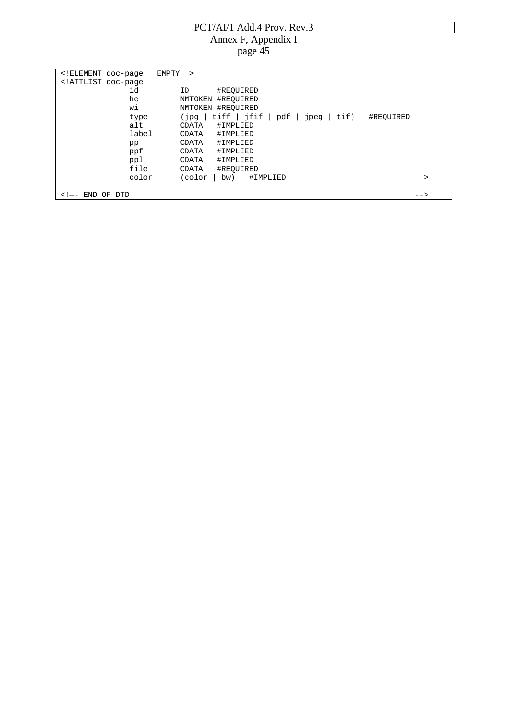| ELEMENT doc-page</th <th>EMPTY<br/><math>\geq</math></th> <th></th> | EMPTY<br>$\geq$                                         |  |
|---------------------------------------------------------------------|---------------------------------------------------------|--|
| ATTLIST doc-page</td <td></td> <td></td>                            |                                                         |  |
| id                                                                  | #REOUIRED<br>ID                                         |  |
| he                                                                  | NMTOKEN #REOUIRED                                       |  |
| wi                                                                  | NMTOKEN #REOUIRED                                       |  |
| type                                                                | tiff   jfif<br>pqt)<br>pdf<br>tif)<br>#REOUIRED<br>jpeg |  |
| alt                                                                 | #IMPLIED<br>CDATA                                       |  |
| label                                                               | #IMPLIED<br>CDATA                                       |  |
| pp                                                                  | #IMPLIED<br>CDATA                                       |  |
| ppf                                                                 | #IMPLIED<br>CDATA                                       |  |
| ppl                                                                 | #IMPLIED<br>CDATA                                       |  |
| file                                                                | #REOUIRED<br>CDATA                                      |  |
| color                                                               | (color<br>#IMPLIED<br>bw)<br>>                          |  |
|                                                                     |                                                         |  |
| <b>DTD</b><br>END<br>OF<br>$\lt$ ! $\leftarrow$                     | $--$                                                    |  |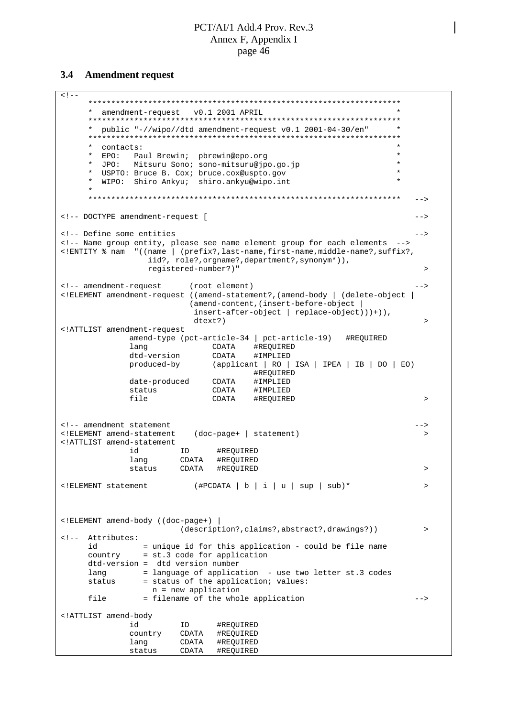#### **3.4 Amendment request**

 $<$ !  $-$ \*\*\*\*\*\*\*\*\*\*\*\*\*\*\*\*\*\*\*\*\*\*\*\*\*\*\*\*\*\*\*\*\*\*\*\*\*\*\*\*\*\*\*\*\*\*\*\*\*\*\*\*\*\*\*\*\*\*\*\*\*\*\*\*\*\*\*\* \* amendment-request v0.1 2001 APRIL \* \*\*\*\*\*\*\*\*\*\*\*\*\*\*\*\*\*\*\*\*\*\*\*\*\*\*\*\*\*\*\*\*\*\*\*\*\*\*\*\*\*\*\*\*\*\*\*\*\*\*\*\*\*\*\*\*\*\*\*\*\*\*\*\*\*\*\*\* \* public "-//wipo//dtd amendment-request v0.1 2001-04-30/en" \* \*\*\*\*\*\*\*\*\*\*\*\*\*\*\*\*\*\*\*\*\*\*\*\*\*\*\*\*\*\*\*\*\*\*\*\*\*\*\*\*\*\*\*\*\*\*\*\*\*\*\*\*\*\*\*\*\*\*\*\*\*\*\*\*\*\*\*\* \* contacts:<br>\* FDO: Paul Browin', phrowin@one org \* EPO: Paul Brewin; pbrewin@epo.org \* \* JPO: Mitsuru Sono; sono-mitsuru@jpo.go.jp \* USPTO: Bruce B. Cox; bruce.cox@uspto.gov WIPO: Shiro Ankyu; shiro.ankyu@wipo.int \* \*\*\*\*\*\*\*\*\*\*\*\*\*\*\*\*\*\*\*\*\*\*\*\*\*\*\*\*\*\*\*\*\*\*\*\*\*\*\*\*\*\*\*\*\*\*\*\*\*\*\*\*\*\*\*\*\*\*\*\*\*\*\*\*\*\*\*\* --> <!-- DOCTYPE amendment-request [ --> <!-- Define some entities --> <!-- Name group entity, please see name element group for each elements --> <!ENTITY % nam "((name | (prefix?,last-name,first-name,middle-name?,suffix?, iid?, role?,orgname?,department?,synonym\*)), registered-number?)" > <!-- amendment-request (root element) --> <!ELEMENT amendment-request ((amend-statement?,(amend-body | (delete-object | (amend-content,(insert-before-object | insert-after-object | replace-object)))+)),  $d$ text?)  $>$ <!ATTLIST amendment-request amend-type (pct-article-34 | pct-article-19) #REQUIRED lang CDATA #REQUIRED dtd-version CDATA #IMPLIED produced-by (applicant | RO | ISA | IPEA | IB | DO | EO) #REQUIRED date-produced CDATA #IMPLIED<br>status CDATA #IMPLIED status CDATA #IMPLIED file CDATA #REQUIRED > <!-- amendment statement<br><!ELEMENT amend-statement (doc-page+ | statement) >> <!ELEMENT amend-statement (doc-page+ | statement) > <!ATTLIST amend-statement id ID #REQUIRED lang CDATA #REQUIRED<br>status CDATA #REQUIRED  $\begin{array}{ccc} \text{CDATA} & \text{#REQUIRED} \end{array}$ <!ELEMENT statement (#PCDATA | b | i | u | sup | sub)\* > <!ELEMENT amend-body ((doc-page+) | (description?,claims?,abstract?,drawings?)) > <!-- Attributes: id = unique id for this application - could be file name country = st.3 code for application dtd-version = dtd version number lang = language of application - use two letter st.3 codes status = status of the application; values: n = new application file  $=$  filename of the whole application  $---$ <!ATTLIST amend-body id ID #REQUIRED country CDATA #REQUIRED lang CDATA #REQUIRED status CDATA #REQUIRED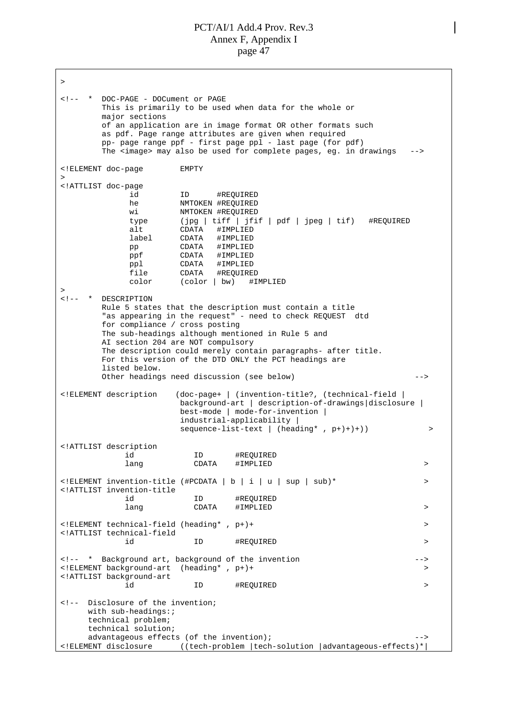> <!-- \* DOC-PAGE - DOCument or PAGE This is primarily to be used when data for the whole or major sections of an application are in image format OR other formats such as pdf. Page range attributes are given when required pp- page range ppf - first page ppl - last page (for pdf) The <image> may also be used for complete pages, eg. in drawings --> <!ELEMENT doc-page EMPTY > <!ATTLIST doc-page id ID #REQUIRED he NMTOKEN #REQUIRED wi NMTOKEN #REQUIRED type (jpg | tiff | jfif | pdf | jpeg | tif) #REQUIRED alt CDATA #IMPLIED label CDATA #IMPLIED pp CDATA #IMPLIED ppf CDATA #IMPLIED ppl CDATA #IMPLIED<br>file CDATA #REQUIRE! file CDATA #REQUIRED color (color | bw) #IMPLIED > <!-- \* DESCRIPTION Rule 5 states that the description must contain a title "as appearing in the request" - need to check REQUEST dtd for compliance / cross posting The sub-headings although mentioned in Rule 5 and AI section 204 are NOT compulsory The description could merely contain paragraphs- after title. For this version of the DTD ONLY the PCT headings are listed below. Other headings need discussion (see below) --> <!ELEMENT description (doc-page+ | (invention-title?, (technical-field | background-art | description-of-drawings|disclosure | best-mode | mode-for-invention | industrial-applicability | sequence-list-text | (heading\*, p+)+)+)) > <!ATTLIST description id ID #REQUIRED lang CDATA #IMPLIED > <!ELEMENT invention-title (#PCDATA | b | i | u | sup | sub)\* > <!ATTLIST invention-title id ID #REQUIRED lang CDATA #IMPLIED > <!ELEMENT technical-field (heading\* , p+)+ > <!ATTLIST technical-field id ID #REQUIRED > <!-- \* Background art, background of the invention --> <!ELEMENT background-art (heading\* , p+)+ > <!ATTLIST background-art id ID #REQUIRED > <!-- Disclosure of the invention; with sub-headings:; technical problem; technical solution; advantageous effects (of the invention); --> <!ELEMENT disclosure ((tech-problem |tech-solution |advantageous-effects)\*|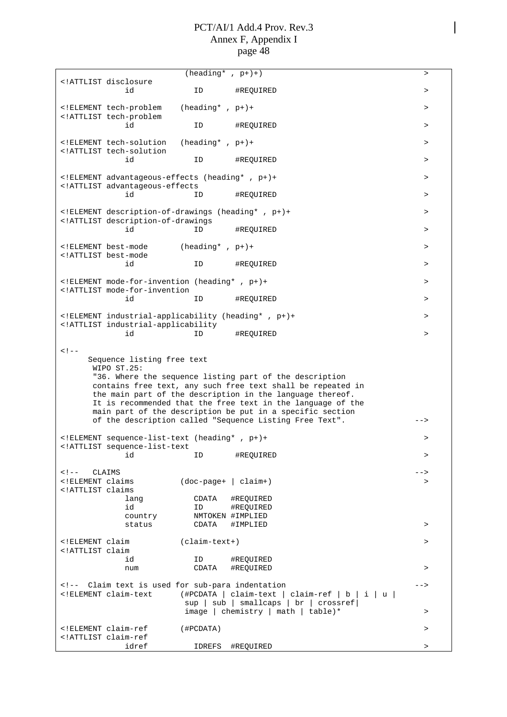|                                                                                                                    |                                                                                                                                                                                                               | $(\overline{\text{heading}}^* , p+)$ |                                                                                                                                                                                                                                                    | $\, >$    |
|--------------------------------------------------------------------------------------------------------------------|---------------------------------------------------------------------------------------------------------------------------------------------------------------------------------------------------------------|--------------------------------------|----------------------------------------------------------------------------------------------------------------------------------------------------------------------------------------------------------------------------------------------------|-----------|
|                                                                                                                    | ATTLIST disclosure<br id                                                                                                                                                                                      |                                      |                                                                                                                                                                                                                                                    |           |
|                                                                                                                    |                                                                                                                                                                                                               | ID                                   | #REQUIRED                                                                                                                                                                                                                                          | $\, >$    |
|                                                                                                                    | ELEMENT tech-problem<br ATTLIST tech-problem</td <td><math>(heading* , p+) +</math></td> <td></td> <td><math display="inline">\, &gt;</math></td>                                                             | $(heading* , p+) +$                  |                                                                                                                                                                                                                                                    | $\, >$    |
|                                                                                                                    | id                                                                                                                                                                                                            | ID                                   | #REQUIRED                                                                                                                                                                                                                                          | $\, > \,$ |
|                                                                                                                    | ELEMENT tech-solution<br ATTLIST tech-solution</td <td><math>(heading* , p+) +</math></td> <td></td> <td><math>\geq</math></td>                                                                               | $(heading* , p+) +$                  |                                                                                                                                                                                                                                                    | $\geq$    |
|                                                                                                                    | id                                                                                                                                                                                                            | ID                                   | #REQUIRED                                                                                                                                                                                                                                          | $\, > \,$ |
|                                                                                                                    | ELEMENT advantageous-effects (heading*, p+)+</td <td></td> <td></td> <td><math>\, &gt; \,</math></td>                                                                                                         |                                      |                                                                                                                                                                                                                                                    | $\, > \,$ |
|                                                                                                                    | ATTLIST advantageous-effects<br id                                                                                                                                                                            | ID                                   | #REQUIRED                                                                                                                                                                                                                                          | $\, >$    |
|                                                                                                                    | ELEMENT description-of-drawings (heading*, p+)+</td <td></td> <td></td> <td><math>\, &gt; \,</math></td>                                                                                                      |                                      |                                                                                                                                                                                                                                                    | $\, > \,$ |
|                                                                                                                    | ATTLIST description-of-drawings<br id                                                                                                                                                                         | ID                                   | #REQUIRED                                                                                                                                                                                                                                          | $\geq$    |
|                                                                                                                    | ELEMENT best-mode</td <td><math>(heading* , p+) +</math></td> <td></td> <td><math>\, &gt; \,</math></td>                                                                                                      | $(heading* , p+) +$                  |                                                                                                                                                                                                                                                    | $\, > \,$ |
|                                                                                                                    | ATTLIST best-mode<br id                                                                                                                                                                                       | ID                                   | #REQUIRED                                                                                                                                                                                                                                          | $\geq$    |
|                                                                                                                    | ELEMENT mode-for-invention (heading*, p+)+</td <td></td> <td></td> <td><math display="inline">\, &gt;</math></td>                                                                                             |                                      |                                                                                                                                                                                                                                                    | $\, >$    |
|                                                                                                                    | ATTLIST mode-for-invention<br id                                                                                                                                                                              | ID                                   | #REOUIRED                                                                                                                                                                                                                                          | $\, > \,$ |
|                                                                                                                    | ELEMENT industrial-applicability (heading*, p+)+</td <td></td> <td></td> <td>&gt;</td>                                                                                                                        |                                      |                                                                                                                                                                                                                                                    | >         |
|                                                                                                                    | ATTLIST industrial-applicability<br id                                                                                                                                                                        | ID                                   | #REQUIRED                                                                                                                                                                                                                                          | $\, > \,$ |
| $<$ ! --                                                                                                           | Sequence listing free text<br>WIPO ST.25:                                                                                                                                                                     |                                      | "36. Where the sequence listing part of the description<br>contains free text, any such free text shall be repeated in<br>the main part of the description in the language thereof.<br>It is recommended that the free text in the language of the |           |
|                                                                                                                    |                                                                                                                                                                                                               |                                      | main part of the description be put in a specific section<br>of the description called "Sequence Listing Free Text".                                                                                                                               | -->       |
|                                                                                                                    | ELEMENT sequence-list-text (heading*, p+)+<br ATTLIST sequence-list-text</td <td></td> <td></td> <td><math>\, &gt; \,</math></td>                                                                             |                                      |                                                                                                                                                                                                                                                    | $\, > \,$ |
|                                                                                                                    | id                                                                                                                                                                                                            | ID                                   | #REQUIRED                                                                                                                                                                                                                                          | $\, > \,$ |
| $\langle$ !-- $CLAIMS$                                                                                             |                                                                                                                                                                                                               |                                      |                                                                                                                                                                                                                                                    | ->        |
| ELEMENT claims</td <td></td> <td><math>(doc-paqe+   claim+)</math></td> <td></td> <td><math>\, &gt; \,</math></td> |                                                                                                                                                                                                               | $(doc-paqe+   claim+)$               |                                                                                                                                                                                                                                                    | $\, > \,$ |
| ATTLIST claims</td <td>lang</td> <td>CDATA</td> <td>#REQUIRED</td> <td></td>                                       | lang                                                                                                                                                                                                          | CDATA                                | #REQUIRED                                                                                                                                                                                                                                          |           |
|                                                                                                                    | id                                                                                                                                                                                                            | ID                                   | #REQUIRED                                                                                                                                                                                                                                          |           |
|                                                                                                                    | country                                                                                                                                                                                                       |                                      | NMTOKEN #IMPLIED                                                                                                                                                                                                                                   |           |
|                                                                                                                    | status                                                                                                                                                                                                        | CDATA                                | #IMPLIED                                                                                                                                                                                                                                           | $\, > \,$ |
| ELEMENT claim</td <td></td> <td>(claim-text+)</td> <td></td> <td><math display="inline">\, &gt;</math></td>        |                                                                                                                                                                                                               | (claim-text+)                        |                                                                                                                                                                                                                                                    | $\, >$    |
| ATTLIST claim</td <td>id</td> <td>ID</td> <td>#REQUIRED</td> <td></td>                                             | id                                                                                                                                                                                                            | ID                                   | #REQUIRED                                                                                                                                                                                                                                          |           |
|                                                                                                                    | num                                                                                                                                                                                                           | CDATA                                | #REQUIRED                                                                                                                                                                                                                                          | >         |
|                                                                                                                    | Claim text is used for sub-para indentation<br><!ELEMENT claim-text</td><td></td><td><math>(\texttt{\#PCDATA}   claim-text   claim-ref   b   i   u)</math><br>sup   sub   smallcaps   br   crossref </td><td> |                                      |                                                                                                                                                                                                                                                    |           |
|                                                                                                                    |                                                                                                                                                                                                               |                                      | $image   chemistry   math   table)*$                                                                                                                                                                                                               | >         |
|                                                                                                                    | ELEMENT claim-ref<br ATTLIST claim-ref</td <td>(#PCDATA)</td> <td></td> <td><math display="inline">\, &gt;</math></td>                                                                                        | (#PCDATA)                            |                                                                                                                                                                                                                                                    | $\, >$    |
|                                                                                                                    | idref                                                                                                                                                                                                         | IDREFS                               | #REQUIRED                                                                                                                                                                                                                                          | $\, >$    |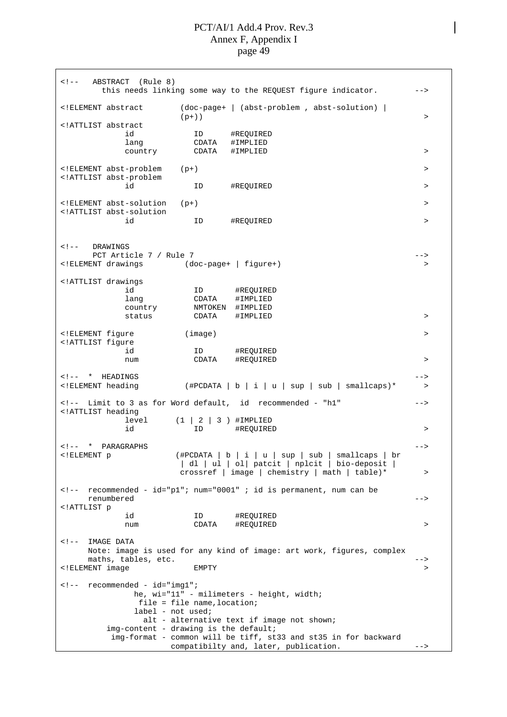<!-- ABSTRACT (Rule 8) this needs linking some way to the REQUEST figure indicator. --> <!ELEMENT abstract (doc-page+ | (abst-problem , abst-solution) |  $(p+)$ )  $>$ <!ATTLIST abstract id ID #REQUIRED id 1D #REQUIRE!<br>lang CDATA #IMPLIED country CDATA #IMPLIED > <!ELEMENT abst-problem (p+) > <!ATTLIST abst-problem id ID #REQUIRED <!ELEMENT abst-solution (p+) > <!ATTLIST abst-solution id ID #REQUIRED > <!-- DRAWINGS PCT Article 7 / Rule 7 --> <!ELEMENT drawings (doc-page+ | figure+) > <!ATTLIST drawings id ID #REQUIRED lang CDATA #IMPLIED country NMTOKEN #IMPLIED status CDATA #IMPLIED > <!ELEMENT figure (image) > <!ATTLIST figure id ID #REQUIRED num CDATA #REQUIRED > <!-- \* HEADINGS --> <!ELEMENT heading (#PCDATA | b | i | u | sup | sub | smallcaps)\* > <!-- Limit to 3 as for Word default, id recommended - "h1" --> <!ATTLIST heading  $level$   $(1 | 2 | 3)$   $#IMPLIED$ id ID #REQUIRED > <!-- \* PARAGRAPHS --> <!ELEMENT p (#PCDATA | b | i | u | sup | sub | smallcaps | br | dl | ul | ol| patcit | nplcit | bio-deposit | crossref | image | chemistry | math | table)\* > <!-- recommended - id="p1"; num="0001" ; id is permanent, num can be renumbered --> <!ATTLIST p id ID #REQUIRED num CDATA #REQUIRED > <!-- IMAGE DATA Note: image is used for any kind of image: art work, figures, complex maths, tables, etc.  $\qquad \qquad \qquad \text{---}$ <!ELEMENT image EMPTY > <!-- recommended - id="img1"; he, wi="11" - milimeters - height, width; file = file name,location; label - not used; alt - alternative text if image not shown; img-content - drawing is the default; img-format - common will be tiff, st33 and st35 in for backward compatibilty and, later, publication. -->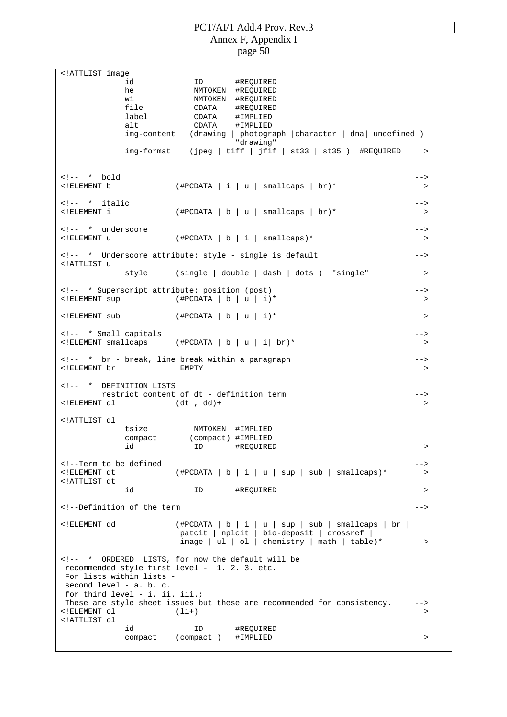<!ATTLIST image id ID #REQUIRED he NMTOKEN #REQUIRED wi NMTOKEN #REQUIRED file CDATA #REQUIRED label CDATA #IMPLIED #IMPLIED img-content (drawing | photograph |character | dna| undefined ) "drawing" img-format (jpeg | tiff | jfif | st33 | st35 ) #REQUIRED > <!-- \* bold --> <!ELEMENT b (#PCDATA|i|u| smallcaps | br)\* >  $\leq$   $\frac{1}{2}$   $\leq$   $\frac{1}{2}$   $\leq$   $\frac{1}{2}$   $\leq$   $\leq$   $\leq$   $\leq$   $\leq$   $\leq$   $\leq$   $\leq$   $\leq$   $\leq$   $\leq$   $\leq$   $\leq$   $\leq$   $\leq$   $\leq$   $\leq$   $\leq$   $\leq$   $\leq$   $\leq$   $\leq$   $\leq$   $\leq$   $\leq$   $\leq$   $\leq$   $\leq$   $\leq$ <!ELEMENT i (#PCDATA|b|u| smallcaps | br)\* > <!-- \* underscore --> <!ELEMENT u (#PCDATA|b|i| smallcaps)\* > <!-- \* Underscore attribute: style - single is default --> <!ATTLIST u style (single | double | dash | dots ) "single" > <!-- \* Superscript attribute: position (post) --> <!ELEMENT sup (#PCDATA | b | u | i)\* >  $\langle$  + FIENENT sub  $($  + FIENENT  $\vert$  b  $\vert$  u  $\vert$  i  $\rangle$  \* <!-- \* Small capitals -->  $(\text{HPCDATA} | b | u | i | br)^*$  > <!-- \* br - break, line break within a paragraph --> enter the set of the set of the set of the set of the set of the set of the set of the set of the set of the set of the set of the set of the set of the set of the set of the set of the set of the set of the set of the set <!-- \* DEFINITION LISTS restrict content of dt - definition term -->  $(\texttt{dt} \ , \ \texttt{dd}) +$ <!ATTLIST dl tsize NMTOKEN #IMPLIED compact (compact) #IMPLIED id ID #REQUIRED > <!--Term to be defined -->  $\leq$ !ELEMENT dt  $($ #PCDATA | b | i | u | sup | sub | smallcaps)\* > <!ATTLIST dt id ID #REQUIRED > <!--Definition of the term --> <!ELEMENT dd (#PCDATA | b | i | u | sup | sub | smallcaps | br | patcit | nplcit | bio-deposit | crossref |  $image | ul | ol | chemistry | math | table)*$  > <!-- \* ORDERED LISTS, for now the default will be recommended style first level - 1. 2. 3. etc. For lists within lists second level - a. b. c. for third level - i. ii. iii.; These are style sheet issues but these are recommended for consistency. -->  $\langle$ !ELEMENT ol  $(1i+)$ <!ATTLIST ol id ID #REQUIRED compact (compact ) #IMPLIED >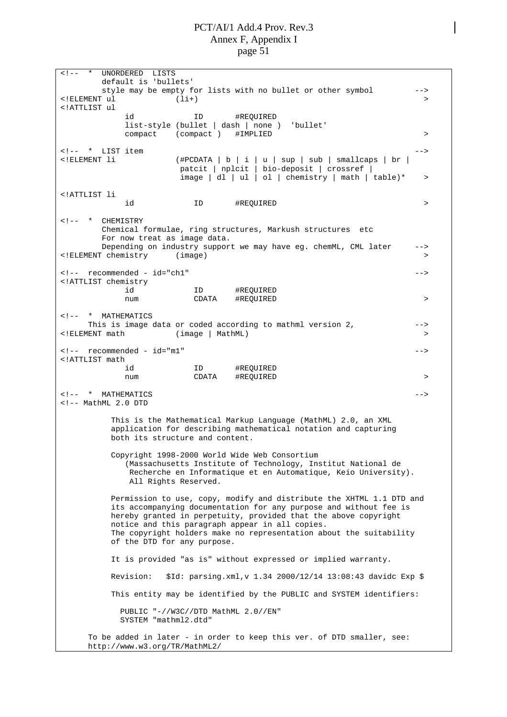<!-- \* UNORDERED LISTS default is 'bullets' style may be empty for lists with no bullet or other symbol -->  $\langle$  [ELEMENT ul  $(1i+)$   $\qquad \qquad$  2 <!ATTLIST ul id ID #REQUIRED list-style (bullet | dash | none ) 'bullet' compact (compact ) #IMPLIED > <!-- \* LIST item --> <!ELEMENT li (#PCDATA | b | i | u | sup | sub | smallcaps | br | patcit | nplcit | bio-deposit | crossref |  $image | d1 | ul | ol | chemistry | math | table)*$  > <!ATTLIST li id ID #REQUIRED > <!-- \* CHEMISTRY Chemical formulae, ring structures, Markush structures etc For now treat as image data. Depending on industry support we may have eg. chemML, CML later --> <!ELEMENT chemistry (image) > <!-- recommended - id="ch1" --> <!ATTLIST chemistry id ID #REQUIRED num CDATA #REQUIRED > <!-- \* MATHEMATICS This is image data or coded according to mathml version 2, ---<!ELEMENT math (image | MathML) > <!-- recommended - id="m1" --> <!ATTLIST math id ID #REQUIRED num CDATA #REQUIRED >  $\leftarrow$  -- \* MATHEMATICS --- \* --  $\leftarrow$  --  $\leftarrow$  --  $\leftarrow$  --  $\leftarrow$  --  $\leftarrow$  --  $\leftarrow$  --  $\leftarrow$  --  $\leftarrow$  --  $\leftarrow$  --  $\leftarrow$  --  $\leftarrow$  --  $\leftarrow$  --  $\leftarrow$  --  $\leftarrow$  --  $\leftarrow$  --  $\leftarrow$  --  $\leftarrow$  --  $\leftarrow$  --  $\leftarrow$  --  $\leftarrow$  --  $\leftarrow$  -- <!-- MathML 2.0 DTD This is the Mathematical Markup Language (MathML) 2.0, an XML application for describing mathematical notation and capturing both its structure and content. Copyright 1998-2000 World Wide Web Consortium (Massachusetts Institute of Technology, Institut National de Recherche en Informatique et en Automatique, Keio University). All Rights Reserved. Permission to use, copy, modify and distribute the XHTML 1.1 DTD and its accompanying documentation for any purpose and without fee is hereby granted in perpetuity, provided that the above copyright notice and this paragraph appear in all copies. The copyright holders make no representation about the suitability of the DTD for any purpose. It is provided "as is" without expressed or implied warranty. Revision: \$Id: parsing.xml,v 1.34 2000/12/14 13:08:43 davidc Exp \$ This entity may be identified by the PUBLIC and SYSTEM identifiers: PUBLIC "-//W3C//DTD MathML 2.0//EN" SYSTEM "mathml2.dtd" To be added in later - in order to keep this ver. of DTD smaller, see: <http://www.w3.org/TR/MathML2/>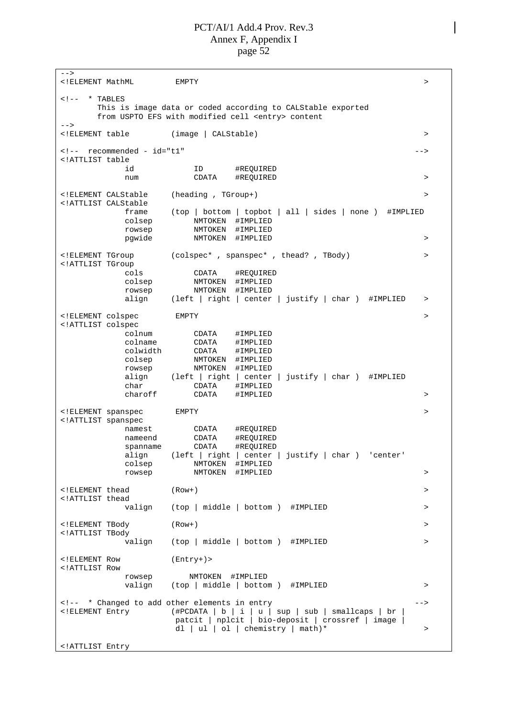--> <!ELEMENT MathML EMPTY >  $\left\langle \cdot \right\rangle$  = \* TABLES This is image data or coded according to CALStable exported from USPTO EFS with modified cell <entry> content  $--$ <!ELEMENT table (image | CALStable) > <!-- recommended - id="t1" --> <!ATTLIST table id ID #REQUIRED num CDATA #REQUIRED > <!ELEMENT CALStable (heading , TGroup+) > <!ATTLIST CALStable frame (top | bottom | topbot | all | sides | none ) #IMPLIED colsep NMTOKEN #IMPLIED rowsep NMTOKEN #IMPLIED pgwide NMTOKEN #IMPLIED > <!ELEMENT TGroup (colspec\* , spanspec\* , thead? , TBody) > <!ATTLIST TGroup cols CDATA #REQUIRED colsep NMTOKEN #IMPLIED rowsep NMTOKEN #IMPLIED align (left | right | center | justify | char ) #IMPLIED > <!ELEMENT colspec EMPTY > <!ATTLIST colspec colnum CDATA #IMPLIED<br>colname CDATA #IMPLIED colname CDATA #IMPLIED colwidth CDATA #IMPLIED<br>colsep NMTOKEN #IMPLIED colsep MMTOKEN #IMPLIED<br>rowsep NMTOKEN #IMPLIED rowsep NMTOKEN #IMPLIED align (left | right | center | justify | char ) #IMPLIED char CDATA #IMPLIED<br>charoff CDATA #IMPLIED CDATA #IMPLIED > <!ELEMENT spanspec EMPTY <!ATTLIST spanspec namest CDATA #REQUIRED<br>nameend CDATA #REOUIRED nameend CDATA #REQUIRED spanname CDATA #REQUIRED align (left | right | center | justify | char ) 'center' colsep NMTOKEN #IMPLIED rowsep NMTOKEN #IMPLIED > <!ELEMENT thead (Row+) > <!ATTLIST thead (top | middle | bottom ) #IMPLIED > <!ELEMENT TBody (Row+) > <!ATTLIST TBody valign (top | middle | bottom ) #IMPLIED > > <!ELEMENT Row (Entry+)> <!ATTLIST Row rowsep NMTOKEN #IMPLIED valign (top | middle | bottom ) #IMPLIED > <!-- \* Changed to add other elements in entry --> <!ELEMENT Entry (#PCDATA | b | i | u | sup | sub | smallcaps | br | patcit | nplcit | bio-deposit | crossref | image | dl | ul | ol | chemistry | math)\*  $>$ <!ATTLIST Entry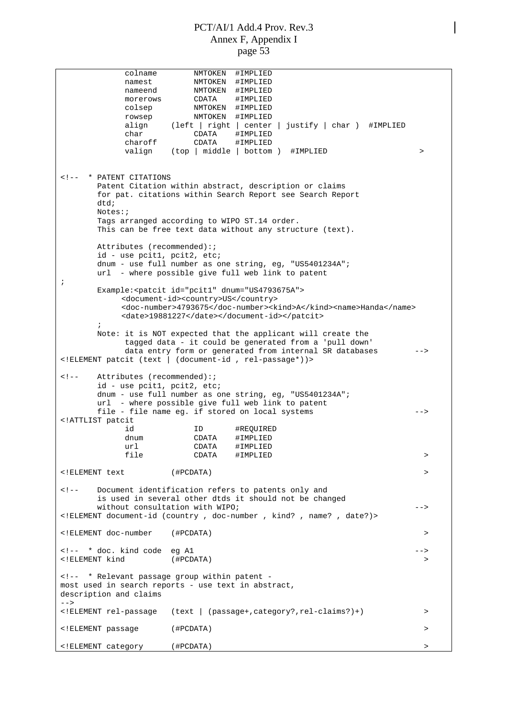colname NMTOKEN #IMPLIED namest NMTOKEN #IMPLIED nameend NMTOKEN #IMPLIED morerows CDATA #IMPLIED colsep NMTOKEN #IMPLIED rowsep NMTOKEN #IMPLIED align (left | right | center | justify | char ) #IMPLIED char CDATA #IMPLIED charoff CDATA #IMPLIED valign (top | middle | bottom ) #IMPLIED > <!-- \* PATENT CITATIONS Patent Citation within abstract, description or claims for pat. citations within Search Report see Search Report  $d+d$ : Notes:; Tags arranged according to WIPO ST.14 order. This can be free text data without any structure (text). Attributes (recommended):; id - use pcit1, pcit2, etc; dnum - use full number as one string, eg, "US5401234A"; url - where possible give full web link to patent ; Example:<patcit id="pcit1" dnum="US4793675A"> <document-id><country>US</country> <doc-number>4793675</doc-number><kind>A</kind><name>Handa</name> <date>19881227</date></document-id></patcit> ; Note: it is NOT expected that the applicant will create the tagged data - it could be generated from a 'pull down' data entry form or generated from internal SR databases --> <!ELEMENT patcit (text | (document-id , rel-passage\*))> <!-- Attributes (recommended):; id - use pcit1, pcit2, etc; dnum - use full number as one string, eg, "US5401234A"; url - where possible give full web link to patent file - file name eg. if stored on local systems --> <!ATTLIST patcit id ID #REQUIRED dnum CDATA #IMPLIED url CDATA #IMPLIED file CDATA #IMPLIED > <!ELEMENT text (#PCDATA) > <!-- Document identification refers to patents only and is used in several other dtds it should not be changed without consultation with WIPO; example and the set of  $\sim$  --> <!ELEMENT document-id (country , doc-number , kind? , name? , date?)> <!ELEMENT doc-number (#PCDATA) > <!-- \* doc. kind code eg A1 --> <!ELEMENT kind (#PCDATA) > <!-- \* Relevant passage group within patent most used in search reports - use text in abstract, description and claims  $--&>$ <!ELEMENT rel-passage (text | (passage+,category?,rel-claims?)+) > <!ELEMENT passage (#PCDATA) > <!ELEMENT category (#PCDATA) >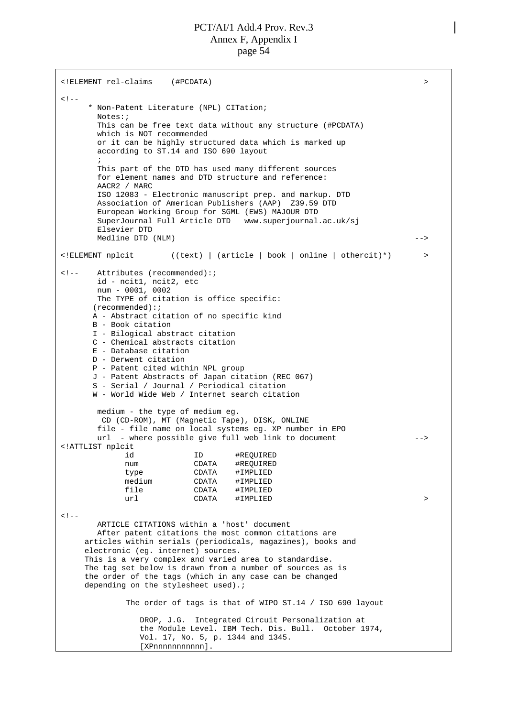<!ELEMENT rel-claims (#PCDATA) >  $< 1 - -$ \* Non-Patent Literature (NPL) CITation; Notes:; This can be free text data without any structure (#PCDATA) which is NOT recommended or it can be highly structured data which is marked up according to ST.14 and ISO 690 layout ; This part of the DTD has used many different sources for element names and DTD structure and reference: AACR2 / MARC ISO 12083 - Electronic manuscript prep. and markup. DTD Association of American Publishers (AAP) Z39.59 DTD European Working Group for SGML (EWS) MAJOUR DTD SuperJournal Full Article DTD www.superjournal.ac.uk/sj Elsevier DTD Medline DTD (NLM) --> <!ELEMENT nplcit ((text) | (article | book | online | othercit)\*) > <!-- Attributes (recommended):; id - ncit1, ncit2, etc num - 0001, 0002 The TYPE of citation is office specific: (recommended):; A - Abstract citation of no specific kind B - Book citation I - Bilogical abstract citation C - Chemical abstracts citation E - Database citation D - Derwent citation P - Patent cited within NPL group J - Patent Abstracts of Japan citation (REC 067) S - Serial / Journal / Periodical citation W - World Wide Web / Internet search citation medium - the type of medium eg. CD (CD-ROM), MT (Magnetic Tape), DISK, ONLINE file - file name on local systems eg. XP number in EPO url - where possible give full web link to document --> <!ATTLIST nplcit id ID #REQUIRED num CDATA #REQUIRED type CDATA #IMPLIED medium CDATA #IMPLIED file CDATA #IMPLIED url CDATA #IMPLIED > >  $<$ !  $-$ ARTICLE CITATIONS within a 'host' document After patent citations the most common citations are articles within serials (periodicals, magazines), books and electronic (eg. internet) sources. This is a very complex and varied area to standardise. The tag set below is drawn from a number of sources as is the order of the tags (which in any case can be changed depending on the stylesheet used).; The order of tags is that of WIPO ST.14 / ISO 690 layout DROP, J.G. Integrated Circuit Personalization at the Module Level. IBM Tech. Dis. Bull. October 1974, Vol. 17, No. 5, p. 1344 and 1345. [XPnnnnnnnnnnn].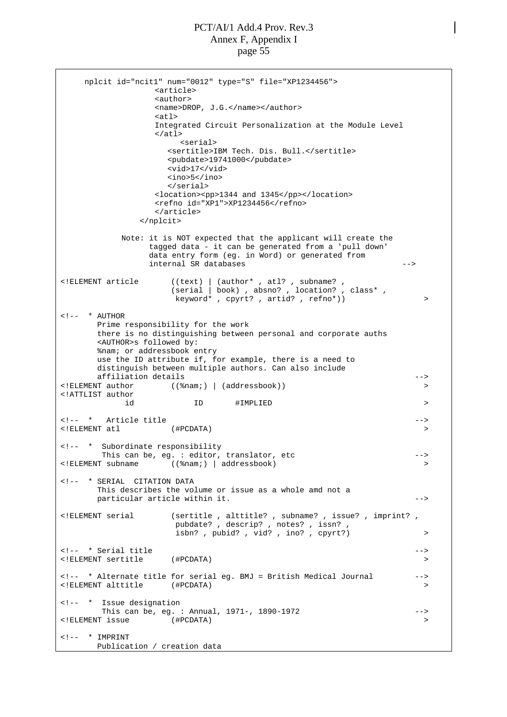```
nplcit id="ncit1" num="0012" type="S" file="XP1234456">
                <article>
                <author>
               <name>DROP, J.G.</name></author>
                <atl>
               Integrated Circuit Personalization at the Module Level
                \langleatl\rangle<serial>
                  <sertitle>IBM Tech. Dis. Bull.</sertitle>
                  <pubdate>19741000</pubdate>
                  <vid>17</vid>
                  <ino>5</ino>
                  </serial>
                <location><pp>1344 and 1345</pp></location>
                <refno id="XP1">XP1234456</refno>
                </article>
             </nplcit>
          Note: it is NOT expected that the applicant will create the
               tagged data - it can be generated from a 'pull down'
               data entry form (eg. in Word) or generated from
              internal SR databases -->
<!ELEMENT article ((text) | (author* , atl? , subname? ,
                   (serial | book) , absno? , location? , class* ,
                  keyword* , cpyrt? , artid? , refno*)) >
\leftarrow ! - \leftarrow \leftarrow AUTHOR
      Prime responsibility for the work
      there is no distinguishing between personal and corporate auths
      <AUTHOR>s followed by:
      %nam; or addressbook entry
      use the ID attribute if, for example, there is a need to
      distinguish between multiple authors. Can also include
      affiliation details -->
<!ELEMENT author ((%nam;) | (addressbook)) >
<!ATTLIST author
          id ID #IMPLIED >
<!-- * Article title -->
<!ELEMENT atl (#PCDATA) >
<!-- * Subordinate responsibility
      This can be, eg. : editor, translator, etc -->
\leq!ELEMENT subname ( (\nam;) | addressbook)
<!-- * SERIAL CITATION DATA
      This describes the volume or issue as a whole amd not a
      particular article within it. \qquad \qquad \qquad \text{---}<!ELEMENT serial (sertitle , alttitle? , subname? , issue? , imprint? ,
                   pubdate? , descrip? , notes? , issn?
                   isbn? , pubid? , vid? , ino? , cpyrt?) >
<!-- * Serial title -->
<!ELEMENT sertitle (#PCDATA) >
<!-- * Alternate title for serial eg. BMJ = British Medical Journal -->
<!ELEMENT alttitle (#PCDATA) >
<!-- * Issue designation
      This can be, eg. : Annual, 1971-, 1890-1972 -->
<!ELEMENT issue (#PCDATA) >
\langle !-- * IMPRINT
     Publication / creation data
```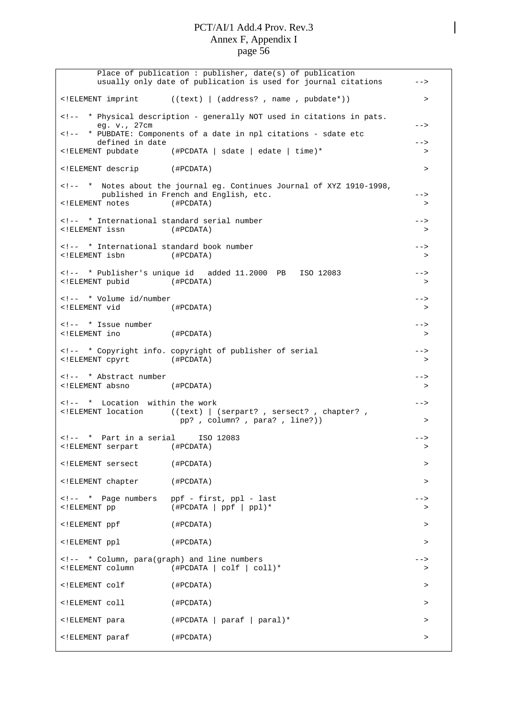Place of publication : publisher, date(s) of publication usually only date of publication is used for journal citations --> <!ELEMENT imprint ((text) | (address? , name , pubdate\*)) > <!-- \* Physical description - generally NOT used in citations in pats. eg. v., 27cm --> <!-- \* PUBDATE: Components of a date in npl citations - sdate etc defined in date  $-$ <!ELEMENT pubdate (#PCDATA | sdate | edate | time)\* > <!ELEMENT descrip (#PCDATA) > <!-- \* Notes about the journal eg. Continues Journal of XYZ 1910-1998, published in French and English, etc.  $--\$ <!ELEMENT notes (#PCDATA) > <!-- \* International standard serial number --> <!ELEMENT issn (#PCDATA) > <!-- \* International standard book number --> <!ELEMENT isbn (#PCDATA) > <!-- \* Publisher's unique id added 11.2000 PB ISO 12083 --> <!ELEMENT pubid (#PCDATA) > <!-- \* Volume id/number --> <!ELEMENT vid (#PCDATA) > <!-- \* Issue number --> <!ELEMENT ino (#PCDATA) > <!-- \* Copyright info. copyright of publisher of serial --> <!ELEMENT cpyrt (#PCDATA) > <!-- \* Abstract number --> <!ELEMENT absno (#PCDATA) > <!-- \* Location within the work --> <!ELEMENT location ((text) | (serpart? , sersect? , chapter? , pp? , column? , para? , line?)) > <!-- \* Part in a serial ISO 12083 --> <!ELEMENT serpart (#PCDATA) > <!ELEMENT sersect (#PCDATA) > <!ELEMENT chapter (#PCDATA) > <!-- \* Page numbers ppf - first, ppl - last -->  $(\texttt{\#PCDATA} \mid \texttt{ppf} \mid \texttt{pp1})$ \* > <!ELEMENT ppf (#PCDATA) > <!ELEMENT ppl (#PCDATA) > <!-- \* Column, para(graph) and line numbers --> <!ELEMENT column (#PCDATA | colf | coll)\* > <!ELEMENT colf (#PCDATA) > <!ELEMENT coll (#PCDATA) > <!ELEMENT para (#PCDATA | paraf | paral)\* > <!ELEMENT paraf (#PCDATA) >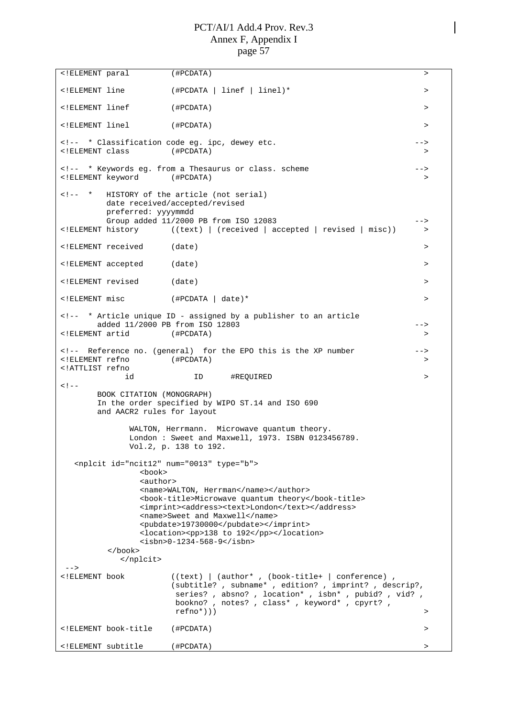```
<!ELEMENT paral (#PCDATA) >
<!ELEMENT line (#PCDATA | linef | linel)* >
<!ELEMENT linef (#PCDATA) >
<!ELEMENT linel (#PCDATA) >
<!-- * Classification code eg. ipc, dewey etc. ---
<!ELEMENT class (#PCDATA) >
<!-- * Keywords eg. from a Thesaurus or class. scheme -->
<!ELEMENT keyword (#PCDATA) >
<!-- * HISTORY of the article (not serial)
      date received/accepted/revised
      preferred: yyyymmdd
Group added 11/2000 PB from ISO 12083<br><!ELEMENT history ((text) | (received | accepted | revised | misc)) >
               ((text) | (received | accepted | revised | initial)<!ELEMENT received (date) >
<!ELEMENT accepted (date) >
<!ELEMENT revised (date) >
<!ELEMENT misc (#PCDATA | date)* >
<!-- * Article unique ID - assigned by a publisher to an article
     added 11/2000 PB from ISO 12803
<!ELEMENT artid (#PCDATA) >
<!-- Reference no. (general) for the EPO this is the XP number -->
<!ELEMENT refno (#PCDATA) >
<!ATTLIST refno
         id ID #REQUIRED >
2 - 1 - 1BOOK CITATION (MONOGRAPH)
     In the order specified by WIPO ST.14 and ISO 690
     and AACR2 rules for layout
          WALTON, Herrmann. Microwave quantum theory.
          London : Sweet and Maxwell, 1973. ISBN 0123456789.
          Vol.2, p. 138 to 192.
  <nplcit id="ncit12" num="0013" type="b">
            <book>
            <author>
            <name>WALTON, Herrman</name></author>
            <book-title>Microwave quantum theory</book-title>
            <imprint><address><text>London</text></address>
            <name>Sweet and Maxwell</name>
            <pubdate>19730000</pubdate></imprint>
            <location><pp>138 to 192</pp></location>
           <isbn>0-1234-568-9</isbn>
       </book>
         </nplcit>
--><br><!ELEMENT_book
                ((text) | (author*, (book-title+ | conference) )(subtitle? , subname* , edition? , imprint? , descrip?,
                 series? , absno? , location* , isbn* , pubid? , vid? ,
                 bookno? , notes? , class* , keyword* , cpyrt? ,
                 refno*)))
<!ELEMENT book-title (#PCDATA) >
<!ELEMENT subtitle (#PCDATA) >
```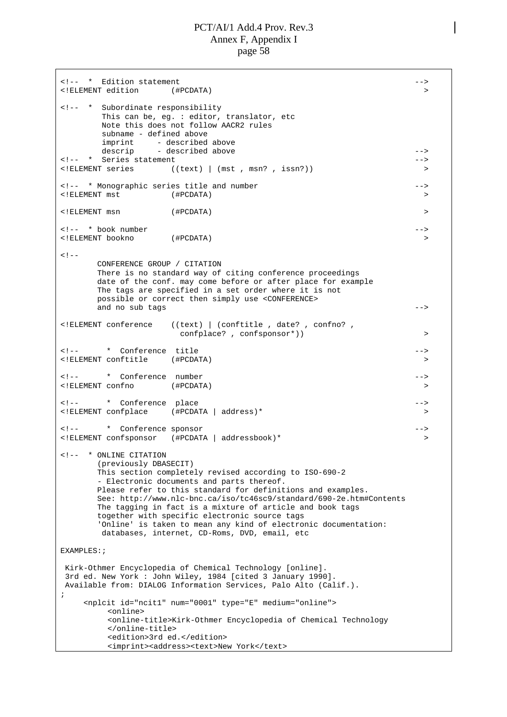<!-- \* Edition statement --> <!ELEMENT edition (#PCDATA) > <!-- \* Subordinate responsibility This can be, eg. : editor, translator, etc Note this does not follow AACR2 rules subname - defined above imprint - described above descrip - described above  $-$ <!-- \* Series statement --> <!ELEMENT series ((text) | (mst , msn? , issn?)) > <!-- \* Monographic series title and number --> <!ELEMENT mst (#PCDATA) > <!ELEMENT msn (#PCDATA) > <!-- \* book number --> <!ELEMENT bookno (#PCDATA) >  $< !$   $-$ CONFERENCE GROUP / CITATION There is no standard way of citing conference proceedings date of the conf. may come before or after place for example The tags are specified in a set order where it is not possible or correct then simply use <CONFERENCE> and no sub tags  $-$ <!ELEMENT conference ((text) | (conftitle , date? , confno? , confplace? , confsponsor\*)) > <!-- \* Conference title --> <!ELEMENT conftitle (#PCDATA) > <!-- \* Conference number --> <!ELEMENT confno (#PCDATA) > <!-- \* Conference place --> <!ELEMENT confplace (#PCDATA | address)\* > <!-- \* Conference sponsor --> <!ELEMENT confsponsor (#PCDATA | addressbook)\* > <!-- \* ONLINE CITATION (previously DBASECIT) This section completely revised according to ISO-690-2 - Electronic documents and parts thereof. Please refer to this standard for definitions and examples. See:<http://www.nlc-bnc.ca/iso/tc46sc9/standard/690-2e.htm#Contents> The tagging in fact is a mixture of article and book tags together with specific electronic source tags 'Online' is taken to mean any kind of electronic documentation: databases, internet, CD-Roms, DVD, email, etc EXAMPLES:; Kirk-Othmer Encyclopedia of Chemical Technology [online]. 3rd ed. New York : John Wiley, 1984 [cited 3 January 1990]. Available from: DIALOG Information Services, Palo Alto (Calif.). ; <nplcit id="ncit1" num="0001" type="E" medium="online"> <online> <online-title>Kirk-Othmer Encyclopedia of Chemical Technology </online-title> <edition>3rd ed.</edition> <imprint><address><text>New York</text>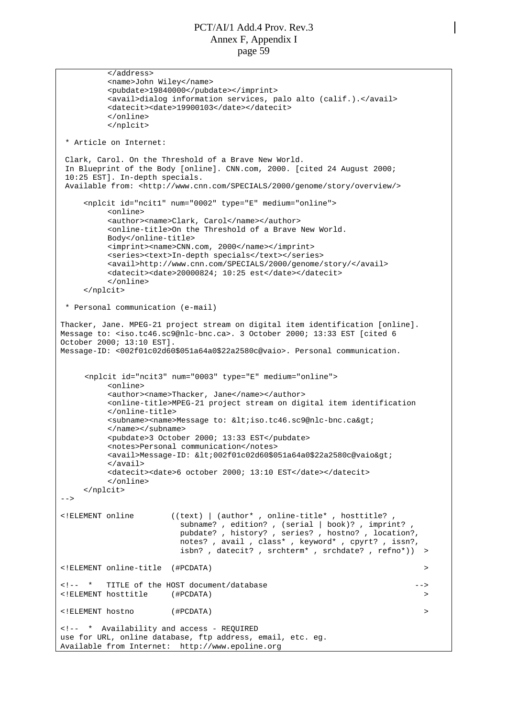```
</address>
         <name>John Wiley</name>
         <pubdate>19840000</pubdate></imprint>
         <avail>dialog information services, palo alto (calif.).</avail>
         <datecit><date>19900103</date></datecit>
         </online>
         </nplcit>
 * Article on Internet:
 Clark, Carol. On the Threshold of a Brave New World.
 In Blueprint of the Body [online]. CNN.com, 2000. [cited 24 August 2000;
 10:25 EST]. In-depth specials.
  <http://www.cnn.com/SPECIALS/2000/genome/story/overview/>
    <nplcit id="ncit1" num="0002" type="E" medium="online">
         <online>
         <author><name>Clark, Carol</name></author>
         <online-title>On the Threshold of a Brave New World.
         Body</online-title>
         <imprint><name>CNN.com, 2000</name></imprint>
         <series><text>In-depth specials</text></series>
         <avail>http://www.cnn.com/SPECIALS/2000/genome/story/</avail>
         <datecit><date>20000824; 10:25 est</date></datecit>
         </online>
    </nplcit>
 * Personal communication (e-mail)
Thacker, Jane. MPEG-21 project stream on digital item identification [online].
Message to: <iso.tc46.sc9@nlc-bnc.ca>. 3 October 2000; 13:33 EST [cited 6
October 2000; 13:10 EST].
Message-ID: <002f01c02d60$051a64a0$22a2580c@vaio>. Personal communication.
     <nplcit id="ncit3" num="0003" type="E" medium="online">
         <online>
         <author><name>Thacker, Jane</name></author>
         <online-title>MPEG-21 project stream on digital item identification
         </online-title>
         <subname><name>Message to: &lt;iso.tc46.sc9@nlc-bnc.ca&gt;
         </name></subname>
         <pubdate>3 October 2000; 13:33 EST</pubdate>
         <notes>Personal communication</notes>
         \alphavail>Message-ID: <002f01c02d60$051a64a0$22a2580c@vaio&gt;
         </avail>
         <datecit><date>6 october 2000; 13:10 EST</date></datecit>
         </online>
    </nplcit>
--<!ELEMENT online ((text) | (author* , online-title* , hosttitle? ,
                        subname? , edition? , (serial | book)? , imprint?
                        pubdate? , history? , series? , hostno? , location?,
                        notes? , avail , class* , keyword* , cpyrt? , issn?,
                        isbn? , datecit? , srchterm* , srchdate? , refno*)) >
<!ELEMENT online-title (#PCDATA) >
<!-- * TITLE of the HOST document/database -->
<!ELEMENT hosttitle (#PCDATA) >
<!ELEMENT hostno (#PCDATA) >
<!-- * Availability and access - REQUIRED
use for URL, online database, ftp address, email, etc. eg.
Available from Internet: http://www.epoline.org
```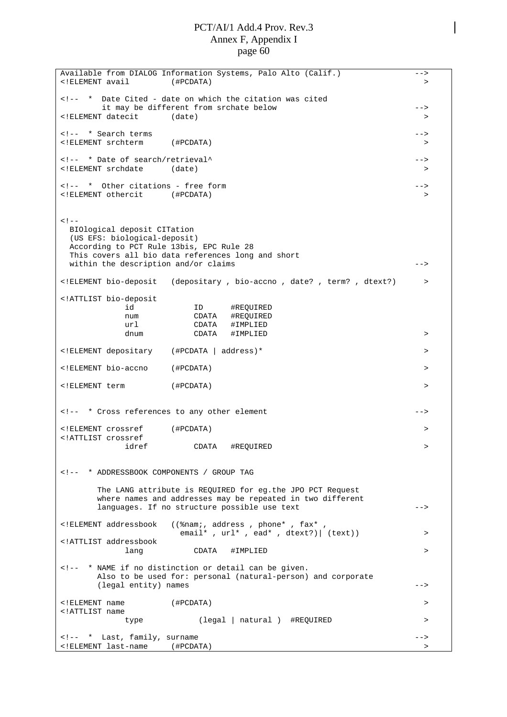Available from DIALOG Information Systems, Palo Alto (Calif.) --> <!ELEMENT avail (#PCDATA) > <!-- \* Date Cited - date on which the citation was cited it may be different from srchate below --> <!ELEMENT datecit (date) > <!-- \* Search terms --> <!ELEMENT srchterm (#PCDATA) > <!-- \* Date of search/retrieval^ --> <!ELEMENT srchdate (date) > <!-- \* Other citations - free form --> <!ELEMENT othercit (#PCDATA) >  $< !$   $-$ BIOlogical deposit CITation (US EFS: biological-deposit) According to PCT Rule 13bis, EPC Rule 28 This covers all bio data references long and short within the description and/or claims  $--\$ <!ELEMENT bio-deposit (depositary , bio-accno , date? , term? , dtext?) > <!ATTLIST bio-deposit id ID #REQUIRED num CDATA #REQUIRED url CDATA #IMPLIED dnum CDATA #IMPLIED > <!ELEMENT depositary (#PCDATA | address)\* > <!ELEMENT bio-accno (#PCDATA) > <!ELEMENT term (#PCDATA) > <!-- \* Cross references to any other element --> <!ELEMENT crossref (#PCDATA) > <!ATTLIST crossref CDATA #REQUIRED > <!-- \* ADDRESSBOOK COMPONENTS / GROUP TAG The LANG attribute is REQUIRED for eg.the JPO PCT Request where names and addresses may be repeated in two different languages. If no structure possible use text --> <code><!ELEMENT</code> addressbook (( $\text{\$nami}$ , address , phone\* ,  $\text{fax*}$ email\*,  $url*$ , ead\*, dtext?) | (text)) > <!ATTLIST addressbook lang CDATA #IMPLIED > <!-- \* NAME if no distinction or detail can be given. Also to be used for: personal (natural-person) and corporate (legal entity) names  $\overline{\phantom{a}}$  --> <!ELEMENT name (#PCDATA) > <!ATTLIST name (legal | natural ) #REQUIRED > <!-- \* Last, family, surname --> <!ELEMENT last-name (#PCDATA) >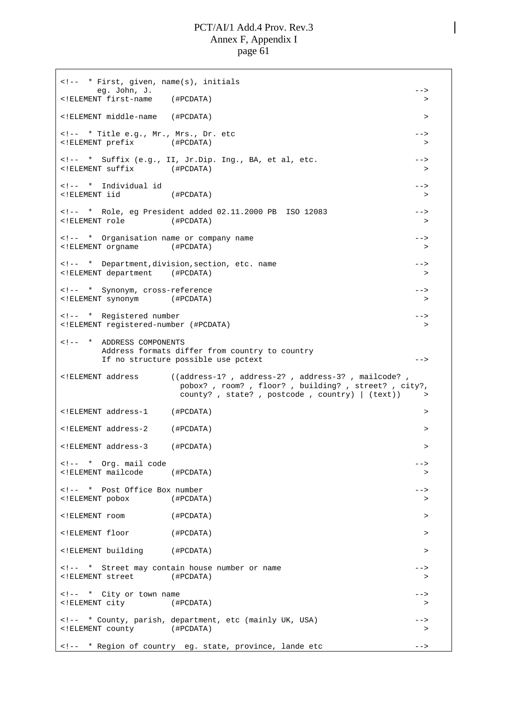<!-- \* First, given, name(s), initials eg. John, J. --> <!ELEMENT first-name (#PCDATA) > <!ELEMENT middle-name (#PCDATA) > <!-- \* Title e.g., Mr., Mrs., Dr. etc --> <!ELEMENT prefix (#PCDATA) > <!-- \* Suffix (e.g., II, Jr.Dip. Ing., BA, et al, etc. --> <!ELEMENT suffix (#PCDATA) > <!-- \* Individual id --> <!ELEMENT iid (#PCDATA) > <!-- \* Role, eg President added 02.11.2000 PB ISO 12083 --> <!ELEMENT role (#PCDATA) > <!-- \* Organisation name or company name --> <!ELEMENT orgname (#PCDATA) > <!-- \* Department,division,section, etc. name --> <!ELEMENT department (#PCDATA) > <!-- \* Synonym, cross-reference <!ELEMENT synonym (#PCDATA) > <!-- \* Registered number --> <!ELEMENT registered-number (#PCDATA) > <!-- \* ADDRESS COMPONENTS Address formats differ from country to country If no structure possible use pctext --> <!ELEMENT address ((address-1? , address-2? , address-3? , mailcode? , pobox? , room? , floor? , building? , street? , city?, county? , state? , postcode , country) | (text)) > <!ELEMENT address-1 (#PCDATA) > <!ELEMENT address-2 (#PCDATA) > <!ELEMENT address-3 (#PCDATA) > <!-- \* Org. mail code --> <!ELEMENT mailcode (#PCDATA) > <!-- \* Post Office Box number --> <!ELEMENT pobox (#PCDATA) > <!ELEMENT room (#PCDATA) > <!ELEMENT floor (#PCDATA) > <!ELEMENT building (#PCDATA) > <!-- \* Street may contain house number or name --> <!ELEMENT street (#PCDATA) > <!-- \* City or town name -->  $($  #PCDATA $)$   $>$ <!-- \* County, parish, department, etc (mainly UK, USA) --> <!ELEMENT county (#PCDATA) > <!-- \* Region of country eg. state, province, lande etc -->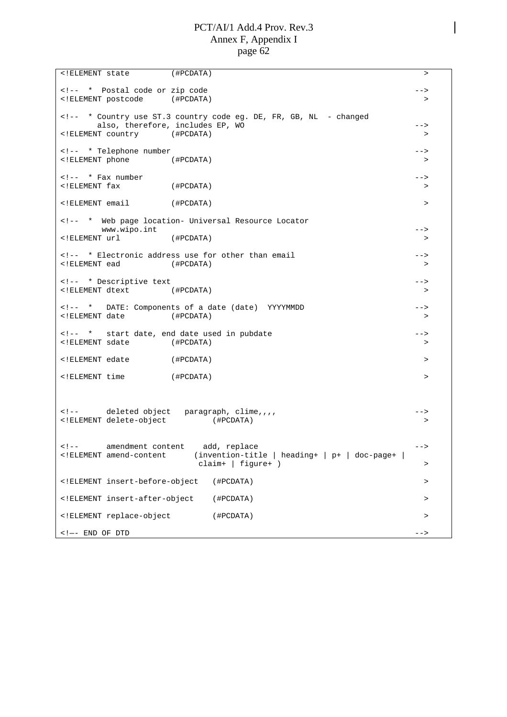<!ELEMENT state (#PCDATA) > <!-- \* Postal code or zip code  $\longrightarrow$ <!ELEMENT postcode (#PCDATA) > <!-- \* Country use ST.3 country code eg. DE, FR, GB, NL - changed also, therefore, includes EP, WO example the set of the set of the set of the set of the set of the set of the <!ELEMENT country (#PCDATA) > <!-- \* Telephone number --> <!ELEMENT phone (#PCDATA) > <!-- \* Fax number --> <!ELEMENT fax (#PCDATA) > <!ELEMENT email (#PCDATA) > <!-- \* Web page location- Universal Resource Locator www.wipo.int  $\qquad \qquad \qquad \text{---}$ <!ELEMENT url (#PCDATA) > <!-- \* Electronic address use for other than email --> <!ELEMENT ead (#PCDATA) > <!-- \* Descriptive text --> <!ELEMENT dtext (#PCDATA) > <!-- \* DATE: Components of a date (date) YYYYMMDD --> <!ELEMENT date (#PCDATA) > <!-- \* start date, end date used in pubdate --> <!ELEMENT sdate (#PCDATA) > <!ELEMENT edate (#PCDATA) > <!ELEMENT time (#PCDATA) > <!-- deleted object paragraph, clime,,,, --> <!ELEMENT delete-object (#PCDATA) > <!-- amendment content add, replace --> <!ELEMENT amend-content (invention-title | heading+ | p+ | doc-page+ |  $\text{claim} + \text{[figure+)}$  > <!ELEMENT insert-before-object (#PCDATA) > <!ELEMENT insert-after-object (#PCDATA) > <!ELEMENT replace-object (#PCDATA) >  $\leq$  1  $-$  END OF DTD  $\geq$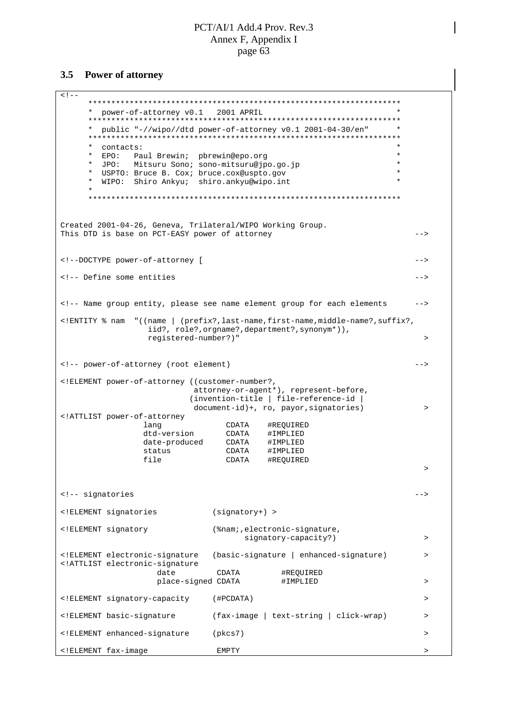#### **3.5 Power of attorney**

 $<$ !  $-$ \*\*\*\*\*\*\*\*\*\*\*\*\*\*\*\*\*\*\*\*\*\*\*\*\*\*\*\*\*\*\*\*\*\*\*\*\*\*\*\*\*\*\*\*\*\*\*\*\*\*\*\*\*\*\*\*\*\*\*\*\*\*\*\*\*\*\*\* \* power-of-attorney v0.1 2001 APRIL \* \*\*\*\*\*\*\*\*\*\*\*\*\*\*\*\*\*\*\*\*\*\*\*\*\*\*\*\*\*\*\*\*\*\*\*\*\*\*\*\*\*\*\*\*\*\*\*\*\*\*\*\*\*\*\*\*\*\*\*\*\*\*\*\*\*\*\*\* \* public "-//wipo//dtd power-of-attorney v0.1 2001-04-30/en" \* \*\*\*\*\*\*\*\*\*\*\*\*\*\*\*\*\*\*\*\*\*\*\*\*\*\*\*\*\*\*\*\*\*\*\*\*\*\*\*\*\*\*\*\*\*\*\*\*\*\*\*\*\*\*\*\*\*\*\*\*\*\*\*\*\*\*\*\* \* contacts:<br>\* FDO: Paul Brewin: phrewin@eno.org \* EPO: Paul Brewin; pbrewin@epo.org \* \* JPO: Mitsuru Sono; sono-mitsuru@jpo.go.jp \* \* USPTO: Bruce B. Cox; bruce.cox@uspto.gov \* WIPO: Shiro Ankyu; shiro.ankyu@wipo.int \* \*\*\*\*\*\*\*\*\*\*\*\*\*\*\*\*\*\*\*\*\*\*\*\*\*\*\*\*\*\*\*\*\*\*\*\*\*\*\*\*\*\*\*\*\*\*\*\*\*\*\*\*\*\*\*\*\*\*\*\*\*\*\*\*\*\*\*\* Created 2001-04-26, Geneva, Trilateral/WIPO Working Group. This DTD is base on PCT-EASY power of attorney example that the state of  $-$  -> <!--DOCTYPE power-of-attorney [ --> <!-- Define some entities --> <!-- Name group entity, please see name element group for each elements --> <!ENTITY % nam "((name | (prefix?,last-name,first-name,middle-name?,suffix?, iid?, role?,orgname?,department?,synonym\*)), registered-number?)" > <!-- power-of-attorney (root element) --> <!ELEMENT power-of-attorney ((customer-number?, attorney-or-agent\*), represent-before, (invention-title | file-reference-id | document-id)+, ro, payor, signatories) > <!ATTLIST power-of-attorney lang CDATA #REQUIRED dtd-version CDATA #IMPLIED date-produced CDATA #IMPLIED status CDATA #IMPLIED CDATA #REQUIRED > <!-- signatories --> <!ELEMENT signatories (signatory+) > <!ELEMENT signatory (%nam;,electronic-signature, signatory-capacity?) > > > <!ELEMENT electronic-signature (basic-signature | enhanced-signature) > <!ATTLIST electronic-signature date CDATA #REQUIRED<br>place-signed CDATA #IMPLIED place-signed CDATA #IMPLIED > <!ELEMENT signatory-capacity (#PCDATA) > <!ELEMENT basic-signature (fax-image | text-string | click-wrap) > <!ELEMENT enhanced-signature (pkcs7) > <!ELEMENT fax-image EMPTY >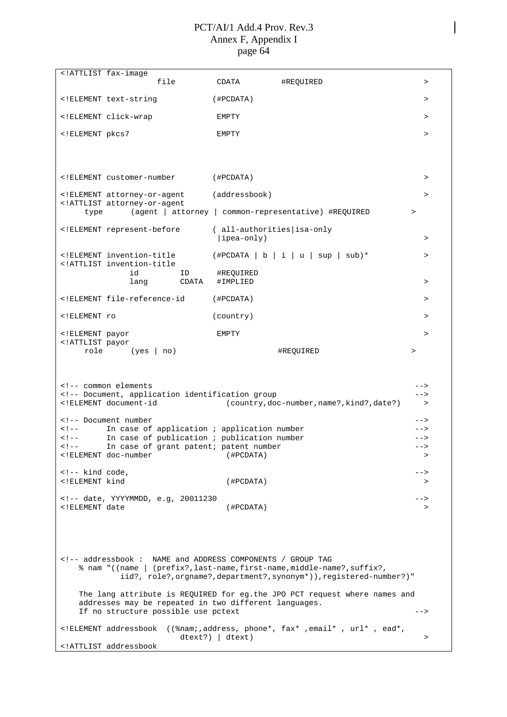|                                                                                                                                      | ATTLIST fax-image</th <th></th> <th></th>                                                                                                                                             |                                                                                                                                              |           |
|--------------------------------------------------------------------------------------------------------------------------------------|---------------------------------------------------------------------------------------------------------------------------------------------------------------------------------------|----------------------------------------------------------------------------------------------------------------------------------------------|-----------|
|                                                                                                                                      | file                                                                                                                                                                                  | CDATA<br>#REOUIRED                                                                                                                           | $\, >$    |
|                                                                                                                                      | ELEMENT text-string</td <td>(HPCDATA)</td> <td><math>\geq</math></td>                                                                                                                 | (HPCDATA)                                                                                                                                    | $\geq$    |
|                                                                                                                                      | ELEMENT click-wrap</td <td>EMPTY</td> <td><math display="inline">\, &gt;</math></td>                                                                                                  | EMPTY                                                                                                                                        | $\, >$    |
| ELEMENT pkcs7</td <td></td> <td>EMPTY</td> <td><math>\geq</math></td>                                                                |                                                                                                                                                                                       | EMPTY                                                                                                                                        | $\geq$    |
|                                                                                                                                      |                                                                                                                                                                                       |                                                                                                                                              |           |
|                                                                                                                                      |                                                                                                                                                                                       |                                                                                                                                              |           |
|                                                                                                                                      | ELEMENT customer-number</td <td>(#PCDATA)</td> <td>&gt;</td>                                                                                                                          | (#PCDATA)                                                                                                                                    | >         |
|                                                                                                                                      | ELEMENT attorney-or-agent</td <td>(addressbook)</td> <td><math>\, &gt; \,</math></td>                                                                                                 | (addressbook)                                                                                                                                | $\, > \,$ |
| type                                                                                                                                 | ATTLIST attorney-or-agent</td <td>(agent   attorney   common-representative) #REQUIRED</td> <td><math display="inline">\, &gt;</math></td>                                            | (agent   attorney   common-representative) #REQUIRED                                                                                         | $\, >$    |
|                                                                                                                                      | ELEMENT represent-before</td <td>( all-authorities   isa-only</td> <td></td>                                                                                                          | ( all-authorities   isa-only                                                                                                                 |           |
|                                                                                                                                      |                                                                                                                                                                                       | $\vert$ ipea-only)                                                                                                                           | >         |
|                                                                                                                                      | ELEMENT invention-title<br ATTLIST invention-title</td <td><math>(\text{HPCDATA}   b   i   u   sup   sub)*</math></td> <td><math display="inline">\, &gt;</math></td>                 | $(\text{HPCDATA}   b   i   u   sup   sub)*$                                                                                                  | $\, >$    |
|                                                                                                                                      | id<br>ID                                                                                                                                                                              | #REQUIRED                                                                                                                                    |           |
|                                                                                                                                      | CDATA<br>lang                                                                                                                                                                         | #IMPLIED                                                                                                                                     | $\geq$    |
|                                                                                                                                      | ELEMENT file-reference-id</td <td>(HPCDATA)</td> <td><math>\geq</math></td>                                                                                                           | (HPCDATA)                                                                                                                                    | $\geq$    |
| ELEMENT ro</td <td></td> <td>(country)</td> <td><math>\geq</math></td>                                                               |                                                                                                                                                                                       | (country)                                                                                                                                    | $\geq$    |
| ELEMENT payor</td <td></td> <td>EMPTY</td> <td><math>\geq</math></td>                                                                |                                                                                                                                                                                       | EMPTY                                                                                                                                        | $\geq$    |
| ATTLIST payor</td <td></td> <td></td> <td></td>                                                                                      |                                                                                                                                                                                       |                                                                                                                                              |           |
| role                                                                                                                                 | (yes   no)                                                                                                                                                                            | #REQUIRED                                                                                                                                    | >         |
|                                                                                                                                      |                                                                                                                                                                                       |                                                                                                                                              |           |
|                                                                                                                                      |                                                                                                                                                                                       |                                                                                                                                              |           |
|                                                                                                                                      |                                                                                                                                                                                       |                                                                                                                                              |           |
|                                                                                                                                      | common elements</td><td></td><td>                                                                                                                                                     |                                                                                                                                              |           |
|                                                                                                                                      | Document, application identification group</td><td></td><td>                                                                                                                          |                                                                                                                                              |           |
|                                                                                                                                      | ELEMENT document-id</td <td>(country, doc-number, name?, kind?, date?)</td> <td><math>\geq</math></td>                                                                                | (country, doc-number, name?, kind?, date?)                                                                                                   | $\geq$    |
|                                                                                                                                      | Document number</td><td></td><td>                                                                                                                                                     |                                                                                                                                              |           |
| $\lt!$ ! $-$                                                                                                                         | In case of application ; application number                                                                                                                                           |                                                                                                                                              | -->       |
| $\lt$ ! $--$                                                                                                                         | In case of publication ; publication number                                                                                                                                           |                                                                                                                                              | -->       |
| $\lt$ ! $--$                                                                                                                         | In case of grant patent; patent number                                                                                                                                                |                                                                                                                                              | -->       |
|                                                                                                                                      | ELEMENT doc-number</td <td>(#PCDATA)</td> <td>&gt;</td>                                                                                                                               | (#PCDATA)                                                                                                                                    | >         |
| kind code,</td><td></td><td></td><td>                                                                                                |                                                                                                                                                                                       |                                                                                                                                              |           |
| ELEMENT kind</td <td></td> <td>(#PCDATA)</td> <td><math>\geq</math></td>                                                             |                                                                                                                                                                                       | (#PCDATA)                                                                                                                                    | $\geq$    |
|                                                                                                                                      |                                                                                                                                                                                       |                                                                                                                                              |           |
| ELEMENT date</td <td><!-- date, YYYYMMDD, e.g, 20011230</td><td>(#PCDATA)</td><td>--><br/><math display="inline">\, &gt;</math></td> | date, YYYYMMDD, e.g, 20011230</td><td>(#PCDATA)</td><td><br>$\, >$                                                                                                                    |                                                                                                                                              |           |
|                                                                                                                                      |                                                                                                                                                                                       |                                                                                                                                              |           |
|                                                                                                                                      |                                                                                                                                                                                       |                                                                                                                                              |           |
|                                                                                                                                      |                                                                                                                                                                                       |                                                                                                                                              |           |
|                                                                                                                                      |                                                                                                                                                                                       |                                                                                                                                              |           |
|                                                                                                                                      |                                                                                                                                                                                       | <!-- addressbook : NAME and ADDRESS COMPONENTS / GROUP TAG</td> <td></td>                                                                    |           |
|                                                                                                                                      |                                                                                                                                                                                       | % nam "((name   (prefix?,last-name,first-name,middle-name?,suffix?,<br>iid?, role?, orgname?, department?, synonym*)), registered-number?) " |           |
|                                                                                                                                      |                                                                                                                                                                                       |                                                                                                                                              |           |
|                                                                                                                                      |                                                                                                                                                                                       | The lang attribute is REQUIRED for eg.the JPO PCT request where names and<br>addresses may be repeated in two different languages.           |           |
|                                                                                                                                      | If no structure possible use pctext                                                                                                                                                   |                                                                                                                                              | $--$      |
|                                                                                                                                      | ELEMENT addressbook</td <td>((%nam;,address, phone*, fax*,email*, url*, ead*,<br/><math>dtext{?})</math>   <math>dtext{.})</math></td> <td><math display="inline">\, &gt;</math></td> | ((%nam;,address, phone*, fax*,email*, url*, ead*,<br>$dtext{?})$   $dtext{.})$                                                               | $\, >$    |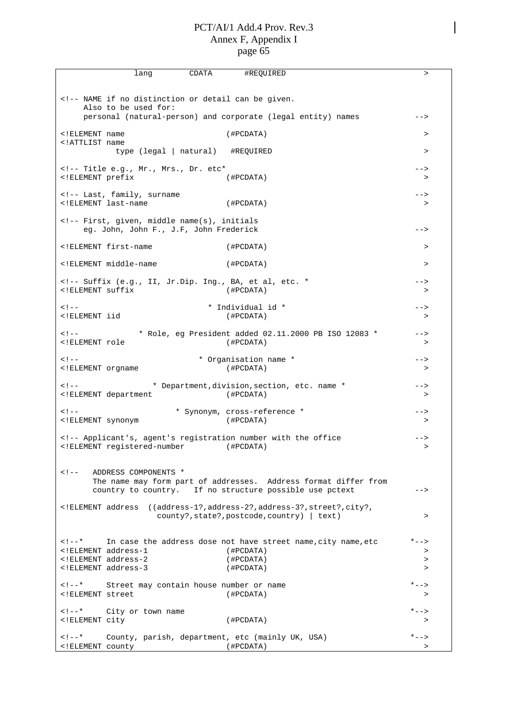| CDATA<br>lang<br>#REQUIRED                                                                                                                                                            | $\geq$                       |
|---------------------------------------------------------------------------------------------------------------------------------------------------------------------------------------|------------------------------|
| NAME if no distinction or detail can be given.<br>Also to be used for:</td><td></td></tr><tr><td>personal (natural-person) and corporate (legal entity) names</td><td>                |                              |
| ELEMENT name<br (HPCDATA)<br>ATTLIST name</td <td>&gt;</td>                                                                                                                           | >                            |
| type (legal   natural) #REQUIRED                                                                                                                                                      | $\, > \,$                    |
| Title e.g., Mr., Mrs., Dr. etc*<br><!ELEMENT prefix<br>(#PCDATA)</td><td><br>>                                                                                                        |                              |
| Last, family, surname<br><!ELEMENT last-name<br>(#PCDATA)</td><td><br>>                                                                                                               |                              |
| First, given, middle name(s), initials<br>eg. John, John F., J.F, John Frederick</td><td>                                                                                             |                              |
| ELEMENT first-name<br (HPCDATA)                                                                                                                                                       | $\, >$                       |
| ELEMENT middle-name<br (#PCDATA)                                                                                                                                                      | $\geq$                       |
| Suffix (e.g., II, Jr.Dip. Ing., BA, et al, etc. *<br><!ELEMENT suffix<br>(#PCDATA)</td><td><br>>                                                                                      |                              |
| $<$ ! $-$<br>* Individual id *<br>ELEMENT iid<br (HPCDATA)                                                                                                                            | --><br>>                     |
| $<$ ! $-$<br>* Role, eg President added 02.11.2000 PB ISO 12083 *<br>ELEMENT role<br (#PCDATA)                                                                                        | --><br>$\, >$                |
| * Organisation name *<br>$<$ ! $-$<br>(HPCDATA)<br>ELEMENT orgname</td <td>--&gt;<br/>&gt;</td>                                                                                       | --><br>>                     |
| $<$ ! $-$<br>* Department, division, section, etc. name *<br>ELEMENT department<br (#PCDATA)                                                                                          | --><br>>                     |
| * Synonym, cross-reference *<br>$<$ ! $-$<br>(HPCDATA)<br>ELEMENT synonym</td <td><math>--&amp;&gt;</math><br/>&gt;</td>                                                              | $--&>$<br>>                  |
| Applicant's, agent's registration number with the office<br><!ELEMENT registered-number (#PCDATA)</td><td><br>>                                                                       |                              |
| ADDRESS COMPONENTS *<br>$\lt$ ! $--$<br>The name may form part of addresses. Address format differ from<br>country to country. If no structure possible use pctext                    | -->                          |
| ELEMENT address<br ((address-1?, address-2?, address-3?, street?, city?,<br>county?, state?, postcode, country)   text)                                                               | $\geq$                       |
| $\lt!$ ! $-$ *<br>In case the address dose not have street name, city name, etc<br>ELEMENT address-1<br (#PCDATA)<br>ELEMENT address-2<br (#PCDATA)<br>ELEMENT address-3<br (HPCDATA) | *--><br>><br>$\geq$<br>$\,>$ |
| $\lt$ ! – – *<br>Street may contain house number or name<br>ELEMENT street<br (#PCDATA)                                                                                               | * – – ><br>$\, > \,$         |
| $\lt$ ! $-$ *<br>City or town name<br>ELEMENT city<br (HPCDATA)                                                                                                                       | $* - -$<br>$\, > \,$         |
| $\lt$ ! $--$ *<br>County, parish, department, etc (mainly UK, USA)<br>(#PCDATA)<br>ELEMENT county</td <td><math>* - -</math><br/><math display="inline">\, &gt;</math></td>           | $* - -$<br>$\, >$            |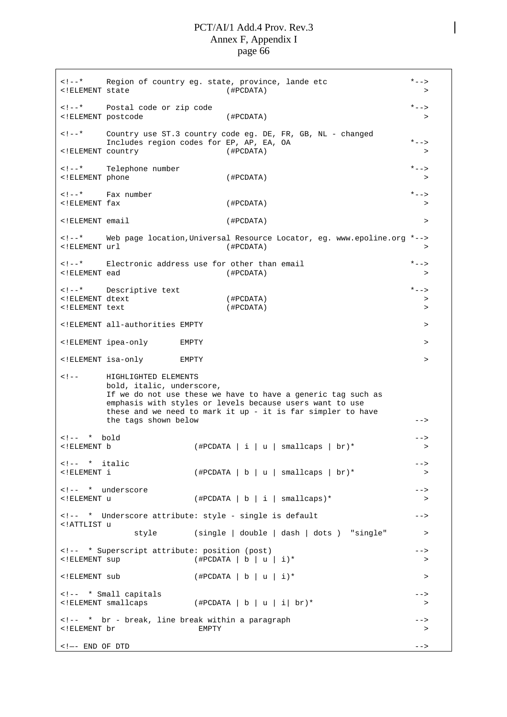<!--\* Region of country eg. state, province, lande etc \*--> <!ELEMENT state (#PCDATA) > <!--\* Postal code or zip code \*--> <!ELEMENT postcode (#PCDATA) > <!--\* Country use ST.3 country code eg. DE, FR, GB, NL - changed Includes region codes for EP, AP, EA, OA \*--> <!ELEMENT country (#PCDATA) > <!--\* Telephone number \*--> <!ELEMENT phone (#PCDATA) > <!--\* Fax number \*--> <!ELEMENT fax (#PCDATA) > <!ELEMENT email (#PCDATA) > <!--\* Web page location,Universal Resource Locator, eg. www.epoline.org \*--> <!ELEMENT url (#PCDATA) > <!--\* Electronic address use for other than email \*--> <!ELEMENT ead (#PCDATA) > <!--\* Descriptive text \*--> <!ELEMENT dtext (#PCDATA) > <!ELEMENT text (#PCDATA) > <!ELEMENT all-authorities EMPTY > <!ELEMENT ipea-only EMPTY > <!ELEMENT isa-only EMPTY > <!-- HIGHLIGHTED ELEMENTS bold, italic, underscore, If we do not use these we have to have a generic tag such as emphasis with styles or levels because users want to use these and we need to mark it up - it is far simpler to have the tags shown below  $--$ <!-- \* bold --> <!ELEMENT b (#PCDATA|i|u| smallcaps | br)\* >  $\langle$ !-- \* italic  $\rightarrow$ <!ELEMENT i (#PCDATA|b|u| smallcaps | br)\* > <!-- \* underscore --> <!ELEMENT u (#PCDATA|b|i| smallcaps)\* > <!-- \* Underscore attribute: style - single is default --> <!ATTLIST u style (single | double | dash | dots ) "single" > <!-- \* Superscript attribute: position (post) --> <!ELEMENT sup (#PCDATA | b | u | i)\* >  $\langle$  + FLEMENT sub  $($  + PCDATA | b | u | i  $)$  \*  $\langle$ <!-- \* Small capitals -->  $(\text{HPCDATA} | b | u | i | br)^*$  > <!-- \* br - break, line break within a paragraph --> <!ELEMENT br EMPTY > <!—- END OF DTD -->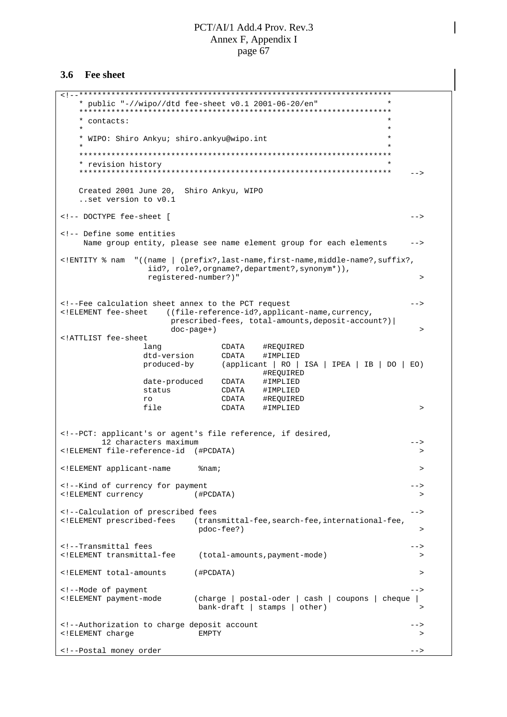#### **3.6 Fee sheet**

<!--\*\*\*\*\*\*\*\*\*\*\*\*\*\*\*\*\*\*\*\*\*\*\*\*\*\*\*\*\*\*\*\*\*\*\*\*\*\*\*\*\*\*\*\*\*\*\*\*\*\*\*\*\*\*\*\*\*\*\*\*\*\*\*\*\*\*\*\* \* public "-//wipo//dtd fee-sheet v0.1 2001-06-20/en" \* \*\*\*\*\*\*\*\*\*\*\*\*\*\*\*\*\*\*\*\*\*\*\*\*\*\*\*\*\*\*\*\*\*\*\*\*\*\*\*\*\*\*\*\*\*\*\*\*\*\*\*\*\*\*\*\*\*\*\*\*\*\*\*\*\*\*\*\* \* contacts: \*  $\star$   $\star$ \* WIPO: Shiro Ankyu; shiro.ankyu@wipo.int \*  $\star$   $\star$ \*\*\*\*\*\*\*\*\*\*\*\*\*\*\*\*\*\*\*\*\*\*\*\*\*\*\*\*\*\*\*\*\*\*\*\*\*\*\*\*\*\*\*\*\*\*\*\*\*\*\*\*\*\*\*\*\*\*\*\*\*\*\*\*\*\*\*\* \* revision history \* \*\*\*\*\*\*\*\*\*\*\*\*\*\*\*\*\*\*\*\*\*\*\*\*\*\*\*\*\*\*\*\*\*\*\*\*\*\*\*\*\*\*\*\*\*\*\*\*\*\*\*\*\*\*\*\*\*\*\*\*\*\*\*\*\*\*\*\* --> Created 2001 June 20, Shiro Ankyu, WIPO ..set version to v0.1 <!-- DOCTYPE fee-sheet [ --> <!-- Define some entities Name group entity, please see name element group for each elements --> <!ENTITY % nam "((name | (prefix?,last-name,first-name,middle-name?,suffix?, iid?, role?,orgname?,department?,synonym\*)), registered-number?)" > <!--Fee calculation sheet annex to the PCT request --> <!ELEMENT fee-sheet ((file-reference-id?,applicant-name,currency, prescribed-fees, total-amounts,deposit-account?)| doc-page+) > <!ATTLIST fee-sheet lang CDATA #REQUIRED dtd-version CDATA #IMPLIED produced-by (applicant | RO | ISA | IPEA | IB | DO | EO) #REQUIRED<br>#IMPLIED<br>#IMPLIED date-produced CDATA<br>status CDATA  $status$ ro CDATA #REQUIRED<br>
file CDATA #IMPLIED  $CDATA$  #IMPLIED > <!--PCT: applicant's or agent's file reference, if desired, 12 characters maximum --> <!ELEMENT file-reference-id (#PCDATA) > <!ELEMENT applicant-name %nam; > <!--Kind of currency for payment --> <! ELEMENT currency <!--Calculation of prescribed fees ---<!ELEMENT prescribed-fees (transmittal-fee,search-fee,international-fee, pdoc-fee?) > <!--Transmittal fees --> <!ELEMENT transmittal-fee (total-amounts,payment-mode) > <!ELEMENT total-amounts (#PCDATA) > <!--Mode of payment --> <!ELEMENT payment-mode (charge | postal-oder | cash | coupons | cheque |  $bank-draft$  | stamps | other) <!--Authorization to charge deposit account --> <!ELEMENT charge EMPTY > <!--Postal money order  $--$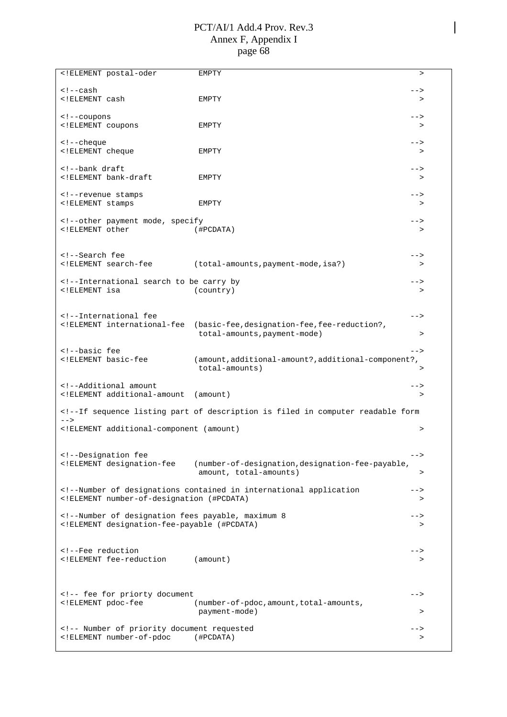| ELEMENT postal-oder</td <td>EMPTY</td> <td><math>\geq</math></td>                                                                                                                                                                                                                                                                                                                                                                                                                                                                                                                                                                                                                                                                                                                                                                                                                | EMPTY                                                                                                                                                                                                                                                                                                                                                                                                                                                                                                                                                                                                                                            | $\geq$    |
|----------------------------------------------------------------------------------------------------------------------------------------------------------------------------------------------------------------------------------------------------------------------------------------------------------------------------------------------------------------------------------------------------------------------------------------------------------------------------------------------------------------------------------------------------------------------------------------------------------------------------------------------------------------------------------------------------------------------------------------------------------------------------------------------------------------------------------------------------------------------------------|--------------------------------------------------------------------------------------------------------------------------------------------------------------------------------------------------------------------------------------------------------------------------------------------------------------------------------------------------------------------------------------------------------------------------------------------------------------------------------------------------------------------------------------------------------------------------------------------------------------------------------------------------|-----------|
| cash</td><td></td><td><math>--&></math></td></tr><tr><td><!ELEMENT cash</td><td>EMPTY</td><td>></td></tr><tr><td></td><td></td><td></td></tr><tr><td><!--coupons</td><td></td><td><math>--&></math></td></tr><tr><td><! ELEMENT coupons</td><td>EMPTY</td><td><math>\rm{~}</math></td></tr><tr><td></td><td></td><td></td></tr><tr><td><!--cheque</td><td></td><td><math>--&></math></td></tr><tr><td><! ELEMENT cheque</td><td>EMPTY</td><td>></td></tr><tr><td></td><td></td><td></td></tr><tr><td><!--bank draft</td><td></td><td><math>--&></math></td></tr><tr><td><!ELEMENT bank-draft</td><td>EMPTY</td><td>></td></tr><tr><td></td><td></td><td></td></tr><tr><td><!--revenue stamps</td><td></td><td><math>--&></math></td></tr><tr><td><! ELEMENT stamps</td><td>EMPTY</td><td><math>\, > \,</math></td></tr><tr><td><!--other payment mode, specify</td><td></td><td> |                                                                                                                                                                                                                                                                                                                                                                                                                                                                                                                                                                                                                                                  |           |
| ELEMENT other</td <td>(HPCDATA)</td> <td><math>\, &gt; \,</math></td>                                                                                                                                                                                                                                                                                                                                                                                                                                                                                                                                                                                                                                                                                                                                                                                                            | (HPCDATA)                                                                                                                                                                                                                                                                                                                                                                                                                                                                                                                                                                                                                                        | $\, > \,$ |
|                                                                                                                                                                                                                                                                                                                                                                                                                                                                                                                                                                                                                                                                                                                                                                                                                                                                                  |                                                                                                                                                                                                                                                                                                                                                                                                                                                                                                                                                                                                                                                  |           |
|                                                                                                                                                                                                                                                                                                                                                                                                                                                                                                                                                                                                                                                                                                                                                                                                                                                                                  |                                                                                                                                                                                                                                                                                                                                                                                                                                                                                                                                                                                                                                                  |           |
| Search fee</td><td></td><td>                                                                                                                                                                                                                                                                                                                                                                                                                                                                                                                                                                                                                                                                                                                                                                                                                                                     |                                                                                                                                                                                                                                                                                                                                                                                                                                                                                                                                                                                                                                                  |           |
| ELEMENT search-fee</td <td>(total-amounts, payment-mode, isa?)</td> <td>&gt;</td>                                                                                                                                                                                                                                                                                                                                                                                                                                                                                                                                                                                                                                                                                                                                                                                                | (total-amounts, payment-mode, isa?)                                                                                                                                                                                                                                                                                                                                                                                                                                                                                                                                                                                                              | >         |
|                                                                                                                                                                                                                                                                                                                                                                                                                                                                                                                                                                                                                                                                                                                                                                                                                                                                                  |                                                                                                                                                                                                                                                                                                                                                                                                                                                                                                                                                                                                                                                  |           |
| International search to be carry by</td><td></td><td><math>--&></math></td></tr><tr><td><!ELEMENT isa</td><td>(country)</td><td><math>\, > \,</math></td></tr><tr><td></td><td></td><td></td></tr><tr><td></td><td></td><td></td></tr><tr><td><!--International fee</td><td></td><td><math>--</math></td></tr><tr><td><!ELEMENT international-fee</td><td>(basic-fee, designation-fee, fee-reduction?,</td><td></td></tr><tr><td></td><td>total-amounts, payment-mode)</td><td><math>\, > \,</math></td></tr><tr><td><!--basic fee</td><td></td><td><math>--</math></td></tr><tr><td><!ELEMENT basic-fee</td><td>(amount, additional-amount?, additional-component?,</td><td></td></tr><tr><td></td><td>total-amounts)</td><td><math display="inline">\, > \,</math></td></tr><tr><td></td><td></td><td></td></tr><tr><td><!--Additional amount</td><td></td><td>                |                                                                                                                                                                                                                                                                                                                                                                                                                                                                                                                                                                                                                                                  |           |
| ELEMENT additional-amount</td <td>(amount)</td> <td>&gt;</td>                                                                                                                                                                                                                                                                                                                                                                                                                                                                                                                                                                                                                                                                                                                                                                                                                    | (amount)                                                                                                                                                                                                                                                                                                                                                                                                                                                                                                                                                                                                                                         | >         |
|                                                                                                                                                                                                                                                                                                                                                                                                                                                                                                                                                                                                                                                                                                                                                                                                                                                                                  |                                                                                                                                                                                                                                                                                                                                                                                                                                                                                                                                                                                                                                                  |           |
|                                                                                                                                                                                                                                                                                                                                                                                                                                                                                                                                                                                                                                                                                                                                                                                                                                                                                  | If sequence listing part of description is filed in computer readable form</td><td></td></tr><tr><td><math>--</math></td><td></td><td></td></tr><tr><td><!ELEMENT additional-component (amount)</td><td></td><td>></td></tr><tr><td></td><td></td><td></td></tr><tr><td></td><td></td><td></td></tr><tr><td><!--Designation fee</td><td></td><td><math>--&></math></td></tr><tr><td><! ELEMENT designation-fee</td><td>(number-of-designation, designation-fee-payable,</td><td></td></tr><tr><td></td><td>amount, total-amounts)</td><td>></td></tr><tr><td></td><td><!--Number of designations contained in international application</td><td> |           |
| ELEMENT number-of-designation (#PCDATA)</td <td></td> <td>&gt;</td>                                                                                                                                                                                                                                                                                                                                                                                                                                                                                                                                                                                                                                                                                                                                                                                                              |                                                                                                                                                                                                                                                                                                                                                                                                                                                                                                                                                                                                                                                  | >         |
|                                                                                                                                                                                                                                                                                                                                                                                                                                                                                                                                                                                                                                                                                                                                                                                                                                                                                  |                                                                                                                                                                                                                                                                                                                                                                                                                                                                                                                                                                                                                                                  |           |
| Number of designation fees payable, maximum 8</td><td></td><td>                                                                                                                                                                                                                                                                                                                                                                                                                                                                                                                                                                                                                                                                                                                                                                                                                  |                                                                                                                                                                                                                                                                                                                                                                                                                                                                                                                                                                                                                                                  |           |
| ELEMENT designation-fee-payable (#PCDATA)</td <td></td> <td>&gt;</td>                                                                                                                                                                                                                                                                                                                                                                                                                                                                                                                                                                                                                                                                                                                                                                                                            |                                                                                                                                                                                                                                                                                                                                                                                                                                                                                                                                                                                                                                                  | >         |
|                                                                                                                                                                                                                                                                                                                                                                                                                                                                                                                                                                                                                                                                                                                                                                                                                                                                                  |                                                                                                                                                                                                                                                                                                                                                                                                                                                                                                                                                                                                                                                  |           |
|                                                                                                                                                                                                                                                                                                                                                                                                                                                                                                                                                                                                                                                                                                                                                                                                                                                                                  |                                                                                                                                                                                                                                                                                                                                                                                                                                                                                                                                                                                                                                                  |           |
| Fee reduction</td><td></td><td>                                                                                                                                                                                                                                                                                                                                                                                                                                                                                                                                                                                                                                                                                                                                                                                                                                                  |                                                                                                                                                                                                                                                                                                                                                                                                                                                                                                                                                                                                                                                  |           |
| ELEMENT fee-reduction</td <td>(amount)</td> <td>&gt;</td>                                                                                                                                                                                                                                                                                                                                                                                                                                                                                                                                                                                                                                                                                                                                                                                                                        | (amount)                                                                                                                                                                                                                                                                                                                                                                                                                                                                                                                                                                                                                                         | >         |
|                                                                                                                                                                                                                                                                                                                                                                                                                                                                                                                                                                                                                                                                                                                                                                                                                                                                                  |                                                                                                                                                                                                                                                                                                                                                                                                                                                                                                                                                                                                                                                  |           |
|                                                                                                                                                                                                                                                                                                                                                                                                                                                                                                                                                                                                                                                                                                                                                                                                                                                                                  |                                                                                                                                                                                                                                                                                                                                                                                                                                                                                                                                                                                                                                                  |           |
|                                                                                                                                                                                                                                                                                                                                                                                                                                                                                                                                                                                                                                                                                                                                                                                                                                                                                  |                                                                                                                                                                                                                                                                                                                                                                                                                                                                                                                                                                                                                                                  |           |
| fee for priorty document</td><td></td><td>                                                                                                                                                                                                                                                                                                                                                                                                                                                                                                                                                                                                                                                                                                                                                                                                                                       |                                                                                                                                                                                                                                                                                                                                                                                                                                                                                                                                                                                                                                                  |           |
| ELEMENT pdoc-fee</td <td>(number-of-pdoc, amount, total-amounts,</td> <td></td>                                                                                                                                                                                                                                                                                                                                                                                                                                                                                                                                                                                                                                                                                                                                                                                                  | (number-of-pdoc, amount, total-amounts,                                                                                                                                                                                                                                                                                                                                                                                                                                                                                                                                                                                                          |           |
|                                                                                                                                                                                                                                                                                                                                                                                                                                                                                                                                                                                                                                                                                                                                                                                                                                                                                  | payment-mode)                                                                                                                                                                                                                                                                                                                                                                                                                                                                                                                                                                                                                                    | >         |
| <!-- Number of priority document requested</td> <td></td> <td><math>--&amp;&gt;</math></td>                                                                                                                                                                                                                                                                                                                                                                                                                                                                                                                                                                                                                                                                                                                                                                                      |                                                                                                                                                                                                                                                                                                                                                                                                                                                                                                                                                                                                                                                  | $--&>$    |
| ELEMENT number-of-pdoc</td <td>(#PCDATA)</td> <td><math display="inline">\, &gt;</math></td>                                                                                                                                                                                                                                                                                                                                                                                                                                                                                                                                                                                                                                                                                                                                                                                     | (#PCDATA)                                                                                                                                                                                                                                                                                                                                                                                                                                                                                                                                                                                                                                        | $\, >$    |
|                                                                                                                                                                                                                                                                                                                                                                                                                                                                                                                                                                                                                                                                                                                                                                                                                                                                                  |                                                                                                                                                                                                                                                                                                                                                                                                                                                                                                                                                                                                                                                  |           |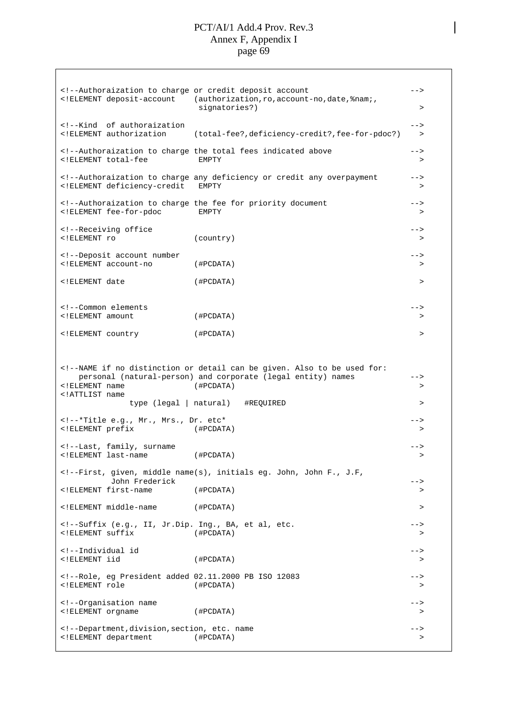<!--Authoraization to charge or credit deposit account --> <!ELEMENT deposit-account (authorization,ro,account-no,date,%nam;, signatories?)  $>$ <!--Kind of authoraization --> <!ELEMENT authorization (total-fee?,deficiency-credit?,fee-for-pdoc?) > <!--Authoraization to charge the total fees indicated above --> <!ELEMENT total-fee EMPTY > <!--Authoraization to charge any deficiency or credit any overpayment --> <!ELEMENT deficiency-credit EMPTY > <!--Authoraization to charge the fee for priority document --> <!ELEMENT fee-for-pdoc EMPTY > <!--Receiving office ---<!ELEMENT ro (country) > <!--Deposit account number --> <!ELEMENT account-no (#PCDATA) > <!ELEMENT date (#PCDATA) > <!--Common elements --> <!ELEMENT amount (#PCDATA) > <!ELEMENT country (#PCDATA) > <!--NAME if no distinction or detail can be given. Also to be used for: personal (natural-person) and corporate (legal entity) names --><br><!ELEMENT name (#PCDATA) >>  $($  #PCDATA $)$   $\rightarrow$ <!ATTLIST name type (legal | natural) #REQUIRED > <!--\*Title e.g., Mr., Mrs., Dr. etc\* --> <!ELEMENT prefix (#PCDATA) > <!--Last, family, surname --> <!ELEMENT last-name (#PCDATA) > <!--First, given, middle name(s), initials eg. John, John F., J.F, John Frederick --> <!ELEMENT first-name (#PCDATA) > <!ELEMENT middle-name (#PCDATA) > <!--Suffix (e.g., II, Jr.Dip. Ing., BA, et al, etc. --> <!ELEMENT suffix (#PCDATA) > <!--Individual id --> <!ELEMENT iid (#PCDATA) > <!--Role, eg President added 02.11.2000 PB ISO 12083 --> <!ELEMENT role (#PCDATA) > <!--Organisation name --> <!ELEMENT orgname (#PCDATA) > <!--Department,division,section, etc. name --> <!ELEMENT department (#PCDATA) >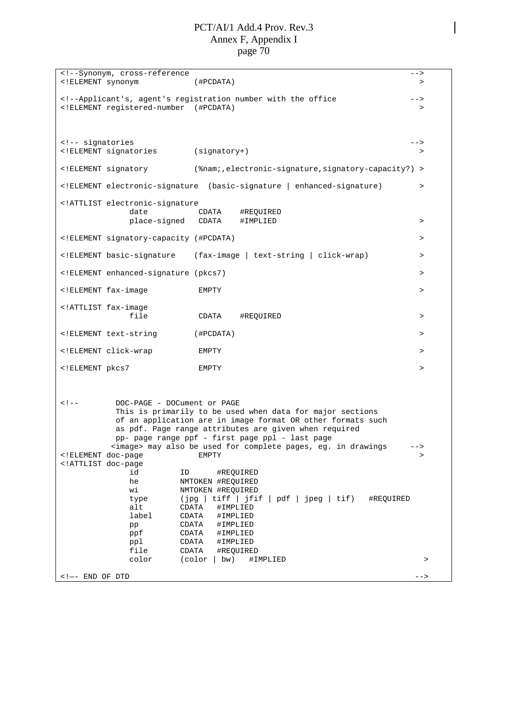<!--Synonym, cross-reference --> <!ELEMENT synonym (#PCDATA) > <!--Applicant's, agent's registration number with the office --> <!ELEMENT registered-number (#PCDATA) > <!-- signatories --> <!ELEMENT signatories (signatory+) > <!ELEMENT signatory (%nam;,electronic-signature,signatory-capacity?) > <!ELEMENT electronic-signature (basic-signature | enhanced-signature) > <!ATTLIST electronic-signature date CDATA #REQUIRED place-signed CDATA #IMPLIED > <!ELEMENT signatory-capacity (#PCDATA) > <!ELEMENT basic-signature (fax-image | text-string | click-wrap) > <!ELEMENT enhanced-signature (pkcs7) > <!ELEMENT fax-image EMPTY > <!ATTLIST fax-image file CDATA #REQUIRED > > <!ELEMENT text-string (#PCDATA) > <!ELEMENT click-wrap EMPTY > <!ELEMENT pkcs7 EMPTY > <!-- DOC-PAGE - DOCument or PAGE This is primarily to be used when data for major sections of an application are in image format OR other formats such as pdf. Page range attributes are given when required pp- page range ppf - first page ppl - last page <image> may also be used for complete pages, eg. in drawings --> <!ELEMENT doc-page EMPTY EMPTY <!ATTLIST doc-page id ID #REQUIRED he NMTOKEN #REQUIRED wi NMTOKEN #REQUIRED type (jpg | tiff | jfif | pdf | jpeg | tif) #REQUIRED alt CDATA #IMPLIED<br>label CDATA #IMPLIED #IMPLIED pp CDATA #IMPLIED<br>ppf CDATA #IMPLIED CDATA #IMPLIED ppl CDATA #IMPLIED file CDATA #REQUIRED color (color | bw) #IMPLIED > > <!—- END OF DTD -->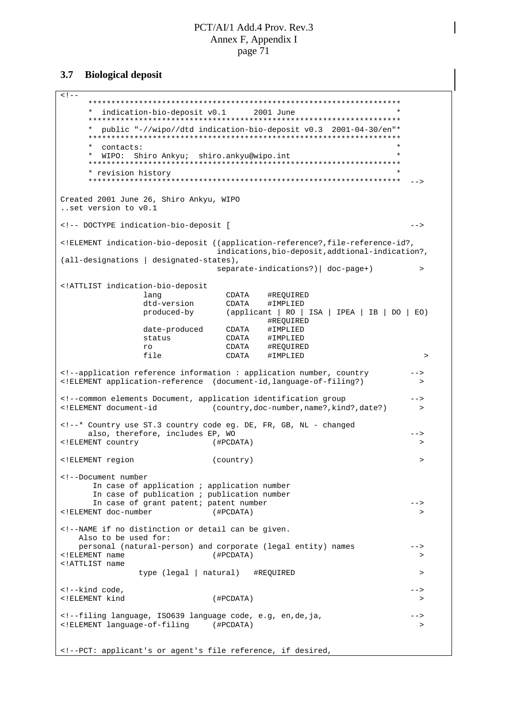#### **Biological deposit**  $3.7$

```
\lt ! -* indication-bio-deposit v0.1
                                     2001 June
     * public "-//wipo//dtd indication-bio-deposit v0.3 2001-04-30/en"** contacts:
     * WIPO: Shiro Ankyu; shiro.ankyu@wipo.int
     * revision history
     --Created 2001 June 26, Shiro Ankyu, WIPO
..set version to v0.1
<!-- DOCTYPE indication-bio-deposit [
                                                                       --<!ELEMENT indication-bio-deposit ((application-reference?,file-reference-id?,
                               indications, bio-deposit, addtional-indication?,
(all-designations | designated-states),
                               separate-indications?) | doc-page+)
                                                                        \rightarrow<!ATTLIST indication-bio-deposit
                \begin{tabular}{ll} \textit{--------} \\ \textit{dtd-version} & \textit{CDATA} & \textit{HREQUIREI} \\ \textit{produced-by} & \textit{(application: I. P0.1)} \\ \end{tabular}CDATA #REQUIRED
                                (applicant | RO | ISA | IPEA | IB | DO | EO)
                                        #REQUIRED
                date-produced CDATA
                                         #IMPLIED
                status
                                 CDATA
                                         #IMPLIED
                ro
                                 CDATA
                                         #REOUIRED
                file
                                 CDATA
                                       #IMPLIED
                                                                          \rightarrow<!--application reference information : application number, country
                                                                       --<! ELEMENT application-reference (document-id, language-of-filing?)
<!--common elements Document, application identification group
                                                                       --&><!ELEMENT document-id
                             (country, doc-number, name?, kind?, date?)
                                                                        \rightarrow<!--* Country use ST.3 country code eq. DE, FR, GB, NL - changed
     also, therefore, includes EP, WO
                                                                       --<!ELEMENT country
                              (#PCDATA)
                                                                         \rightarrow<!ELEMENT region
                              (country)
                                                                         \rightarrow<!--Document number
      In case of application ; application number
      In case of publication ; publication number
      In case of grant patent; patent number
                                                                       --<!ELEMENT doc-number
                              (#PCDATA)
                                                                        \rightarrow<!--NAME if no distinction or detail can be given.
   Also to be used for:
   personal (natural-person) and corporate (legal entity) names
                                                                       --&<! ELEMENT name
                              (#PCDATA)
                                                                         \rightarrow<!ATTLIST name
               type (legal | natural) #REQUIRED
                                                                         \rightarrow<!--kind code,
                                                                       \rightarrow<!ELEMENT kind
                               (#PCDATA)
                                                                         \rightarrow<!--filing language, ISO639 language code, e.g, en, de, ja,
                                                                        \rightarrow<!ELEMENT language-of-filing (#PCDATA)
                                                                        \rightarrow<!--PCT: applicant's or agent's file reference, if desired,
```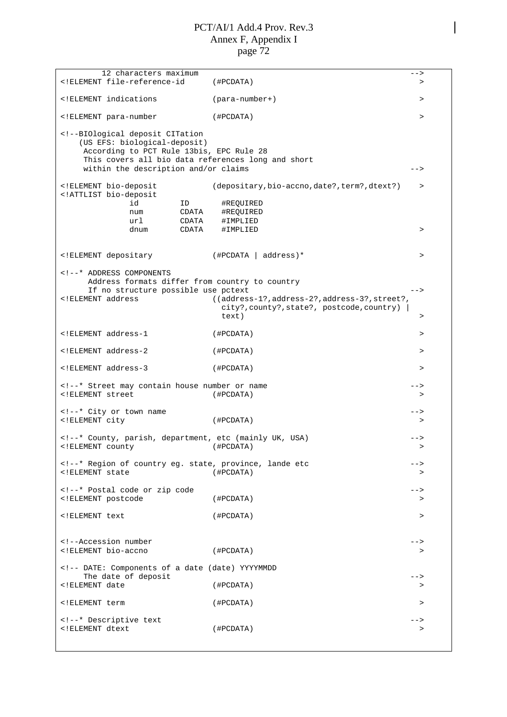12 characters maximum extensions of the state of the state of the state of the state of the state of the state of the state of the state of the state of the state of the state of the state of the state of the state of the <!ELEMENT file-reference-id (#PCDATA) > <!ELEMENT indications (para-number+) > <!ELEMENT para-number (#PCDATA) > <!--BIOlogical deposit CITation (US EFS: biological-deposit) According to PCT Rule 13bis, EPC Rule 28 This covers all bio data references long and short within the description and/or claims  $--\$ <!ELEMENT bio-deposit (depositary,bio-accno,date?,term?,dtext?) > <!ATTLIST bio-deposit id ID #REQUIRED num CDATA #REQUIRED url CDATA #IMPLIED<br>dnum CDATA #IMPLIED dnum CDATA #IMPLIED > <!ELEMENT depositary (#PCDATA | address)\* > <!--\* ADDRESS COMPONENTS Address formats differ from country to country If no structure possible use pctext --> <!ELEMENT address ((address-1?,address-2?,address-3?,street?, city?,county?,state?, postcode,country) | text)  $>$ <!ELEMENT address-1 (#PCDATA) > <!ELEMENT address-2 (#PCDATA) > <!ELEMENT address-3 (#PCDATA) > <!--\* Street may contain house number or name --> <!ELEMENT street (#PCDATA) > <!--\* City or town name --> <!ELEMENT city (#PCDATA) > <!--\* County, parish, department, etc (mainly UK, USA) --> <!ELEMENT county (#PCDATA) > <!--\* Region of country eg. state, province, lande etc --> <!ELEMENT state (#PCDATA) > <!--\* Postal code or zip code --> <!ELEMENT postcode (#PCDATA) > <!ELEMENT text (#PCDATA) > <!--Accession number --> <!ELEMENT bio-accno (#PCDATA) > <!-- DATE: Components of a date (date) YYYYMMDD The date of deposit <!ELEMENT date (#PCDATA) > <!ELEMENT term (#PCDATA) > <!--\* Descriptive text --> <!ELEMENT dtext (#PCDATA) >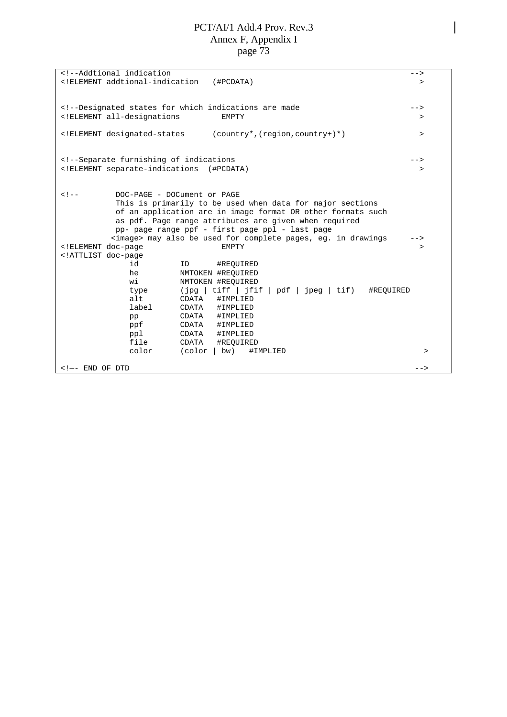<!--Addtional indication<br>
<!ELEMENT addtional-indication (#PCDATA) >> <!ELEMENT addtional-indication (#PCDATA) > <!--Designated states for which indications are made --> <!ELEMENT all-designations EMPTY > <!ELEMENT designated-states (country\*,(region,country+)\*) > <!--Separate furnishing of indications --> <!ELEMENT separate-indications (#PCDATA) > <!-- DOC-PAGE - DOCument or PAGE This is primarily to be used when data for major sections of an application are in image format OR other formats such as pdf. Page range attributes are given when required pp- page range ppf - first page ppl - last page <image> may also be used for complete pages, eg. in drawings --> <!ELEMENT doc-page EMPTY > <!ATTLIST doc-page id ID #REQUIRED he NMTOKEN #REQUIRED wi NMTOKEN #REQUIRED type (jpg | tiff | jfif | pdf | jpeg | tif) #REQUIRED alt CDATA #IMPLIED label CDATA #IMPLIED pp CDATA #IMPLIED<br>ppf CDATA #IMPLIED #IMPLIED ppl CDATA #IMPLIED file CDATA #REQUIRED color (color | bw) #IMPLIED > > <!—- END OF DTD -->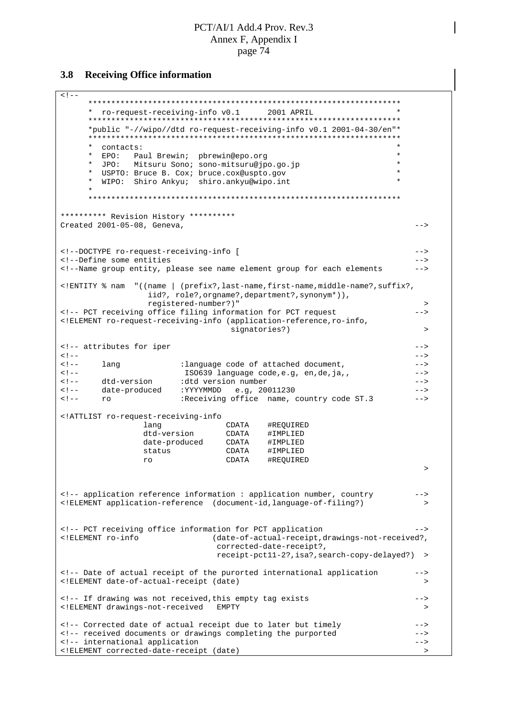#### **Receiving Office information**  $3.8$

 $\lt$  !  $--$ \* ro-request-receiving-info v0.1 2001 APRIL \*public "-//wipo//dtd ro-request-receiving-info y0.1 2001-04-30/en"\* \* contacts: \* EPO: Paul Brewin; pbrewin@epo.org  $\star$ \* JPO: Mitsuru Sono; sono-mitsuru@jpo.go.jp  $\star$  $\star$ USPTO: Bruce B. Cox; bruce.cox@uspto.gov WIPO: Shiro Ankyu; shiro.ankyu@wipo.int  $\star$ \*\*\*\*\*\*\*\*\*\* Revision History \*\*\*\*\*\*\*\*\*\* Created 2001-05-08, Geneva,  $--$ <!--DOCTYPE ro-request-receiving-info [  $--&>$ <!--Define some entities  $--&>$ <!--Name group entity, please see name element group for each elements  $= -5$ <!ENTITY % nam "((name | (prefix?,last-name,first-name,middle-name?,suffix?, iid?, role?, orgname?, department?, synonym\*)), registered-number?)"  $\rightarrow$ <!-- PCT receiving office filing information for PCT request  $--$ <!ELEMENT ro-request-receiving-info (application-reference, ro-info, signatories?)  $\rightarrow$ <!-- attributes for iper  $- <$  !  $- --&$ :language code of attached document,  $2 - 1 - 1$ lang  $--$ ISO639 language code, e.g, en, de, ja,,  $2 - 1 - 1$  $- <$  !  $-$ dtd-version :dtd version number  $-->$ date-produced : YYYYMMDD e.g, 20011230  $--&>$  $2 - 1 - 1$ Receiving office name, country code ST.3  $\leq 1 - 1$  $--&>$ ro <!ATTLIST ro-request-receiving-info lang CDATA #REQUIRED<br>dtd-version CDATA #IMPLIED<br>date-produced CDATA #IMPLIED status CDATA #IMPLIED CDATA #REQUIRED ro  $\rightarrow$ <!-- application reference information : application number, country  $-$  -  $\rightarrow$ <!ELEMENT application-reference (document-id, language-of-filing?)  $\sim$ <!-- PCT receiving office information for PCT application  $--&>$ <!ELEMENT ro-info (date-of-actual-receipt, drawings-not-received?, corrected-date-receipt?, receipt-pct11-2?, isa?, search-copy-delayed?) > <!-- Date of actual receipt of the purorted international application  $--&>$ <!ELEMENT date-of-actual-receipt (date)  $\rightarrow$ <!-- If drawing was not received, this empty tag exists  $--&>$ <! ELEMENT drawings-not-received EMPTY  $\rightarrow$  $\rightarrow$ <!-- Corrected date of actual receipt due to later but timely <!-- received documents or drawings completing the purported  $--$ <!-- international application  $--&>$ <! ELEMENT corrected-date-receipt (date)  $\rightarrow$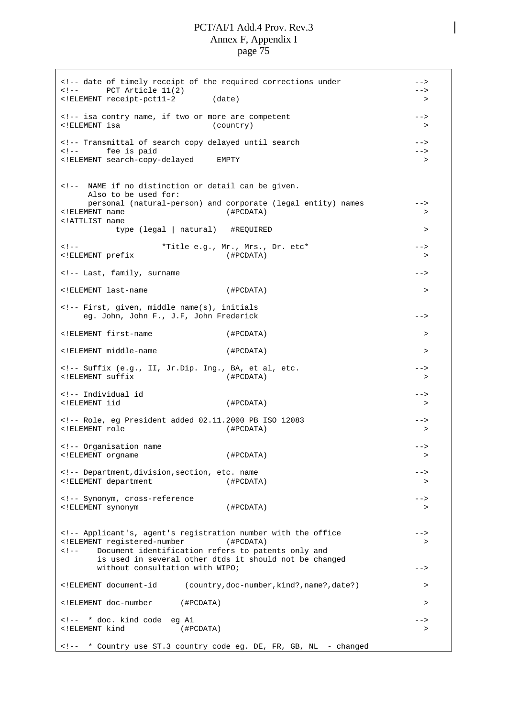<!-- date of timely receipt of the required corrections under --> <!-- PCT Article 11(2) --> <!ELEMENT receipt-pct11-2 (date) > <!-- isa contry name, if two or more are competent --> <!ELEMENT isa (country) > <!-- Transmittal of search copy delayed until search --> <!-- fee is paid <!ELEMENT search-copy-delayed EMPTY > <!-- NAME if no distinction or detail can be given. Also to be used for: personal (natural-person) and corporate (legal entity) names --> <!ELEMENT name (#PCDATA) > <!ATTLIST name type (legal | natural) #REQUIRED > <!-- \*Title e.g., Mr., Mrs., Dr. etc\* --> <!ELEMENT prefix (#PCDATA) > <!-- Last, family, surname --> <!ELEMENT last-name (#PCDATA) > <!-- First, given, middle name(s), initials eg. John, John F., J.F, John Frederick --> <!ELEMENT first-name (#PCDATA) > <!ELEMENT middle-name (#PCDATA) > <!-- Suffix (e.g., II, Jr.Dip. Ing., BA, et al, etc. --> <!ELEMENT suffix (#PCDATA) > <!-- Individual id --> <!ELEMENT iid (#PCDATA) > <!-- Role, eg President added 02.11.2000 PB ISO 12083 --> <!ELEMENT role (#PCDATA) > <!-- Organisation name --> <!ELEMENT orgname (#PCDATA) > <!-- Department,division,section, etc. name --> <!ELEMENT department (#PCDATA) > <!-- Synonym, cross-reference --> <!ELEMENT synonym (#PCDATA) > <!-- Applicant's, agent's registration number with the office --> <!ELEMENT registered-number (#PCDATA) > <!-- Document identification refers to patents only and is used in several other dtds it should not be changed without consultation with WIPO; example the set of the set of the set of the set of the set of the set of the set of the set of the set of the set of the set of the set of the set of the set of the set of the set of the se <!ELEMENT document-id (country,doc-number,kind?,name?,date?) > <!ELEMENT doc-number (#PCDATA) > <!-- \* doc. kind code eg A1 --> <!ELEMENT kind (#PCDATA) > <!-- \* Country use ST.3 country code eg. DE, FR, GB, NL - changed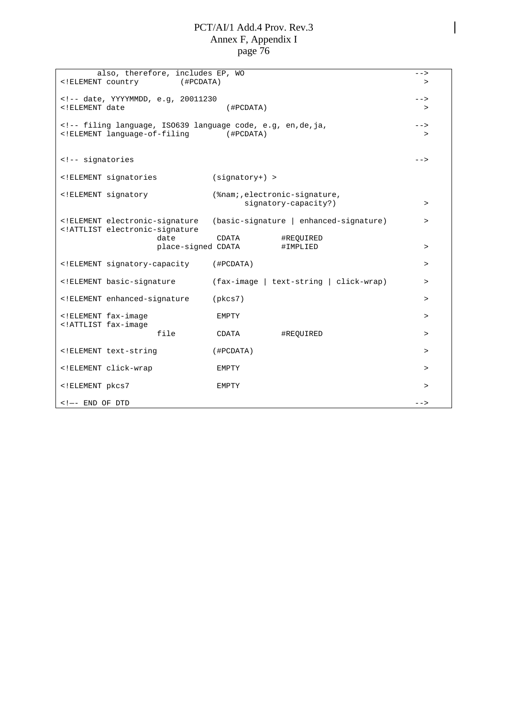| also, therefore, includes EP, WO                                                                                                                                                                                                                                                                                  |                                                               | $--$   |
|-------------------------------------------------------------------------------------------------------------------------------------------------------------------------------------------------------------------------------------------------------------------------------------------------------------------|---------------------------------------------------------------|--------|
| ELEMENT country<br $($ #PCDATA $)$                                                                                                                                                                                                                                                                                |                                                               | $\geq$ |
| date, YYYYMMDD, e.g, 20011230</td><td><math>--</math></td></tr><tr><td colspan=2><! ELEMENT date<br>(HPCDATA)</td><td><math>\geq</math></td></tr><tr><td colspan=3></td></tr><tr><td colspan=2><!-- filing language, ISO639 language code, e.g, en, de, ja,<br><!ELEMENT language-of-filing<br>(#PCDATA)</td><td> |                                                               |        |
|                                                                                                                                                                                                                                                                                                                   |                                                               | $\geq$ |
|                                                                                                                                                                                                                                                                                                                   |                                                               |        |
| <!-- signatories</td> <td></td> <td><math>--&amp;&gt;</math></td>                                                                                                                                                                                                                                                 |                                                               | $--&>$ |
| ELEMENT signatories</td <td><math>(signatory+) &gt;</math></td> <td></td>                                                                                                                                                                                                                                         | $(signatory+) >$                                              |        |
|                                                                                                                                                                                                                                                                                                                   |                                                               |        |
| ELEMENT signatory</td <td>(%nam;, electronic-signature,</td> <td></td>                                                                                                                                                                                                                                            | (%nam;, electronic-signature,                                 |        |
|                                                                                                                                                                                                                                                                                                                   | signatory-capacity?)                                          | $\, >$ |
| ELEMENT electronic-signature</td <td><math>(basic-signature \mid enhanced-signature)</math></td> <td><math>\geq</math></td>                                                                                                                                                                                       | $(basic-signature \mid enhanced-signature)$                   | $\geq$ |
| ATTLIST electronic-signature</td <td></td> <td></td>                                                                                                                                                                                                                                                              |                                                               |        |
| date                                                                                                                                                                                                                                                                                                              | CDATA<br>#REQUIRED                                            |        |
| place-signed CDATA                                                                                                                                                                                                                                                                                                | #IMPLIED                                                      | $\geq$ |
| ELEMENT signatory-capacity</td <td>(#PCDATA)</td> <td><math>\geq</math></td>                                                                                                                                                                                                                                      | (#PCDATA)                                                     | $\geq$ |
|                                                                                                                                                                                                                                                                                                                   |                                                               |        |
| ELEMENT basic-signature</td <td><math>(fax\text{-image}   \text{text-string}   \text{click-wrap})</math></td> <td><math>\geq</math></td>                                                                                                                                                                          | $(fax\text{-image}   \text{text-string}   \text{click-wrap})$ | $\geq$ |
| ELEMENT enhanced-signature</td <td>(pkcs7)</td> <td><math>\geq</math></td>                                                                                                                                                                                                                                        | (pkcs7)                                                       | $\geq$ |
|                                                                                                                                                                                                                                                                                                                   |                                                               |        |
| ELEMENT fax-image</td <td>EMPTY</td> <td><math>\geq</math></td>                                                                                                                                                                                                                                                   | EMPTY                                                         | $\geq$ |
| ATTLIST fax-image<br file                                                                                                                                                                                                                                                                                         | CDATA<br>#REQUIRED                                            | $\geq$ |
|                                                                                                                                                                                                                                                                                                                   |                                                               |        |
| ELEMENT text-string</td <td>(HPCDATA)</td> <td><math>\geq</math></td>                                                                                                                                                                                                                                             | (HPCDATA)                                                     | $\geq$ |
| ELEMENT click-wrap</td <td>EMPTY</td> <td><math>\geq</math></td>                                                                                                                                                                                                                                                  | EMPTY                                                         | $\geq$ |
|                                                                                                                                                                                                                                                                                                                   |                                                               |        |
| ELEMENT pkcs7</td <td>EMPTY</td> <td><math>\geq</math></td>                                                                                                                                                                                                                                                       | EMPTY                                                         | $\geq$ |
| $\leftarrow$ $!--$ END OF DTD                                                                                                                                                                                                                                                                                     |                                                               | $--&>$ |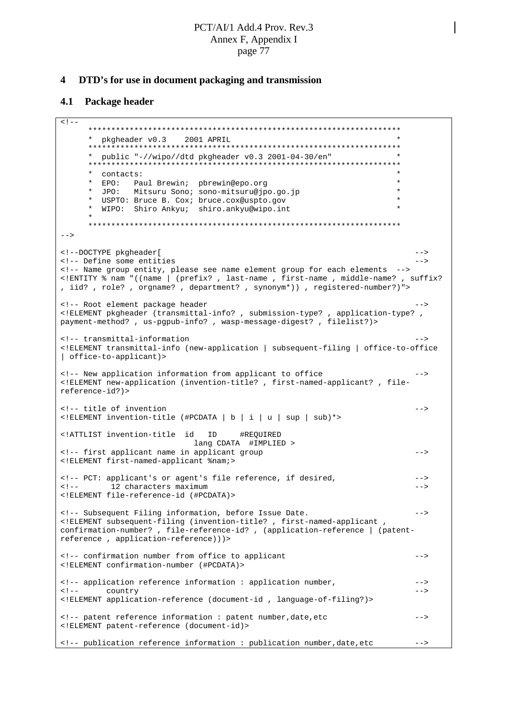#### $\overline{\mathbf{4}}$ DTD's for use in document packaging and transmission

#### $4.1$ **Package header**

```
\left\langle 1 - \right\rangle* pkgheader v0.3 2001 APRIL
     * public "-//wipo//dtd pkgheader v0.3 2001-04-30/en"
           . _ <sub>*</sub> * * * * *
                     ***\star* contacts:
                                                                  \star* EPO: Paul Brewin; pbrewin@epo.org
             Mitsuru Sono; sono-mitsuru@jpo.go.jp
                                                                  \starJPO:
        USPTO: Bruce B. Cox; bruce.cox@uspto.gov
                                                                  \star* WIPO: Shiro Ankyu; shiro.ankyu@wipo.int
     --<!--DOCTYPE pkgheader[
                                                                      - -<!-- Define some entities
                                                                      --<!-- Name group entity, please see name element group for each elements
<!ENTITY % nam "((name | (prefix?, last-name, first-name, middle-name?, suffix?
, iid?, role?, orgname?, department?, synonym*)), registered-number?)">
<!-- Root element package header
                                                                      --<!ELEMENT pkgheader (transmittal-info? , submission-type? , application-type? ,
payment-method?, us-pgpub-info?, wasp-message-digest?, filelist?)>
<!-- transmittal-information
<! ELEMENT transmittal-info (new-application | subsequent-filing | office-to-office
| office-to-applicantly
<!-- New application information from applicant to office
<! ELEMENT new-application (invention-title?, first-named-applicant?, file-
reference-id?)>
<!-- title of invention
                                                                      --&><!ELEMENT invention-title (#PCDATA | b | i | u | sup | sub)*>
<!ATTLIST invention-title id
                           ID
                                  #REOUIRED
                          lang CDATA #IMPLIED >
<!-- first applicant name in applicant group
                                                                      - \rightarrow<! ELEMENT first-named-applicant %nam;>
<!-- PCT: applicant's or agent's file reference, if desired,
                                                                      --\leq ! -12 characters maximum
                                                                      - -<! ELEMENT file-reference-id (#PCDATA)>
<!-- Subsequent Filing information, before Issue Date.
                                                                      - -<! ELEMENT subsequent-filing (invention-title? , first-named-applicant ,
confirmation-number?, file-reference-id?, (application-reference | (patent-
reference, application-reference)))>
<!-- confirmation number from office to applicant
                                                                      --<!ELEMENT confirmation-number (#PCDATA)>
<!-- application reference information : application number,
                                                                      --\leftarrow :-- country
                                                                      --<! ELEMENT application-reference (document-id, language-of-filing?)>
<!-- patent reference information : patent number, date, etc
                                                                      --<! ELEMENT patent-reference (document-id)>
<!-- publication reference information : publication number, date, etc
                                                                      --
```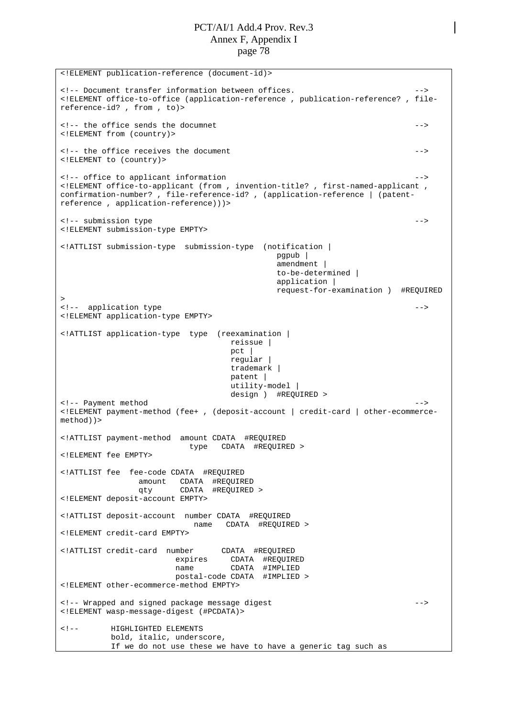<!ELEMENT publication-reference (document-id)> <!-- Document transfer information between offices. --> <!ELEMENT office-to-office (application-reference , publication-reference? , filereference-id? , from , to)> <!-- the office sends the documnet --> <!ELEMENT from (country)> <!-- the office receives the document --> <!ELEMENT to (country)> <!-- office to applicant information --> <!ELEMENT office-to-applicant (from , invention-title? , first-named-applicant , confirmation-number? , file-reference-id? , (application-reference | (patentreference , application-reference)))> <!-- submission type --> <!ELEMENT submission-type EMPTY> <!ATTLIST submission-type submission-type (notification | pgpub | amendment | to-be-determined | application | request-for-examination ) #REQUIRED > <!-- application type --> <!ELEMENT application-type EMPTY> <!ATTLIST application-type type (reexamination | reissue | pct | regular | trademark | patent | utility-model | design ) #REQUIRED > <!-- Payment method  $\overline{\phantom{a}}$ <!ELEMENT payment-method (fee+ , (deposit-account | credit-card | other-ecommercemethod))> <!ATTLIST payment-method amount CDATA #REQUIRED type CDATA #REQUIRED > <!ELEMENT fee EMPTY> <!ATTLIST fee fee-code CDATA #REQUIRED amount CDATA #REQUIRED qty CDATA #REQUIRED > <!ELEMENT deposit-account EMPTY> <!ATTLIST deposit-account number CDATA #REQUIRED name CDATA #REQUIRED > <!ELEMENT credit-card EMPTY> <!ATTLIST credit-card number CDATA #REQUIRED expires CDATA #REQUIRED name CDATA #IMPLIED postal-code CDATA #IMPLIED > <!ELEMENT other-ecommerce-method EMPTY> <!-- Wrapped and signed package message digest --> <!ELEMENT wasp-message-digest (#PCDATA)> <!-- HIGHLIGHTED ELEMENTS bold, italic, underscore, If we do not use these we have to have a generic tag such as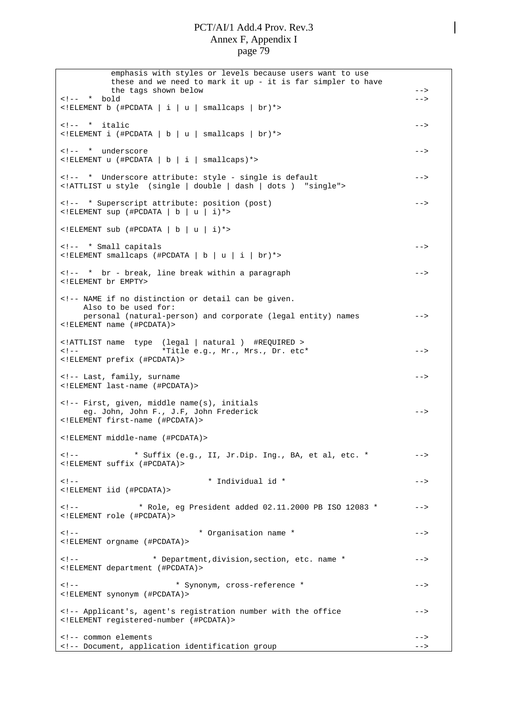emphasis with styles or levels because users want to use these and we need to mark it up - it is far simpler to have the tags shown below --> <!-- \* bold --> <!ELEMENT b (#PCDATA|i|u| smallcaps | br)\*> <!-- \* italic --> <!ELEMENT i (#PCDATA|b|u| smallcaps | br)\*> <!-- \* underscore --> <!ELEMENT u (#PCDATA|b|i| smallcaps)\*> <!-- \* Underscore attribute: style - single is default --> <!ATTLIST u style (single | double | dash | dots ) "single"> <!-- \* Superscript attribute: position (post) -->  $\leq$ !ELEMENT sup (#PCDATA | b | u | i)\*>  $\leq$ !ELEMENT sub (#PCDATA | b | u | i)\*> <!-- \* Small capitals --> <!ELEMENT smallcaps (#PCDATA|b|u|i| br)\*> <!-- \* br - break, line break within a paragraph --> <!ELEMENT br EMPTY> <!-- NAME if no distinction or detail can be given. Also to be used for: personal (natural-person) and corporate (legal entity) names --> <!ELEMENT name (#PCDATA)> <!ATTLIST name type (legal | natural ) #REQUIRED > <!-- \*Title e.g., Mr., Mrs., Dr. etc\* --> <!ELEMENT prefix (#PCDATA)> <!-- Last, family, surname --> <!ELEMENT last-name (#PCDATA)> <!-- First, given, middle name(s), initials eg. John, John F., J.F, John Frederick --> <!ELEMENT first-name (#PCDATA)> <!ELEMENT middle-name (#PCDATA)> <!-- \* Suffix (e.g., II, Jr.Dip. Ing., BA, et al, etc. \* --> <!ELEMENT suffix (#PCDATA)> <!-- \* Individual id \* --> <!ELEMENT iid (#PCDATA)> <!-- \* Role, eg President added 02.11.2000 PB ISO 12083 \* --> <!ELEMENT role (#PCDATA)> <!-- \* Organisation name \* --> <!ELEMENT orgname (#PCDATA)> <!-- \* Department,division,section, etc. name \* --> <!ELEMENT department (#PCDATA)> <!-- \* Synonym, cross-reference \* --> <!ELEMENT synonym (#PCDATA)> <!-- Applicant's, agent's registration number with the office --> <!ELEMENT registered-number (#PCDATA)> <!-- common elements --> <!-- Document, application identification group -->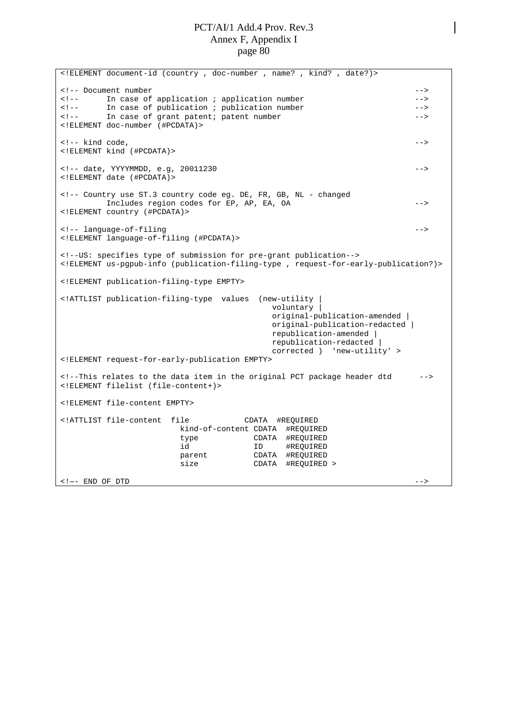<!ELEMENT document-id (country , doc-number , name? , kind? , date?)> <!-- Document number --> <!-- In case of application ; application number --> In case of publication ; publication number <!-- In case of grant patent; patent number --> <!ELEMENT doc-number (#PCDATA)>  $\langle -1, -1 \rangle$  kind code,  $\langle -1, -1 \rangle$ <!ELEMENT kind (#PCDATA)> <!-- date, YYYYMMDD, e.g, 20011230 --> <!ELEMENT date (#PCDATA)> <!-- Country use ST.3 country code eg. DE, FR, GB, NL - changed Includes region codes for EP, AP, EA, OA --> <!ELEMENT country (#PCDATA)> <!-- language-of-filing --> <!ELEMENT language-of-filing (#PCDATA)> <!--US: specifies type of submission for pre-grant publication--> <!ELEMENT us-pgpub-info (publication-filing-type , request-for-early-publication?)> <!ELEMENT publication-filing-type EMPTY> <!ATTLIST publication-filing-type values (new-utility | voluntary | original-publication-amended | original-publication-redacted | republication-amended | republication-redacted | corrected ) 'new-utility' > <!ELEMENT request-for-early-publication EMPTY> <!--This relates to the data item in the original PCT package header dtd --> <!ELEMENT filelist (file-content+)> <!ELEMENT file-content EMPTY> <!ATTLIST file-content file CDATA #REQUIRED kind-of-content CDATA #REQUIRED type CDATA #REQUIRED id ID #REQUIRED parent CDATA #REQUIRED size CDATA #REQUIRED > <!—- END OF DTD -->